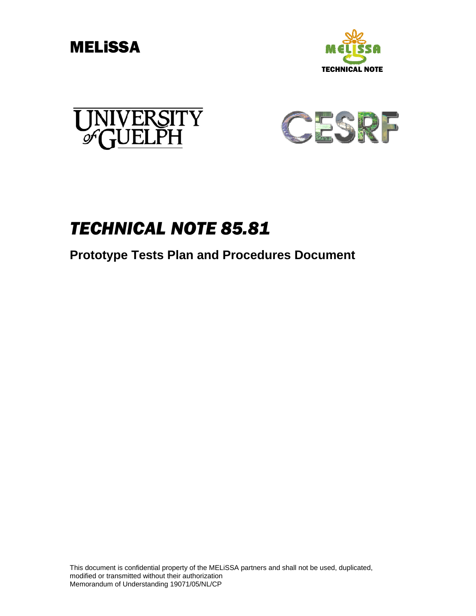





# *TECHNICAL NOTE 85.81*

**Prototype Tests Plan and Procedures Document**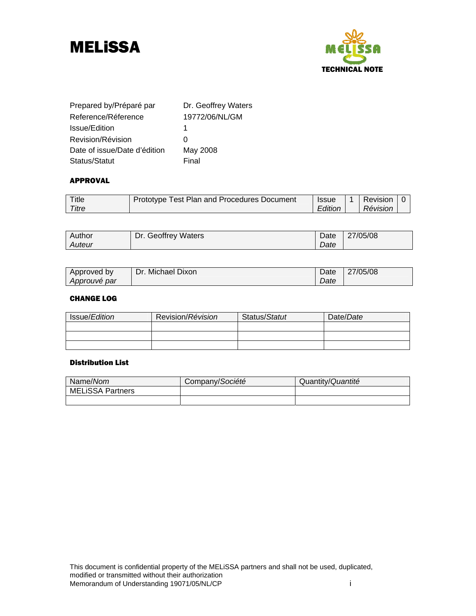



| Prepared by/Préparé par      | Dr. Geoffrey Waters |
|------------------------------|---------------------|
| Reference/Réference          | 19772/06/NL/GM      |
| Issue/Edition                |                     |
| Revision/Révision            | 0                   |
| Date of issue/Date d'édition | May 2008            |
| Status/Statut                | Final               |

#### APPROVAL

| Title | Prototype Test Plan and Procedures Document | <b>Issue</b> | Revision |  |
|-------|---------------------------------------------|--------------|----------|--|
| Titre |                                             | Edition      | Révision |  |

| Author | Dr. Geoffrey Waters | Date | 27/05/08 |
|--------|---------------------|------|----------|
| Auteur |                     | Date |          |

| Approved by  | Michael Dixon<br>Dr. | Date | 27/05/08 |
|--------------|----------------------|------|----------|
| Approuvé par |                      | Date |          |

#### CHANGE LOG

| Issue/Edition | Revision/Révision | Status/Statut | Date/Date |
|---------------|-------------------|---------------|-----------|
|               |                   |               |           |
|               |                   |               |           |
|               |                   |               |           |

#### Distribution List

| Name/Nom         | Company/Société | Quantity/Quantité |
|------------------|-----------------|-------------------|
| MELISSA Partners |                 |                   |
|                  |                 |                   |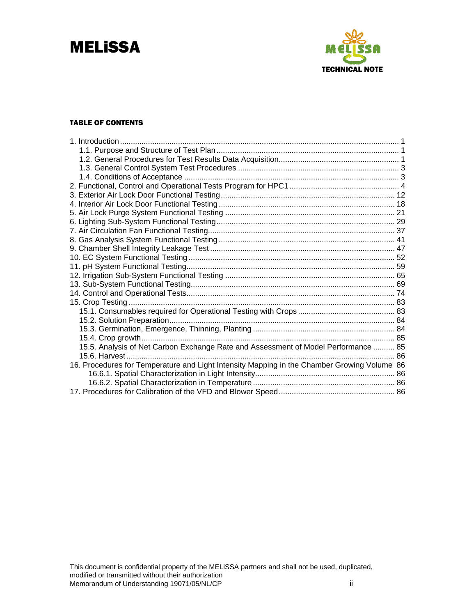

#### TABLE OF CONTENTS

| 15.5. Analysis of Net Carbon Exchange Rate and Assessment of Model Performance  85          |  |
|---------------------------------------------------------------------------------------------|--|
|                                                                                             |  |
| 16. Procedures for Temperature and Light Intensity Mapping in the Chamber Growing Volume 86 |  |
|                                                                                             |  |
|                                                                                             |  |
|                                                                                             |  |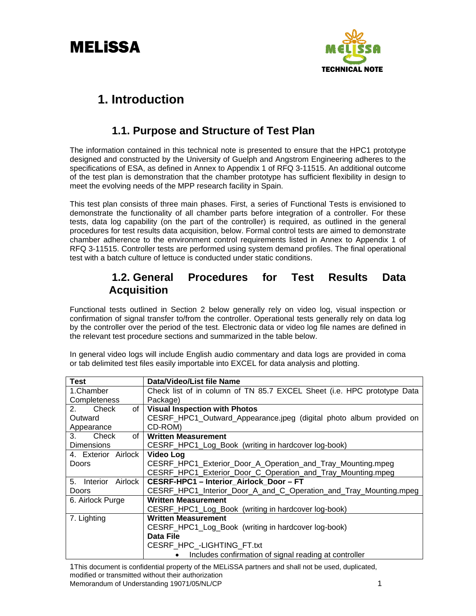

## <span id="page-3-0"></span>**1. Introduction**

### **1.1. Purpose and Structure of Test Plan**

The information contained in this technical note is presented to ensure that the HPC1 prototype designed and constructed by the University of Guelph and Angstrom Engineering adheres to the specifications of ESA, as defined in Annex to Appendix 1 of RFQ 3-11515. An additional outcome of the test plan is demonstration that the chamber prototype has sufficient flexibility in design to meet the evolving needs of the MPP research facility in Spain.

This test plan consists of three main phases. First, a series of Functional Tests is envisioned to demonstrate the functionality of all chamber parts before integration of a controller. For these tests, data log capability (on the part of the controller) is required, as outlined in the general procedures for test results data acquisition, below. Formal control tests are aimed to demonstrate chamber adherence to the environment control requirements listed in Annex to Appendix 1 of RFQ 3-11515. Controller tests are performed using system demand profiles. The final operational test with a batch culture of lettuce is conducted under static conditions.

### **1.2. General Procedures for Test Results Data Acquisition**

Functional tests outlined in Section 2 below generally rely on video log, visual inspection or confirmation of signal transfer to/from the controller. Operational tests generally rely on data log by the controller over the period of the test. Electronic data or video log file names are defined in the relevant test procedure sections and summarized in the table below.

In general video logs will include English audio commentary and data logs are provided in coma or tab delimited test files easily importable into EXCEL for data analysis and plotting.

| <b>Test</b>                   | Data/Video/List file Name                                               |
|-------------------------------|-------------------------------------------------------------------------|
| 1.Chamber                     | Check list of in column of TN 85.7 EXCEL Sheet (i.e. HPC prototype Data |
| Completeness                  | Package)                                                                |
| of<br>2 <sup>1</sup><br>Check | <b>Visual Inspection with Photos</b>                                    |
| Outward                       | CESRF_HPC1_Outward_Appearance.jpeg (digital photo album provided on     |
| Appearance                    | CD-ROM)                                                                 |
| of<br>3.<br>Check             | <b>Written Measurement</b>                                              |
| <b>Dimensions</b>             | CESRF_HPC1_Log_Book (writing in hardcover log-book)                     |
| 4. Exterior Airlock           | Video Log                                                               |
| <b>Doors</b>                  | CESRF_HPC1_Exterior_Door_A_Operation_and_Tray_Mounting.mpeg             |
|                               | CESRF_HPC1_Exterior_Door_C_Operation_and_Tray_Mounting.mpeg             |
| Airlock<br>5. Interior        | CESRF-HPC1 - Interior_Airlock_Door - FT                                 |
| <b>Doors</b>                  | CESRF_HPC1_Interior_Door_A_and_C_Operation_and_Tray_Mounting.mpeg       |
| 6. Airlock Purge              | <b>Written Measurement</b>                                              |
|                               | CESRF_HPC1_Log_Book (writing in hardcover log-book)                     |
| 7. Lighting                   | <b>Written Measurement</b>                                              |
|                               | CESRF_HPC1_Log_Book (writing in hardcover log-book)                     |
|                               | Data File                                                               |
|                               | CESRF HPC -LIGHTING FT.txt                                              |
|                               | Includes confirmation of signal reading at controller<br>٠              |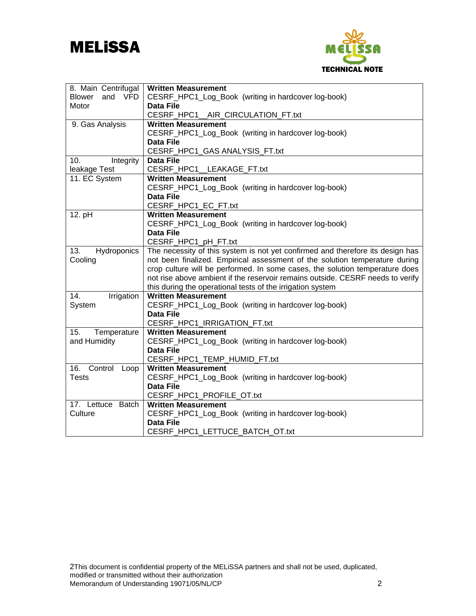



| 8. Main Centrifugal         | <b>Written Measurement</b>                                                     |
|-----------------------------|--------------------------------------------------------------------------------|
| and<br><b>VFD</b><br>Blower | CESRF_HPC1_Log_Book (writing in hardcover log-book)                            |
| Motor                       | <b>Data File</b>                                                               |
|                             | CESRF_HPC1__AIR_CIRCULATION_FT.txt                                             |
| 9. Gas Analysis             | <b>Written Measurement</b>                                                     |
|                             | CESRF_HPC1_Log_Book (writing in hardcover log-book)                            |
|                             | <b>Data File</b>                                                               |
|                             | CESRF_HPC1_GAS ANALYSIS_FT.txt                                                 |
| 10.<br>Integrity            | <b>Data File</b>                                                               |
| leakage Test                | CESRF_HPC1__LEAKAGE_FT.txt                                                     |
| 11. EC System               | <b>Written Measurement</b>                                                     |
|                             | CESRF_HPC1_Log_Book (writing in hardcover log-book)                            |
|                             | Data File                                                                      |
|                             | CESRF_HPC1_EC_FT.txt                                                           |
| 12. pH                      | <b>Written Measurement</b>                                                     |
|                             | CESRF_HPC1_Log_Book (writing in hardcover log-book)                            |
|                             | Data File                                                                      |
|                             | CESRF_HPC1_pH_FT.txt                                                           |
| 13.<br>Hydroponics          | The necessity of this system is not yet confirmed and therefore its design has |
| Cooling                     | not been finalized. Empirical assessment of the solution temperature during    |
|                             | crop culture will be performed. In some cases, the solution temperature does   |
|                             | not rise above ambient if the reservoir remains outside. CESRF needs to verify |
|                             | this during the operational tests of the irrigation system                     |
| 14.<br>Irrigation           | <b>Written Measurement</b>                                                     |
| System                      | CESRF_HPC1_Log_Book (writing in hardcover log-book)                            |
|                             | <b>Data File</b>                                                               |
|                             | CESRF_HPC1_IRRIGATION_FT.txt                                                   |
| 15.<br>Temperature          | <b>Written Measurement</b>                                                     |
| and Humidity                | CESRF_HPC1_Log_Book (writing in hardcover log-book)                            |
|                             | <b>Data File</b>                                                               |
|                             | CESRF_HPC1_TEMP_HUMID_FT.txt                                                   |
| 16. Control Loop            | <b>Written Measurement</b>                                                     |
| <b>Tests</b>                | CESRF_HPC1_Log_Book (writing in hardcover log-book)                            |
|                             | <b>Data File</b>                                                               |
|                             | CESRF_HPC1_PROFILE_OT.txt                                                      |
| 17. Lettuce Batch           | <b>Written Measurement</b>                                                     |
| Culture                     | CESRF_HPC1_Log_Book (writing in hardcover log-book)                            |
|                             | <b>Data File</b>                                                               |
|                             | CESRF_HPC1_LETTUCE_BATCH_OT.txt                                                |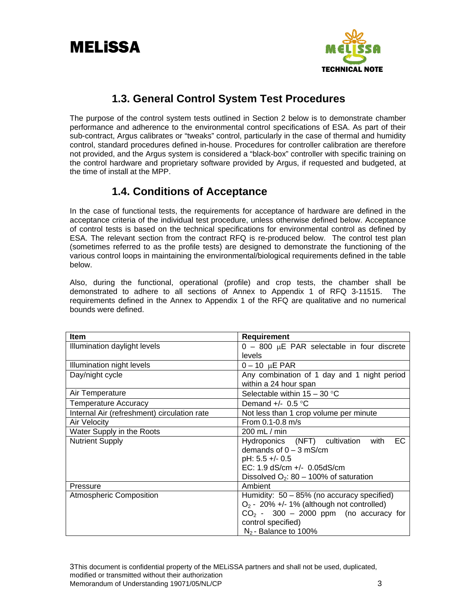<span id="page-5-0"></span>



## **1.3. General Control System Test Procedures**

The purpose of the control system tests outlined in Section 2 below is to demonstrate chamber performance and adherence to the environmental control specifications of ESA. As part of their sub-contract, Argus calibrates or "tweaks" control, particularly in the case of thermal and humidity control, standard procedures defined in-house. Procedures for controller calibration are therefore not provided, and the Argus system is considered a "black-box" controller with specific training on the control hardware and proprietary software provided by Argus, if requested and budgeted, at the time of install at the MPP.

## **1.4. Conditions of Acceptance**

In the case of functional tests, the requirements for acceptance of hardware are defined in the acceptance criteria of the individual test procedure, unless otherwise defined below. Acceptance of control tests is based on the technical specifications for environmental control as defined by ESA. The relevant section from the contract RFQ is re-produced below. The control test plan (sometimes referred to as the profile tests) are designed to demonstrate the functioning of the various control loops in maintaining the environmental/biological requirements defined in the table below.

Also, during the functional, operational (profile) and crop tests, the chamber shall be demonstrated to adhere to all sections of Annex to Appendix 1 of RFQ 3-11515. The requirements defined in the Annex to Appendix 1 of the RFQ are qualitative and no numerical bounds were defined.

| <b>Item</b>                                 | Requirement                                  |  |  |
|---------------------------------------------|----------------------------------------------|--|--|
| Illumination daylight levels                | $0 - 800$ µE PAR selectable in four discrete |  |  |
|                                             | levels                                       |  |  |
| Illumination night levels                   | $0 - 10 \mu E$ PAR                           |  |  |
| Day/night cycle                             | Any combination of 1 day and 1 night period  |  |  |
|                                             | within a 24 hour span                        |  |  |
| Air Temperature                             | Selectable within $15 - 30$ °C               |  |  |
| <b>Temperature Accuracy</b>                 | Demand $+/-$ 0.5 °C                          |  |  |
| Internal Air (refreshment) circulation rate | Not less than 1 crop volume per minute       |  |  |
| <b>Air Velocity</b>                         | From $0.1 - 0.8$ m/s                         |  |  |
| Water Supply in the Roots                   | 200 mL / min                                 |  |  |
| <b>Nutrient Supply</b>                      | Hydroponics (NFT) cultivation<br>EC<br>with  |  |  |
|                                             | demands of $0 - 3$ mS/cm                     |  |  |
|                                             | pH: 5.5 +/- 0.5                              |  |  |
|                                             | EC: $1.9$ dS/cm $+/-$ 0.05dS/cm              |  |  |
|                                             | Dissolved $O_2$ : 80 – 100% of saturation    |  |  |
| Pressure                                    | Ambient                                      |  |  |
| <b>Atmospheric Composition</b>              | Humidity: $50 - 85%$ (no accuracy specified) |  |  |
|                                             | $O_2$ - 20% +/- 1% (although not controlled) |  |  |
|                                             | $CO2$ - 300 - 2000 ppm (no accuracy for      |  |  |
|                                             | control specified)                           |  |  |
|                                             | $N_2$ - Balance to 100%                      |  |  |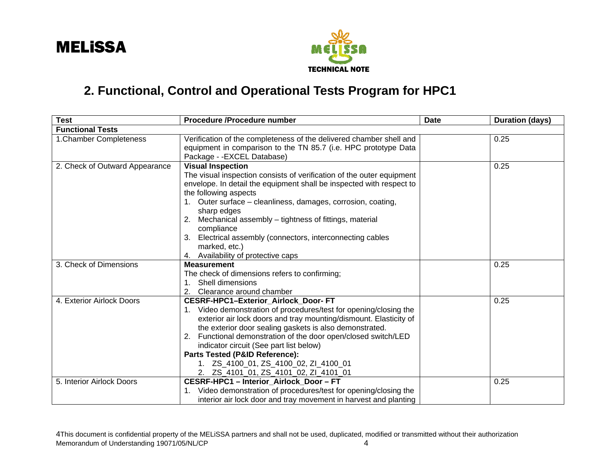



## **2. Functional, Control and Operational Tests Program for HPC1**

<span id="page-6-0"></span>

| <b>Test</b>                    | <b>Procedure /Procedure number</b>                                                                                                                                                                                                                                                                                                                                                                                                                                               | <b>Date</b> | <b>Duration (days)</b> |  |  |
|--------------------------------|----------------------------------------------------------------------------------------------------------------------------------------------------------------------------------------------------------------------------------------------------------------------------------------------------------------------------------------------------------------------------------------------------------------------------------------------------------------------------------|-------------|------------------------|--|--|
| <b>Functional Tests</b>        |                                                                                                                                                                                                                                                                                                                                                                                                                                                                                  |             |                        |  |  |
| 1. Chamber Completeness        | Verification of the completeness of the delivered chamber shell and<br>equipment in comparison to the TN 85.7 (i.e. HPC prototype Data<br>Package - - EXCEL Database)                                                                                                                                                                                                                                                                                                            |             | 0.25                   |  |  |
| 2. Check of Outward Appearance | <b>Visual Inspection</b><br>The visual inspection consists of verification of the outer equipment<br>envelope. In detail the equipment shall be inspected with respect to<br>the following aspects<br>1. Outer surface - cleanliness, damages, corrosion, coating,<br>sharp edges<br>Mechanical assembly – tightness of fittings, material<br>compliance<br>3. Electrical assembly (connectors, interconnecting cables<br>marked, etc.)<br>4. Availability of protective caps    |             | 0.25                   |  |  |
| 3. Check of Dimensions         | <b>Measurement</b><br>The check of dimensions refers to confirming;<br>1. Shell dimensions<br>Clearance around chamber                                                                                                                                                                                                                                                                                                                                                           |             | 0.25                   |  |  |
| 4. Exterior Airlock Doors      | <b>CESRF-HPC1-Exterior Airlock Door-FT</b><br>1. Video demonstration of procedures/test for opening/closing the<br>exterior air lock doors and tray mounting/dismount. Elasticity of<br>the exterior door sealing gaskets is also demonstrated.<br>2. Functional demonstration of the door open/closed switch/LED<br>indicator circuit (See part list below)<br>Parts Tested (P&ID Reference):<br>1. ZS_4100_01, ZS_4100_02, ZI_4100_01<br>2. ZS_4101_01, ZS_4101_02, ZI_4101_01 |             | 0.25                   |  |  |
| 5. Interior Airlock Doors      | <b>CESRF-HPC1 - Interior Airlock Door - FT</b><br>Video demonstration of procedures/test for opening/closing the<br>interior air lock door and tray movement in harvest and planting                                                                                                                                                                                                                                                                                             |             | 0.25                   |  |  |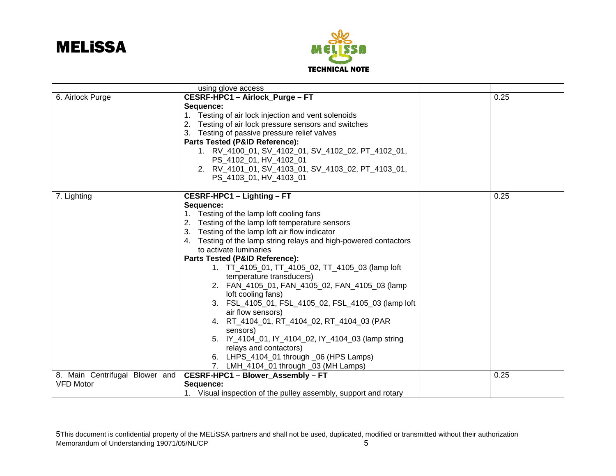

|                                | using glove access                                               |      |
|--------------------------------|------------------------------------------------------------------|------|
| 6. Airlock Purge               | CESRF-HPC1 - Airlock Purge - FT                                  | 0.25 |
|                                | Sequence:                                                        |      |
|                                | 1. Testing of air lock injection and vent solenoids              |      |
|                                | 2. Testing of air lock pressure sensors and switches             |      |
|                                | 3. Testing of passive pressure relief valves                     |      |
|                                | Parts Tested (P&ID Reference):                                   |      |
|                                | 1. RV_4100_01, SV_4102_01, SV_4102_02, PT_4102_01,               |      |
|                                | PS_4102_01, HV_4102_01                                           |      |
|                                | 2. RV_4101_01, SV_4103_01, SV_4103_02, PT_4103_01,               |      |
|                                | PS 4103_01, HV_4103_01                                           |      |
|                                |                                                                  |      |
| 7. Lighting                    | CESRF-HPC1 - Lighting - FT                                       | 0.25 |
|                                | Sequence:                                                        |      |
|                                | 1. Testing of the lamp loft cooling fans                         |      |
|                                | 2. Testing of the lamp loft temperature sensors                  |      |
|                                | 3. Testing of the lamp loft air flow indicator                   |      |
|                                | 4. Testing of the lamp string relays and high-powered contactors |      |
|                                | to activate luminaries                                           |      |
|                                | Parts Tested (P&ID Reference):                                   |      |
|                                | 1. TT_4105_01, TT_4105_02, TT_4105_03 (lamp loft                 |      |
|                                | temperature transducers)                                         |      |
|                                | 2. FAN_4105_01, FAN_4105_02, FAN_4105_03 (lamp                   |      |
|                                | loft cooling fans)                                               |      |
|                                | 3. FSL_4105_01, FSL_4105_02, FSL_4105_03 (lamp loft              |      |
|                                | air flow sensors)                                                |      |
|                                | 4. RT_4104_01, RT_4104_02, RT_4104_03 (PAR                       |      |
|                                | sensors)                                                         |      |
|                                | 5. IY_4104_01, IY_4104_02, IY_4104_03 (lamp string               |      |
|                                | relays and contactors)                                           |      |
|                                | 6. LHPS_4104_01 through _06 (HPS Lamps)                          |      |
|                                | 7. LMH_4104_01 through _03 (MH Lamps)                            |      |
| 8. Main Centrifugal Blower and | CESRF-HPC1 - Blower Assembly - FT                                | 0.25 |
| <b>VFD Motor</b>               | Sequence:                                                        |      |
|                                | 1. Visual inspection of the pulley assembly, support and rotary  |      |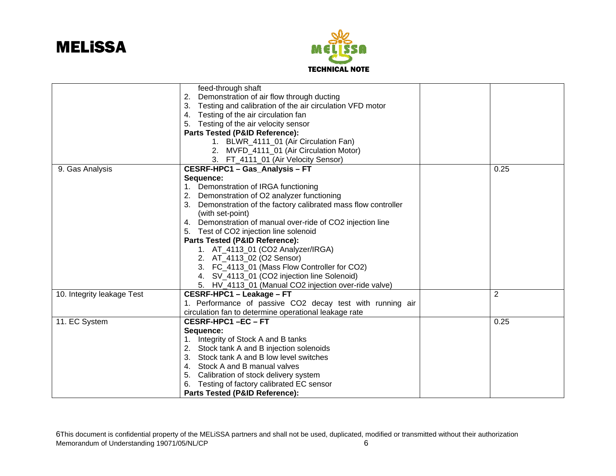

|                            | feed-through shaft                                              |  |      |  |
|----------------------------|-----------------------------------------------------------------|--|------|--|
|                            | Demonstration of air flow through ducting<br>2.                 |  |      |  |
|                            | Testing and calibration of the air circulation VFD motor<br>3.  |  |      |  |
|                            | 4. Testing of the air circulation fan                           |  |      |  |
|                            | 5. Testing of the air velocity sensor                           |  |      |  |
|                            | Parts Tested (P&ID Reference):                                  |  |      |  |
|                            | 1. BLWR_4111_01 (Air Circulation Fan)                           |  |      |  |
|                            | 2. MVFD_4111_01 (Air Circulation Motor)                         |  |      |  |
|                            | 3. FT_4111_01 (Air Velocity Sensor)                             |  |      |  |
| 9. Gas Analysis            | CESRF-HPC1 - Gas Analysis - FT                                  |  | 0.25 |  |
|                            | Sequence:                                                       |  |      |  |
|                            | 1. Demonstration of IRGA functioning                            |  |      |  |
|                            | 2. Demonstration of O2 analyzer functioning                     |  |      |  |
|                            | 3. Demonstration of the factory calibrated mass flow controller |  |      |  |
|                            | (with set-point)                                                |  |      |  |
|                            | 4. Demonstration of manual over-ride of CO2 injection line      |  |      |  |
|                            | 5. Test of CO2 injection line solenoid                          |  |      |  |
|                            | Parts Tested (P&ID Reference):                                  |  |      |  |
|                            | 1. AT_4113_01 (CO2 Analyzer/IRGA)                               |  |      |  |
|                            | 2. AT_4113_02 (O2 Sensor)                                       |  |      |  |
|                            | 3. FC_4113_01 (Mass Flow Controller for CO2)                    |  |      |  |
|                            | 4. SV_4113_01 (CO2 injection line Solenoid)                     |  |      |  |
|                            | 5. HV_4113_01 (Manual CO2 injection over-ride valve)            |  |      |  |
| 10. Integrity leakage Test | CESRF-HPC1 - Leakage - FT                                       |  | 2    |  |
|                            | 1. Performance of passive CO2 decay test with running air       |  |      |  |
|                            | circulation fan to determine operational leakage rate           |  |      |  |
| 11. EC System              | CESRF-HPC1-EC-FT                                                |  | 0.25 |  |
|                            | Sequence:                                                       |  |      |  |
|                            | 1. Integrity of Stock A and B tanks                             |  |      |  |
|                            | 2. Stock tank A and B injection solenoids                       |  |      |  |
|                            | 3. Stock tank A and B low level switches                        |  |      |  |
|                            | 4. Stock A and B manual valves                                  |  |      |  |
|                            | 5. Calibration of stock delivery system                         |  |      |  |
|                            | 6. Testing of factory calibrated EC sensor                      |  |      |  |
|                            | Parts Tested (P&ID Reference):                                  |  |      |  |
|                            |                                                                 |  |      |  |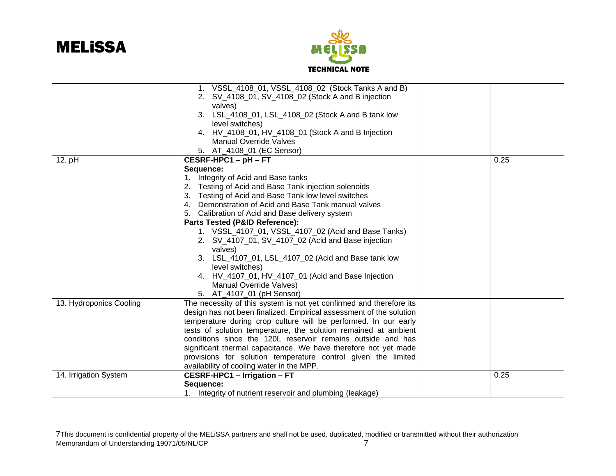

|                         | 1. VSSL_4108_01, VSSL_4108_02 (Stock Tanks A and B)                 |      |
|-------------------------|---------------------------------------------------------------------|------|
|                         | 2. SV_4108_01, SV_4108_02 (Stock A and B injection                  |      |
|                         | valves)                                                             |      |
|                         | 3. LSL_4108_01, LSL_4108_02 (Stock A and B tank low                 |      |
|                         | level switches)                                                     |      |
|                         | 4. HV_4108_01, HV_4108_01 (Stock A and B Injection                  |      |
|                         | <b>Manual Override Valves</b>                                       |      |
|                         | 5. AT_4108_01 (EC Sensor)                                           |      |
| 12. pH                  | CESRF-HPC1-pH-FT                                                    | 0.25 |
|                         | Sequence:                                                           |      |
|                         | 1. Integrity of Acid and Base tanks                                 |      |
|                         | 2. Testing of Acid and Base Tank injection solenoids                |      |
|                         | 3. Testing of Acid and Base Tank low level switches                 |      |
|                         | 4. Demonstration of Acid and Base Tank manual valves                |      |
|                         | 5. Calibration of Acid and Base delivery system                     |      |
|                         | Parts Tested (P&ID Reference):                                      |      |
|                         | 1. VSSL_4107_01, VSSL_4107_02 (Acid and Base Tanks)                 |      |
|                         | 2. SV_4107_01, SV_4107_02 (Acid and Base injection                  |      |
|                         |                                                                     |      |
|                         | valves)                                                             |      |
|                         | 3. LSL_4107_01, LSL_4107_02 (Acid and Base tank low                 |      |
|                         | level switches)                                                     |      |
|                         | 4. HV_4107_01, HV_4107_01 (Acid and Base Injection                  |      |
|                         | Manual Override Valves)                                             |      |
|                         | 5. AT_4107_01 (pH Sensor)                                           |      |
| 13. Hydroponics Cooling | The necessity of this system is not yet confirmed and therefore its |      |
|                         | design has not been finalized. Empirical assessment of the solution |      |
|                         | temperature during crop culture will be performed. In our early     |      |
|                         | tests of solution temperature, the solution remained at ambient     |      |
|                         | conditions since the 120L reservoir remains outside and has         |      |
|                         | significant thermal capacitance. We have therefore not yet made     |      |
|                         | provisions for solution temperature control given the limited       |      |
|                         | availability of cooling water in the MPP.                           |      |
| 14. Irrigation System   | CESRF-HPC1 - Irrigation - FT                                        | 0.25 |
|                         | Sequence:                                                           |      |
|                         | 1. Integrity of nutrient reservoir and plumbing (leakage)           |      |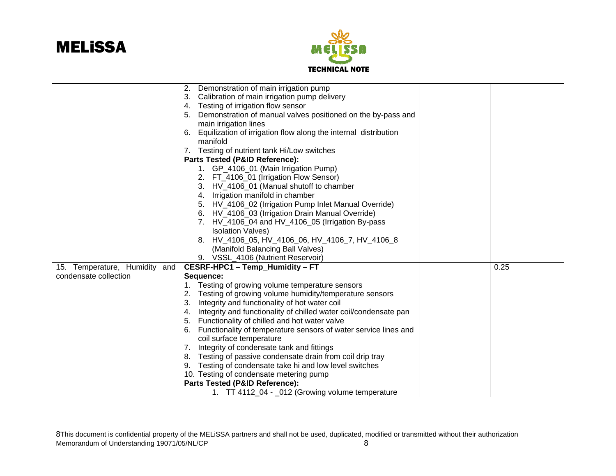

|                               | 2. Demonstration of main irrigation pump                              |      |
|-------------------------------|-----------------------------------------------------------------------|------|
|                               | 3. Calibration of main irrigation pump delivery                       |      |
|                               | 4. Testing of irrigation flow sensor                                  |      |
|                               | 5. Demonstration of manual valves positioned on the by-pass and       |      |
|                               | main irrigation lines                                                 |      |
|                               | Equilization of irrigation flow along the internal distribution       |      |
|                               | manifold                                                              |      |
|                               | 7. Testing of nutrient tank Hi/Low switches                           |      |
|                               | Parts Tested (P&ID Reference):                                        |      |
|                               | 1. GP_4106_01 (Main Irrigation Pump)                                  |      |
|                               | 2. FT_4106_01 (Irrigation Flow Sensor)                                |      |
|                               | 3. HV_4106_01 (Manual shutoff to chamber                              |      |
|                               | 4. Irrigation manifold in chamber                                     |      |
|                               | 5. HV_4106_02 (Irrigation Pump Inlet Manual Override)                 |      |
|                               | 6. HV_4106_03 (Irrigation Drain Manual Override)                      |      |
|                               | 7. HV_4106_04 and HV_4106_05 (Irrigation By-pass                      |      |
|                               | <b>Isolation Valves)</b>                                              |      |
|                               | 8. HV_4106_05, HV_4106_06, HV_4106_7, HV_4106_8                       |      |
|                               | (Manifold Balancing Ball Valves)                                      |      |
|                               | 9. VSSL_4106 (Nutrient Reservoir)                                     |      |
| 15. Temperature, Humidity and | CESRF-HPC1 - Temp_Humidity - FT                                       | 0.25 |
| condensate collection         | Sequence:                                                             |      |
|                               | 1. Testing of growing volume temperature sensors                      |      |
|                               | 2. Testing of growing volume humidity/temperature sensors             |      |
|                               | 3. Integrity and functionality of hot water coil                      |      |
|                               | 4. Integrity and functionality of chilled water coil/condensate pan   |      |
|                               | 5. Functionality of chilled and hot water valve                       |      |
|                               | Functionality of temperature sensors of water service lines and<br>6. |      |
|                               | coil surface temperature                                              |      |
|                               | 7. Integrity of condensate tank and fittings                          |      |
|                               | 8. Testing of passive condensate drain from coil drip tray            |      |
|                               | 9. Testing of condensate take hi and low level switches               |      |
|                               | 10. Testing of condensate metering pump                               |      |
|                               | Parts Tested (P&ID Reference):                                        |      |
|                               | 1. TT 4112_04 - _012 (Growing volume temperature                      |      |
|                               |                                                                       |      |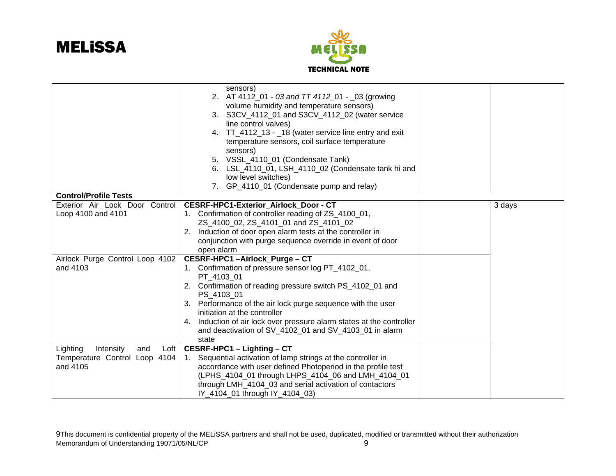

|                                                                                   | sensors)<br>2. AT 4112_01 - 03 and TT 4112_01 - _03 (growing<br>volume humidity and temperature sensors)<br>3. S3CV_4112_01 and S3CV_4112_02 (water service<br>line control valves)<br>4. TT_4112_13 - _18 (water service line entry and exit<br>temperature sensors, coil surface temperature<br>sensors)<br>5. VSSL_4110_01 (Condensate Tank)<br>6. LSL_4110_01, LSH_4110_02 (Condensate tank hi and<br>low level switches)<br>GP_4110_01 (Condensate pump and relay)<br>7. |        |
|-----------------------------------------------------------------------------------|-------------------------------------------------------------------------------------------------------------------------------------------------------------------------------------------------------------------------------------------------------------------------------------------------------------------------------------------------------------------------------------------------------------------------------------------------------------------------------|--------|
| <b>Control/Profile Tests</b>                                                      |                                                                                                                                                                                                                                                                                                                                                                                                                                                                               |        |
| Exterior Air Lock Door Control<br>Loop 4100 and 4101                              | CESRF-HPC1-Exterior_Airlock_Door - CT<br>1. Confirmation of controller reading of ZS_4100_01,<br>ZS_4100_02, ZS_4101_01 and ZS_4101_02<br>2. Induction of door open alarm tests at the controller in<br>conjunction with purge sequence override in event of door<br>open alarm                                                                                                                                                                                               | 3 days |
| Airlock Purge Control Loop 4102<br>and 4103                                       | CESRF-HPC1-Airlock_Purge-CT<br>1. Confirmation of pressure sensor log PT_4102_01,<br>PT 4103 01<br>2. Confirmation of reading pressure switch PS_4102_01 and<br>PS_4103_01<br>3. Performance of the air lock purge sequence with the user<br>initiation at the controller<br>4. Induction of air lock over pressure alarm states at the controller<br>and deactivation of SV_4102_01 and SV_4103_01 in alarm<br>state                                                         |        |
| Intensity<br>Lighting<br>and<br>Loft<br>Temperature Control Loop 4104<br>and 4105 | CESRF-HPC1 - Lighting - CT<br>1. Sequential activation of lamp strings at the controller in<br>accordance with user defined Photoperiod in the profile test<br>(LPHS_4104_01 through LHPS_4104_06 and LMH_4104_01<br>through LMH_4104_03 and serial activation of contactors<br>IY_4104_01 through IY_4104_03)                                                                                                                                                                |        |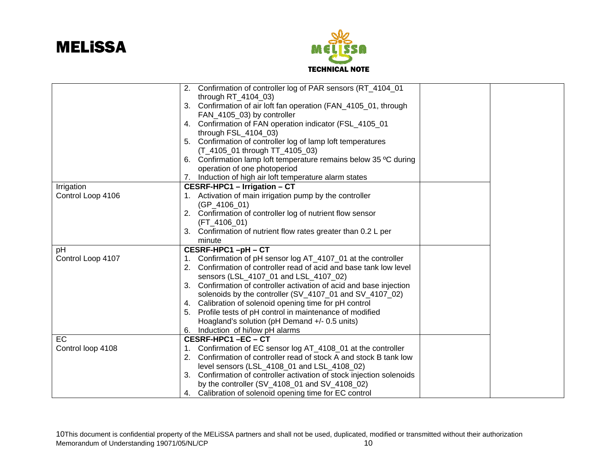

|                   | 2. Confirmation of controller log of PAR sensors (RT_4104_01          |
|-------------------|-----------------------------------------------------------------------|
|                   | through RT_4104_03)                                                   |
|                   | 3. Confirmation of air loft fan operation (FAN_4105_01, through       |
|                   | FAN_4105_03) by controller                                            |
|                   | 4. Confirmation of FAN operation indicator (FSL_4105_01               |
|                   | through FSL_4104_03)                                                  |
|                   | 5. Confirmation of controller log of lamp loft temperatures           |
|                   | (T_4105_01 through TT_4105_03)                                        |
|                   | 6. Confirmation lamp loft temperature remains below 35 °C during      |
|                   | operation of one photoperiod                                          |
|                   | 7. Induction of high air loft temperature alarm states                |
| Irrigation        | <b>CESRF-HPC1 - Irrigation - CT</b>                                   |
| Control Loop 4106 | 1. Activation of main irrigation pump by the controller               |
|                   | $(GP_4106_01)$                                                        |
|                   | 2. Confirmation of controller log of nutrient flow sensor             |
|                   | $(FT_4106_01)$                                                        |
|                   | 3. Confirmation of nutrient flow rates greater than 0.2 L per         |
|                   | minute                                                                |
| pH                | CESRF-HPC1-pH-CT                                                      |
| Control Loop 4107 | Confirmation of pH sensor log AT_4107_01 at the controller<br>1.      |
|                   | 2. Confirmation of controller read of acid and base tank low level    |
|                   | sensors (LSL_4107_01 and LSL_4107_02)                                 |
|                   | 3. Confirmation of controller activation of acid and base injection   |
|                   | solenoids by the controller (SV_4107_01 and SV_4107_02)               |
|                   | 4. Calibration of solenoid opening time for pH control                |
|                   | 5. Profile tests of pH control in maintenance of modified             |
|                   | Hoagland's solution (pH Demand +/- 0.5 units)                         |
|                   | Induction of hi/low pH alarms<br>6.                                   |
| EC                | CESRF-HPC1-EC-CT                                                      |
| Control loop 4108 | Confirmation of EC sensor log AT_4108_01 at the controller            |
|                   | 2. Confirmation of controller read of stock A and stock B tank low    |
|                   | level sensors (LSL_4108_01 and LSL_4108_02)                           |
|                   | 3. Confirmation of controller activation of stock injection solenoids |
|                   | by the controller (SV_4108_01 and SV_4108_02)                         |
|                   | 4. Calibration of solenoid opening time for EC control                |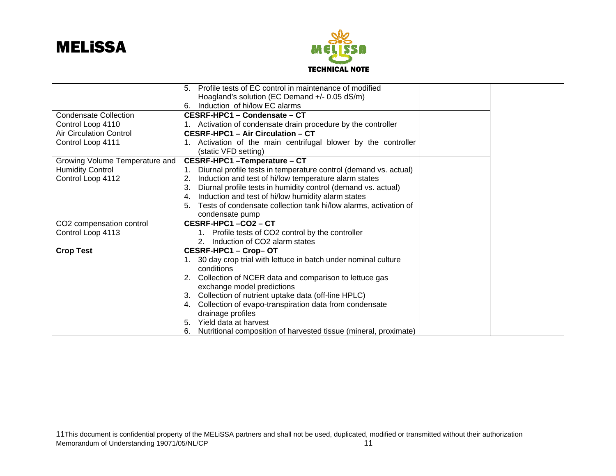

|                                | 5. Profile tests of EC control in maintenance of modified           |
|--------------------------------|---------------------------------------------------------------------|
|                                | Hoagland's solution (EC Demand +/- 0.05 dS/m)                       |
|                                | Induction of hi/low EC alarms<br>6.                                 |
| <b>Condensate Collection</b>   | CESRF-HPC1 - Condensate - CT                                        |
| Control Loop 4110              | Activation of condensate drain procedure by the controller          |
| <b>Air Circulation Control</b> | <b>CESRF-HPC1 - Air Circulation - CT</b>                            |
| Control Loop 4111              | 1. Activation of the main centrifugal blower by the controller      |
|                                | (static VFD setting)                                                |
| Growing Volume Temperature and | CESRF-HPC1-Temperature-CT                                           |
| <b>Humidity Control</b>        | Diurnal profile tests in temperature control (demand vs. actual)    |
| Control Loop 4112              | Induction and test of hi/low temperature alarm states<br>2.         |
|                                | Diurnal profile tests in humidity control (demand vs. actual)       |
|                                | Induction and test of hi/low humidity alarm states<br>4.            |
|                                | Tests of condensate collection tank hi/low alarms, activation of    |
|                                | condensate pump                                                     |
| CO2 compensation control       | CESRF-HPC1-CO2-CT                                                   |
| Control Loop 4113              | 1. Profile tests of CO2 control by the controller                   |
|                                | Induction of CO2 alarm states                                       |
| <b>Crop Test</b>               | CESRF-HPC1 - Crop-OT                                                |
|                                | 1. 30 day crop trial with lettuce in batch under nominal culture    |
|                                | conditions                                                          |
|                                | 2. Collection of NCER data and comparison to lettuce gas            |
|                                | exchange model predictions                                          |
|                                | 3. Collection of nutrient uptake data (off-line HPLC)               |
|                                | 4. Collection of evapo-transpiration data from condensate           |
|                                | drainage profiles                                                   |
|                                | Yield data at harvest<br>5.                                         |
|                                | 6. Nutritional composition of harvested tissue (mineral, proximate) |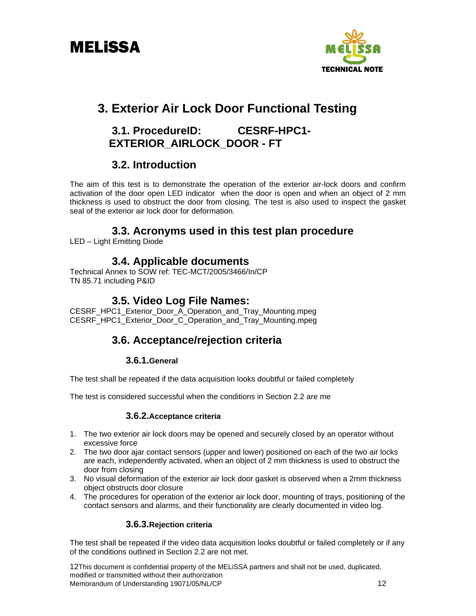<span id="page-14-0"></span>



## **3. Exterior Air Lock Door Functional Testing**

#### **3.1. ProcedureID: CESRF-HPC1- EXTERIOR\_AIRLOCK\_DOOR - FT**

#### **3.2. Introduction**

The aim of this test is to demonstrate the operation of the exterior air-lock doors and confirm activation of the door open LED indicator when the door is open and when an object of 2 mm thickness is used to obstruct the door from closing. The test is also used to inspect the gasket seal of the exterior air lock door for deformation.

#### **3.3. Acronyms used in this test plan procedure**

LED – Light Emitting Diode

#### **3.4. Applicable documents**

Technical Annex to SOW ref: TEC-MCT/2005/3466/In/CP TN 85.71 including P&ID

#### **3.5. Video Log File Names:**

CESRF\_HPC1\_Exterior\_Door\_A\_Operation\_and\_Tray\_Mounting.mpeg CESRF\_HPC1\_Exterior\_Door\_C\_Operation\_and\_Tray\_Mounting.mpeg

### **3.6. Acceptance/rejection criteria**

#### **3.6.1.General**

The test shall be repeated if the data acquisition looks doubtful or failed completely

The test is considered successful when the conditions in Section 2.2 are me

#### **3.6.2.Acceptance criteria**

- 1. The two exterior air lock doors may be opened and securely closed by an operator without excessive force
- 2. The two door ajar contact sensors (upper and lower) positioned on each of the two air locks are each, independently activated, when an object of 2 mm thickness is used to obstruct the door from closing
- 3. No visual deformation of the exterior air lock door gasket is observed when a 2mm thickness object obstructs door closure
- 4. The procedures for operation of the exterior air lock door, mounting of trays, positioning of the contact sensors and alarms, and their functionality are clearly documented in video log.

#### **3.6.3.Rejection criteria**

The test shall be repeated if the video data acquisition looks doubtful or failed completely or if any of the conditions outlined in Section 2.2 are not met.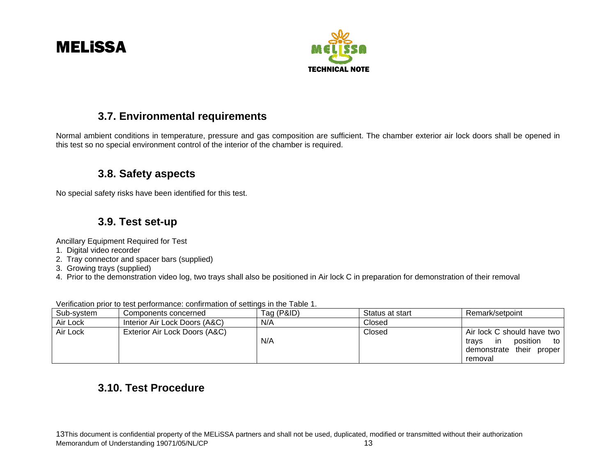



### **3.7. Environmental requirements**

Normal ambient conditions in temperature, pressure and gas composition are sufficient. The chamber exterior air lock doors shall be opened in this test so no special environment control of the interior of the chamber is required.

#### **3.8. Safety aspects**

No special safety risks have been identified for this test.

### **3.9. Test set-up**

Ancillary Equipment Required for Test

- 1. Digital video recorder
- 2. Tray connector and spacer bars (supplied)
- 3. Growing trays (supplied)
- 4. Prior to the demonstration video log, two trays shall also be positioned in Air lock C in preparation for demonstration of their removal

Verification prior to test performance: confirmation of settings in the Table 1.<br>Sub-system | Components concerned | Tag (P&ID) Sub-system Components concerned Tag (P&ID) Status at start Remark/setpoint Air Lock Interior Air Lock Doors (A&C) IN/A Closed Air Lock Exterior Air Lock Doors (A&C) N/A Closed **Air lock C** should have two trays in position to demonstrate their proper removal

## **3.10. Test Procedure**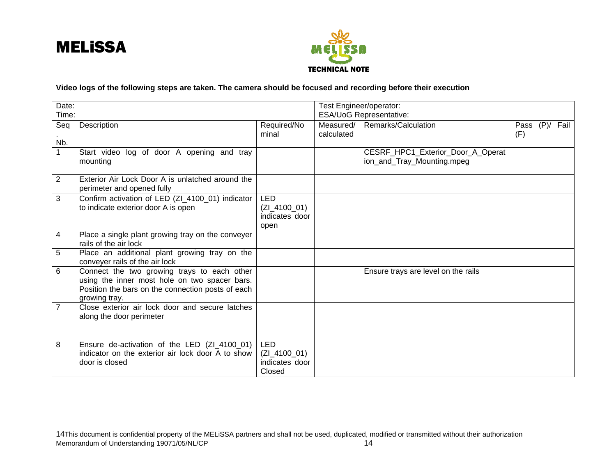



**Video logs of the following steps are taken. The camera should be focused and recording before their execution** 

| Date:<br>Time: |                                                                                                                                                                    |                                                          | Test Engineer/operator:<br><b>ESA/UoG Representative:</b> |                                                                 |                       |
|----------------|--------------------------------------------------------------------------------------------------------------------------------------------------------------------|----------------------------------------------------------|-----------------------------------------------------------|-----------------------------------------------------------------|-----------------------|
| Seq<br>Nb.     | Description                                                                                                                                                        | Required/No<br>minal                                     | Measured/<br>calculated                                   | Remarks/Calculation                                             | Pass (P)/ Fail<br>(F) |
|                | Start video log of door A opening and tray<br>mounting                                                                                                             |                                                          |                                                           | CESRF_HPC1_Exterior_Door_A_Operat<br>ion_and_Tray_Mounting.mpeg |                       |
| $\overline{2}$ | Exterior Air Lock Door A is unlatched around the<br>perimeter and opened fully                                                                                     |                                                          |                                                           |                                                                 |                       |
| 3              | Confirm activation of LED (ZI_4100_01) indicator<br>to indicate exterior door A is open                                                                            | <b>LED</b><br>$(ZI_4100_01)$<br>indicates door<br>open   |                                                           |                                                                 |                       |
| 4              | Place a single plant growing tray on the conveyer<br>rails of the air lock                                                                                         |                                                          |                                                           |                                                                 |                       |
| 5              | Place an additional plant growing tray on the<br>conveyer rails of the air lock                                                                                    |                                                          |                                                           |                                                                 |                       |
| 6              | Connect the two growing trays to each other<br>using the inner most hole on two spacer bars.<br>Position the bars on the connection posts of each<br>growing tray. |                                                          |                                                           | Ensure trays are level on the rails                             |                       |
| $\overline{7}$ | Close exterior air lock door and secure latches<br>along the door perimeter                                                                                        |                                                          |                                                           |                                                                 |                       |
| 8              | Ensure de-activation of the LED (ZI_4100_01)<br>indicator on the exterior air lock door A to show<br>door is closed                                                | <b>LED</b><br>$(ZI_4100_01)$<br>indicates door<br>Closed |                                                           |                                                                 |                       |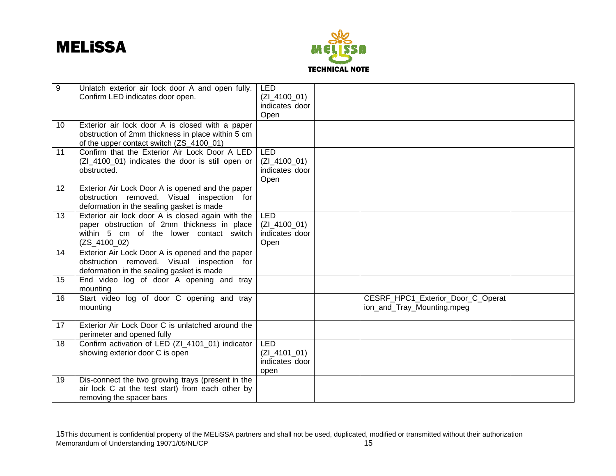



| 9               | Unlatch exterior air lock door A and open fully.<br>Confirm LED indicates door open.                                                                          | <b>LED</b><br>$(ZI_4100_01)$<br>indicates door<br>Open |                                                                 |  |
|-----------------|---------------------------------------------------------------------------------------------------------------------------------------------------------------|--------------------------------------------------------|-----------------------------------------------------------------|--|
| 10              | Exterior air lock door A is closed with a paper<br>obstruction of 2mm thickness in place within 5 cm<br>of the upper contact switch (ZS_4100_01)              |                                                        |                                                                 |  |
| 11              | Confirm that the Exterior Air Lock Door A LED<br>(ZI_4100_01) indicates the door is still open or<br>obstructed.                                              | <b>LED</b><br>$(ZI_4100_01)$<br>indicates door<br>Open |                                                                 |  |
| 12 <sup>2</sup> | Exterior Air Lock Door A is opened and the paper<br>obstruction removed. Visual inspection for<br>deformation in the sealing gasket is made                   |                                                        |                                                                 |  |
| 13              | Exterior air lock door A is closed again with the<br>paper obstruction of 2mm thickness in place<br>within 5 cm of the lower contact switch<br>$(ZS_4100_02)$ | <b>LED</b><br>$(ZI_4100_01)$<br>indicates door<br>Open |                                                                 |  |
| 14              | Exterior Air Lock Door A is opened and the paper<br>obstruction removed. Visual inspection for<br>deformation in the sealing gasket is made                   |                                                        |                                                                 |  |
| 15              | End video log of door A opening and tray<br>mounting                                                                                                          |                                                        |                                                                 |  |
| 16              | Start video log of door C opening and tray<br>mounting                                                                                                        |                                                        | CESRF_HPC1_Exterior_Door_C_Operat<br>ion_and_Tray_Mounting.mpeg |  |
| 17              | Exterior Air Lock Door C is unlatched around the<br>perimeter and opened fully                                                                                |                                                        |                                                                 |  |
| 18              | Confirm activation of LED (ZI_4101_01) indicator<br>showing exterior door C is open                                                                           | <b>LED</b><br>$(ZI_4101_01)$<br>indicates door<br>open |                                                                 |  |
| 19              | Dis-connect the two growing trays (present in the<br>air lock C at the test start) from each other by<br>removing the spacer bars                             |                                                        |                                                                 |  |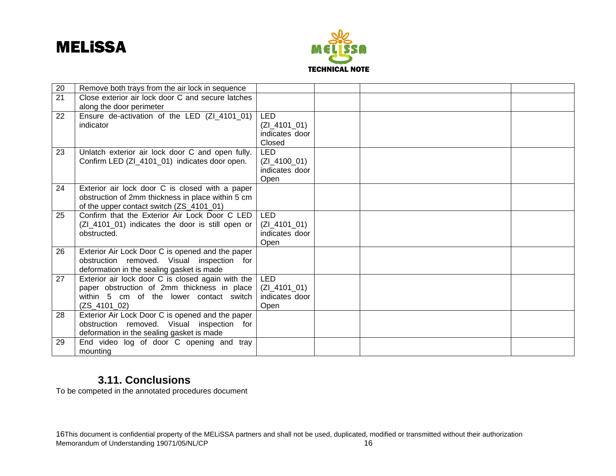



| 20 | Remove both trays from the air lock in sequence                 |                                  |  |  |
|----|-----------------------------------------------------------------|----------------------------------|--|--|
| 21 | Close exterior air lock door C and secure latches               |                                  |  |  |
|    | along the door perimeter                                        |                                  |  |  |
| 22 | Ensure de-activation of the LED (ZI_4101_01)                    | <b>LED</b>                       |  |  |
|    | indicator                                                       | $(ZI_4101_01)$                   |  |  |
|    |                                                                 | indicates door                   |  |  |
|    |                                                                 | Closed                           |  |  |
| 23 | Unlatch exterior air lock door C and open fully.                | <b>LED</b>                       |  |  |
|    | Confirm LED (ZI_4101_01) indicates door open.                   | $(ZI_4100_01)$                   |  |  |
|    |                                                                 | indicates door                   |  |  |
|    |                                                                 | Open                             |  |  |
| 24 | Exterior air lock door C is closed with a paper                 |                                  |  |  |
|    | obstruction of 2mm thickness in place within 5 cm               |                                  |  |  |
|    | of the upper contact switch (ZS_4101_01)                        |                                  |  |  |
| 25 | Confirm that the Exterior Air Lock Door C LED                   | <b>LED</b>                       |  |  |
|    | (ZI_4101_01) indicates the door is still open or<br>obstructed. | $(ZI_4101_01)$<br>indicates door |  |  |
|    |                                                                 |                                  |  |  |
| 26 | Exterior Air Lock Door C is opened and the paper                | Open                             |  |  |
|    | obstruction removed. Visual inspection for                      |                                  |  |  |
|    | deformation in the sealing gasket is made                       |                                  |  |  |
| 27 | Exterior air lock door C is closed again with the               | <b>LED</b>                       |  |  |
|    | paper obstruction of 2mm thickness in place                     | $(ZI_4101_01)$                   |  |  |
|    | within 5 cm of the lower contact switch                         | indicates door                   |  |  |
|    | $(ZS_4101_02)$                                                  | Open                             |  |  |
| 28 | Exterior Air Lock Door C is opened and the paper                |                                  |  |  |
|    | obstruction removed. Visual inspection for                      |                                  |  |  |
|    | deformation in the sealing gasket is made                       |                                  |  |  |
| 29 | End video log of door C opening and tray                        |                                  |  |  |
|    | mounting                                                        |                                  |  |  |

### **3.11. Conclusions**

To be competed in the annotated procedures document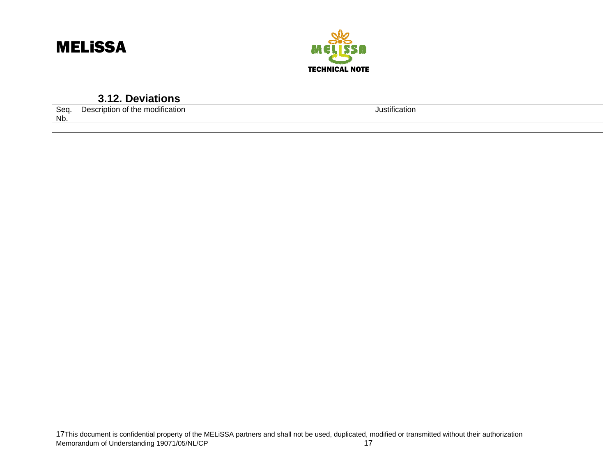



#### **3.12. Deviations**

| $S_{\Omega}$<br>vou<br>Nb. | <br>∈of the modification<br>Jescription<br>Desu | .<br>ustificatior |
|----------------------------|-------------------------------------------------|-------------------|
|                            |                                                 |                   |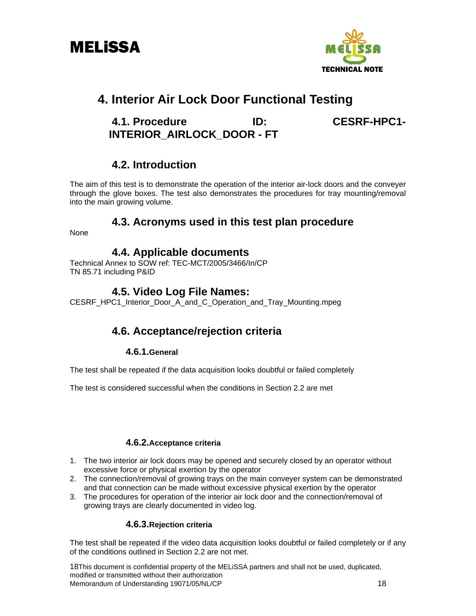<span id="page-20-0"></span>



## **4. Interior Air Lock Door Functional Testing**

**4.1. Procedure ID: CESRF-HPC1- INTERIOR\_AIRLOCK\_DOOR - FT** 

#### **4.2. Introduction**

The aim of this test is to demonstrate the operation of the interior air-lock doors and the conveyer through the glove boxes. The test also demonstrates the procedures for tray mounting/removal into the main growing volume.

#### **4.3. Acronyms used in this test plan procedure**

None

#### **4.4. Applicable documents**

Technical Annex to SOW ref: TEC-MCT/2005/3466/In/CP TN 85.71 including P&ID

#### **4.5. Video Log File Names:**

CESRF\_HPC1\_Interior\_Door\_A\_and\_C\_Operation\_and\_Tray\_Mounting.mpeg

#### **4.6. Acceptance/rejection criteria**

#### **4.6.1.General**

The test shall be repeated if the data acquisition looks doubtful or failed completely

The test is considered successful when the conditions in Section 2.2 are met

#### **4.6.2.Acceptance criteria**

- 1. The two interior air lock doors may be opened and securely closed by an operator without excessive force or physical exertion by the operator
- 2. The connection/removal of growing trays on the main conveyer system can be demonstrated and that connection can be made without excessive physical exertion by the operator
- 3. The procedures for operation of the interior air lock door and the connection/removal of growing trays are clearly documented in video log.

#### **4.6.3.Rejection criteria**

The test shall be repeated if the video data acquisition looks doubtful or failed completely or if any of the conditions outlined in Section 2.2 are not met.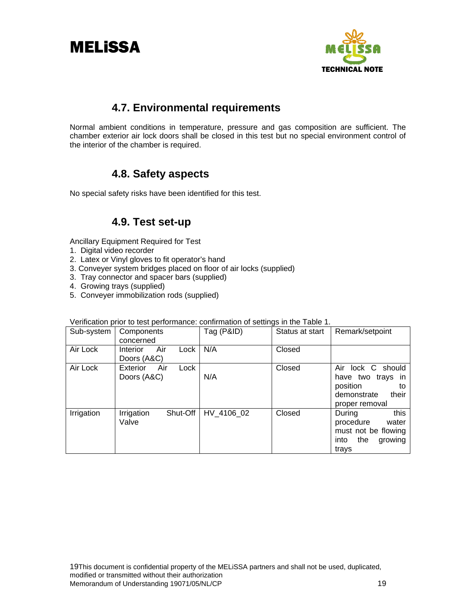



#### **4.7. Environmental requirements**

Normal ambient conditions in temperature, pressure and gas composition are sufficient. The chamber exterior air lock doors shall be closed in this test but no special environment control of the interior of the chamber is required.

#### **4.8. Safety aspects**

No special safety risks have been identified for this test.

#### **4.9. Test set-up**

Ancillary Equipment Required for Test

- 1. Digital video recorder
- 2. Latex or Vinyl gloves to fit operator's hand
- 3. Conveyer system bridges placed on floor of air locks (supplied)
- 3. Tray connector and spacer bars (supplied)
- 4. Growing trays (supplied)
- 5. Conveyer immobilization rods (supplied)

|            | <u>VUINGANON PHOL tO tOST DUNUMENTOC. COMMITMANON OF SUTHINGS IN THE TRIDIO T.</u> |            |                 |                        |
|------------|------------------------------------------------------------------------------------|------------|-----------------|------------------------|
| Sub-system | Components                                                                         | Tag (P&ID) | Status at start | Remark/setpoint        |
|            | concerned                                                                          |            |                 |                        |
| Air Lock   | Air<br>Lock<br>Interior                                                            | N/A        | Closed          |                        |
|            | Doors (A&C)                                                                        |            |                 |                        |
| Air Lock   | Air<br>Exterior<br>Lock                                                            |            | Closed          | Air lock C<br>should   |
|            | Doors (A&C)                                                                        | N/A        |                 | have two trays in      |
|            |                                                                                    |            |                 | position<br>to         |
|            |                                                                                    |            |                 | their<br>demonstrate   |
|            |                                                                                    |            |                 | proper removal         |
| Irrigation | Irrigation<br>Shut-Off                                                             | HV 4106 02 | Closed          | this<br>During         |
|            | Valve                                                                              |            |                 | procedure<br>water     |
|            |                                                                                    |            |                 | must not be flowing    |
|            |                                                                                    |            |                 | the<br>growing<br>into |
|            |                                                                                    |            |                 | trays                  |

#### Verification prior to test performance: confirmation of settings in the Table 1.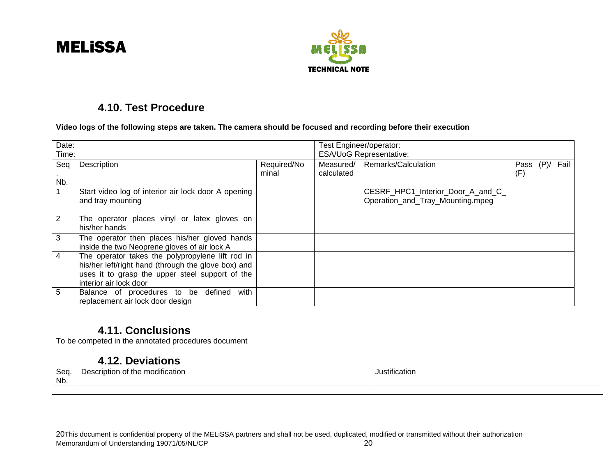

## **4.10. Test Procedure**

**Video logs of the following steps are taken. The camera should be focused and recording before their execution** 

| Date:<br>Time: |                                                                                                                                                                                      |                      | Test Engineer/operator:<br><b>ESA/UoG Representative:</b> |                                                                       |             |      |      |
|----------------|--------------------------------------------------------------------------------------------------------------------------------------------------------------------------------------|----------------------|-----------------------------------------------------------|-----------------------------------------------------------------------|-------------|------|------|
| Seq            | Description                                                                                                                                                                          | Required/No<br>minal | Measured/<br>calculated                                   | <b>Remarks/Calculation</b>                                            | Pass<br>(F) | (P)/ | Fail |
| Nb.            |                                                                                                                                                                                      |                      |                                                           |                                                                       |             |      |      |
| 1              | Start video log of interior air lock door A opening<br>and tray mounting                                                                                                             |                      |                                                           | CESRF_HPC1_Interior_Door_A_and_C_<br>Operation_and_Tray_Mounting.mpeg |             |      |      |
| $\overline{2}$ | The operator places vinyl or latex gloves on<br>his/her hands                                                                                                                        |                      |                                                           |                                                                       |             |      |      |
| 3              | The operator then places his/her gloved hands<br>inside the two Neoprene gloves of air lock A                                                                                        |                      |                                                           |                                                                       |             |      |      |
| $\overline{4}$ | The operator takes the polypropylene lift rod in<br>his/her left/right hand (through the glove box) and<br>uses it to grasp the upper steel support of the<br>interior air lock door |                      |                                                           |                                                                       |             |      |      |
| 5.             | Balance of procedures to be defined<br>with<br>replacement air lock door design                                                                                                      |                      |                                                           |                                                                       |             |      |      |

## **4.11. Conclusions**

To be competed in the annotated procedures document

## **4.12. Deviations**

| $S_{\Omega}$<br><b>OCH</b><br>Nb. | <br>escription of the n<br>modification | $\cdots$<br>Justification |
|-----------------------------------|-----------------------------------------|---------------------------|
|                                   |                                         |                           |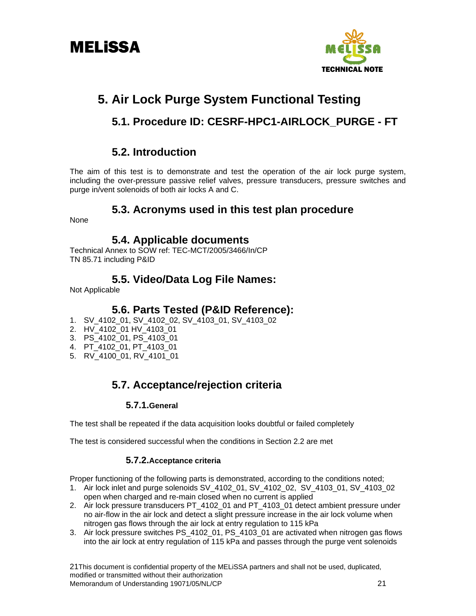<span id="page-23-0"></span>



## **5. Air Lock Purge System Functional Testing**

## **5.1. Procedure ID: CESRF-HPC1-AIRLOCK\_PURGE - FT**

#### **5.2. Introduction**

The aim of this test is to demonstrate and test the operation of the air lock purge system, including the over-pressure passive relief valves, pressure transducers, pressure switches and purge in/vent solenoids of both air locks A and C.

#### **5.3. Acronyms used in this test plan procedure**

None

#### **5.4. Applicable documents**

Technical Annex to SOW ref: TEC-MCT/2005/3466/In/CP TN 85.71 including P&ID

#### **5.5. Video/Data Log File Names:**

Not Applicable

#### **5.6. Parts Tested (P&ID Reference):**

- 1. SV\_4102\_01, SV\_4102\_02, SV\_4103\_01, SV\_4103\_02
- 2. HV\_4102\_01 HV\_4103\_01
- 3. PS\_4102\_01, PS\_4103\_01
- 4. PT\_4102\_01, PT\_4103\_01
- 5. RV\_4100\_01, RV\_4101\_01

### **5.7. Acceptance/rejection criteria**

#### **5.7.1.General**

The test shall be repeated if the data acquisition looks doubtful or failed completely

The test is considered successful when the conditions in Section 2.2 are met

#### **5.7.2.Acceptance criteria**

Proper functioning of the following parts is demonstrated, according to the conditions noted;

- 1. Air lock inlet and purge solenoids SV\_4102\_01, SV\_4102\_02, SV\_4103\_01, SV\_4103\_02 open when charged and re-main closed when no current is applied
- 2. Air lock pressure transducers PT\_4102\_01 and PT\_4103\_01 detect ambient pressure under no air-flow in the air lock and detect a slight pressure increase in the air lock volume when nitrogen gas flows through the air lock at entry regulation to 115 kPa
- 3. Air lock pressure switches PS\_4102\_01, PS\_4103\_01 are activated when nitrogen gas flows into the air lock at entry regulation of 115 kPa and passes through the purge vent solenoids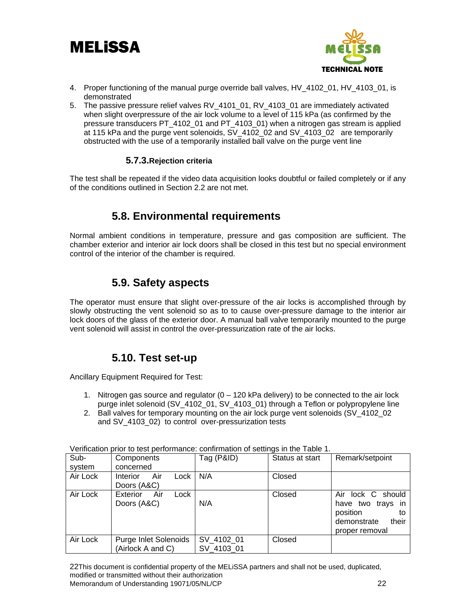



- 4. Proper functioning of the manual purge override ball valves, HV 4102 01, HV 4103 01, is demonstrated
- 5. The passive pressure relief valves RV\_4101\_01, RV\_4103\_01 are immediately activated when slight overpressure of the air lock volume to a level of 115 kPa (as confirmed by the pressure transducers PT\_4102\_01 and PT\_4103\_01) when a nitrogen gas stream is applied at 115 kPa and the purge vent solenoids, SV\_4102\_02 and SV\_4103\_02 are temporarily obstructed with the use of a temporarily installed ball valve on the purge vent line

#### **5.7.3.Rejection criteria**

The test shall be repeated if the video data acquisition looks doubtful or failed completely or if any of the conditions outlined in Section 2.2 are not met.

#### **5.8. Environmental requirements**

Normal ambient conditions in temperature, pressure and gas composition are sufficient. The chamber exterior and interior air lock doors shall be closed in this test but no special environment control of the interior of the chamber is required.

### **5.9. Safety aspects**

The operator must ensure that slight over-pressure of the air locks is accomplished through by slowly obstructing the vent solenoid so as to to cause over-pressure damage to the interior air lock doors of the glass of the exterior door. A manual ball valve temporarily mounted to the purge vent solenoid will assist in control the over-pressurization rate of the air locks.

### **5.10. Test set-up**

Ancillary Equipment Required for Test:

- 1. Nitrogen gas source and regulator (0 120 kPa delivery) to be connected to the air lock purge inlet solenoid (SV\_4102\_01, SV\_4103\_01) through a Teflon or polypropylene line
- 2. Ball valves for temporary mounting on the air lock purge vent solenoids (SV\_4102\_02 and SV\_4103\_02) to control over-pressurization tests

| Sub-     | Components                                        | Tag (P&ID)               | Status at start | Remark/setpoint                                                                                    |  |  |
|----------|---------------------------------------------------|--------------------------|-----------------|----------------------------------------------------------------------------------------------------|--|--|
| system   | concerned                                         |                          |                 |                                                                                                    |  |  |
| Air Lock | Air<br>Lock<br>Interior<br>Doors (A&C)            | N/A                      | Closed          |                                                                                                    |  |  |
| Air Lock | Exterior<br>Air<br>Lock<br>Doors (A&C)            | N/A                      | Closed          | Air lock C should<br>have two trays in<br>position<br>to<br>their<br>demonstrate<br>proper removal |  |  |
| Air Lock | <b>Purge Inlet Solenoids</b><br>(Airlock A and C) | SV 4102 01<br>SV 4103 01 | Closed          |                                                                                                    |  |  |

Verification prior to test performance: confirmation of settings in the Table 1.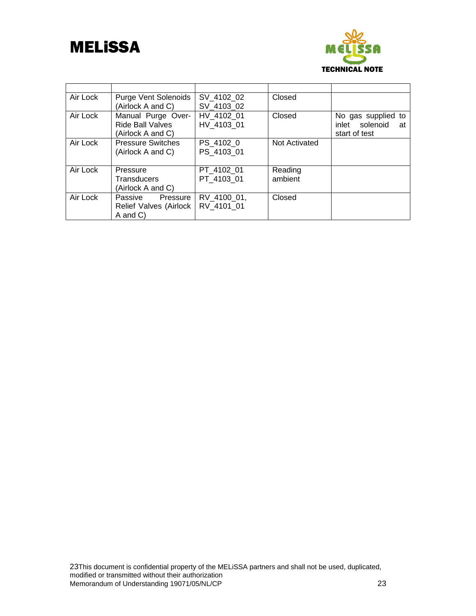



| Air Lock | <b>Purge Vent Solenoids</b> | SV 4102 02  | Closed        |                      |
|----------|-----------------------------|-------------|---------------|----------------------|
|          | (Airlock A and C)           | SV 4103 02  |               |                      |
| Air Lock | Manual Purge Over-          | HV 4102 01  | Closed        | No gas supplied to   |
|          | <b>Ride Ball Valves</b>     | HV 4103 01  |               | inlet solenoid<br>at |
|          | (Airlock A and C)           |             |               | start of test        |
| Air Lock | <b>Pressure Switches</b>    | PS 4102 0   | Not Activated |                      |
|          | (Airlock A and C)           | PS 4103 01  |               |                      |
|          |                             |             |               |                      |
| Air Lock | Pressure                    | PT 4102 01  | Reading       |                      |
|          | <b>Transducers</b>          | PT 4103 01  | ambient       |                      |
|          | (Airlock A and C)           |             |               |                      |
| Air Lock | Passive<br>Pressure         | RV 4100 01, | Closed        |                      |
|          | Relief Valves (Airlock      | RV_4101_01  |               |                      |
|          | A and C)                    |             |               |                      |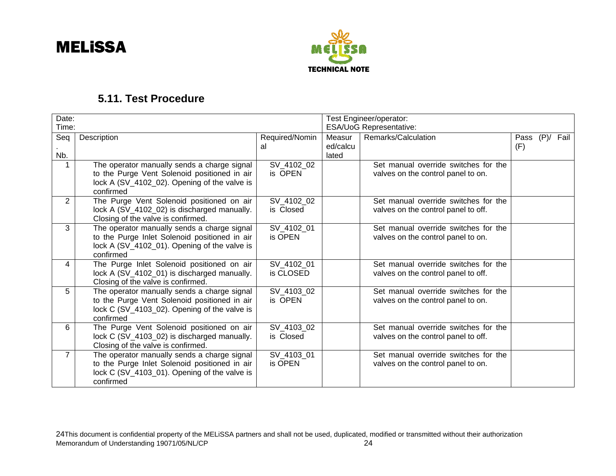

## **5.11. Test Procedure**

|                | Date:<br>Time:                                                                                                                                            |                         |                    | Test Engineer/operator:<br><b>ESA/UoG Representative:</b>                   |                          |  |
|----------------|-----------------------------------------------------------------------------------------------------------------------------------------------------------|-------------------------|--------------------|-----------------------------------------------------------------------------|--------------------------|--|
| Seq            | Description                                                                                                                                               | Required/Nomin<br>al    | Measur<br>ed/calcu | Remarks/Calculation                                                         | Pass (P)/<br>Fail<br>(F) |  |
| Nb.            |                                                                                                                                                           |                         | lated              |                                                                             |                          |  |
| 1              | The operator manually sends a charge signal<br>to the Purge Vent Solenoid positioned in air<br>lock A (SV_4102_02). Opening of the valve is<br>confirmed  | SV_4102_02<br>is OPEN   |                    | Set manual override switches for the<br>valves on the control panel to on.  |                          |  |
| $\overline{2}$ | The Purge Vent Solenoid positioned on air<br>lock A (SV_4102_02) is discharged manually.<br>Closing of the valve is confirmed.                            | SV_4102_02<br>is Closed |                    | Set manual override switches for the<br>valves on the control panel to off. |                          |  |
| 3              | The operator manually sends a charge signal<br>to the Purge Inlet Solenoid positioned in air<br>lock A (SV_4102_01). Opening of the valve is<br>confirmed | SV_4102_01<br>is OPEN   |                    | Set manual override switches for the<br>valves on the control panel to on.  |                          |  |
| 4              | The Purge Inlet Solenoid positioned on air<br>lock A (SV_4102_01) is discharged manually.<br>Closing of the valve is confirmed.                           | SV_4102_01<br>is CLOSED |                    | Set manual override switches for the<br>valves on the control panel to off. |                          |  |
| 5              | The operator manually sends a charge signal<br>to the Purge Vent Solenoid positioned in air<br>lock C (SV_4103_02). Opening of the valve is<br>confirmed  | SV 4103 02<br>is OPEN   |                    | Set manual override switches for the<br>valves on the control panel to on.  |                          |  |
| 6              | The Purge Vent Solenoid positioned on air<br>lock C (SV_4103_02) is discharged manually.<br>Closing of the valve is confirmed.                            | SV_4103_02<br>is Closed |                    | Set manual override switches for the<br>valves on the control panel to off. |                          |  |
| $\overline{7}$ | The operator manually sends a charge signal<br>to the Purge Inlet Solenoid positioned in air<br>lock C (SV_4103_01). Opening of the valve is<br>confirmed | SV_4103_01<br>is OPEN   |                    | Set manual override switches for the<br>valves on the control panel to on.  |                          |  |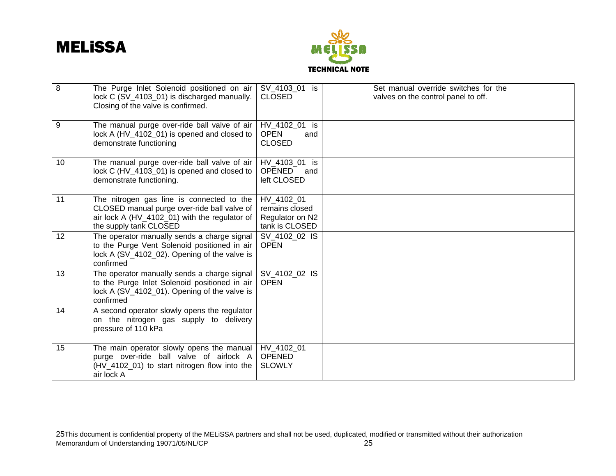



| 8               | The Purge Inlet Solenoid positioned on air<br>lock C (SV_4103_01) is discharged manually.<br>Closing of the valve is confirmed.                                     | SV_4103_01 is<br><b>CLOSED</b>                                    | Set manual override switches for the<br>valves on the control panel to off. |  |
|-----------------|---------------------------------------------------------------------------------------------------------------------------------------------------------------------|-------------------------------------------------------------------|-----------------------------------------------------------------------------|--|
| 9               | The manual purge over-ride ball valve of air<br>lock A (HV_4102_01) is opened and closed to<br>demonstrate functioning                                              | HV_4102_01 is<br><b>OPEN</b><br>and<br><b>CLOSED</b>              |                                                                             |  |
| 10 <sup>1</sup> | The manual purge over-ride ball valve of air<br>lock C (HV_4103_01) is opened and closed to<br>demonstrate functioning.                                             | HV_4103_01 is<br>OPENED and<br>left CLOSED                        |                                                                             |  |
| 11              | The nitrogen gas line is connected to the<br>CLOSED manual purge over-ride ball valve of<br>air lock A (HV_4102_01) with the regulator of<br>the supply tank CLOSED | HV_4102_01<br>remains closed<br>Regulator on N2<br>tank is CLOSED |                                                                             |  |
| 12 <sup>2</sup> | The operator manually sends a charge signal<br>to the Purge Vent Solenoid positioned in air<br>lock A (SV 4102 02). Opening of the valve is<br>confirmed            | SV_4102_02 IS<br><b>OPEN</b>                                      |                                                                             |  |
| 13              | The operator manually sends a charge signal<br>to the Purge Inlet Solenoid positioned in air<br>lock A (SV_4102_01). Opening of the valve is<br>confirmed           | SV 4102 02 IS<br><b>OPEN</b>                                      |                                                                             |  |
| 14              | A second operator slowly opens the regulator<br>on the nitrogen gas supply to delivery<br>pressure of 110 kPa                                                       |                                                                   |                                                                             |  |
| 15              | The main operator slowly opens the manual<br>purge over-ride ball valve of airlock A<br>(HV 4102 01) to start nitrogen flow into the<br>air lock A                  | HV_4102_01<br>OPENED<br><b>SLOWLY</b>                             |                                                                             |  |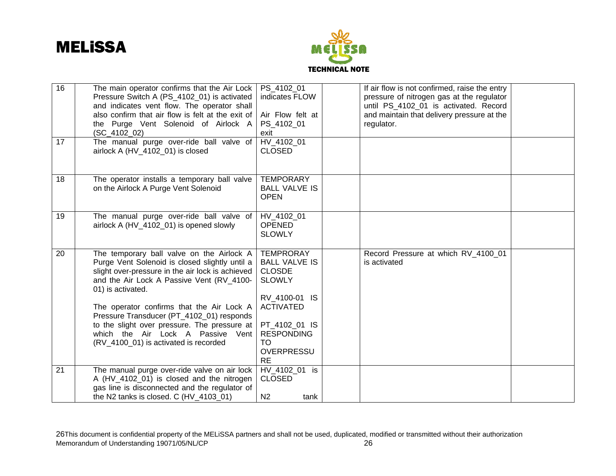



| $\overline{16}$<br>17 | The main operator confirms that the Air Lock<br>Pressure Switch A (PS_4102_01) is activated<br>and indicates vent flow. The operator shall<br>also confirm that air flow is felt at the exit of<br>the Purge Vent Solenoid of Airlock A<br>$(SC_4102_02)$<br>The manual purge over-ride ball valve of<br>airlock A (HV_4102_01) is closed                                                                                                 | PS_4102_01<br>indicates FLOW<br>Air Flow felt at<br>PS_4102_01<br>exit<br>HV_4102_01<br><b>CLOSED</b>                                                              | If air flow is not confirmed, raise the entry<br>pressure of nitrogen gas at the regulator<br>until PS_4102_01 is activated. Record<br>and maintain that delivery pressure at the<br>regulator. |  |
|-----------------------|-------------------------------------------------------------------------------------------------------------------------------------------------------------------------------------------------------------------------------------------------------------------------------------------------------------------------------------------------------------------------------------------------------------------------------------------|--------------------------------------------------------------------------------------------------------------------------------------------------------------------|-------------------------------------------------------------------------------------------------------------------------------------------------------------------------------------------------|--|
| 18                    | The operator installs a temporary ball valve<br>on the Airlock A Purge Vent Solenoid                                                                                                                                                                                                                                                                                                                                                      | <b>TEMPORARY</b><br><b>BALL VALVE IS</b><br><b>OPEN</b>                                                                                                            |                                                                                                                                                                                                 |  |
| 19                    | The manual purge over-ride ball valve of<br>airlock A (HV_4102_01) is opened slowly                                                                                                                                                                                                                                                                                                                                                       | HV_4102_01<br><b>OPENED</b><br><b>SLOWLY</b>                                                                                                                       |                                                                                                                                                                                                 |  |
| 20                    | The temporary ball valve on the Airlock A<br>Purge Vent Solenoid is closed slightly until a<br>slight over-pressure in the air lock is achieved<br>and the Air Lock A Passive Vent (RV_4100-<br>01) is activated.<br>The operator confirms that the Air Lock A<br>Pressure Transducer (PT_4102_01) responds<br>to the slight over pressure. The pressure at<br>which the Air Lock A Passive Vent<br>(RV_4100_01) is activated is recorded | <b>TEMPRORAY</b><br><b>BALL VALVE IS</b><br><b>CLOSDE</b><br><b>SLOWLY</b><br>RV 4100-01 IS<br><b>ACTIVATED</b><br>PT_4102_01 IS<br><b>RESPONDING</b><br><b>TO</b> | Record Pressure at which RV_4100_01<br>is activated                                                                                                                                             |  |
|                       |                                                                                                                                                                                                                                                                                                                                                                                                                                           | <b>OVERPRESSU</b><br><b>RE</b>                                                                                                                                     |                                                                                                                                                                                                 |  |
| 21                    | The manual purge over-ride valve on air lock<br>A (HV_4102_01) is closed and the nitrogen<br>gas line is disconnected and the regulator of<br>the N2 tanks is closed. C (HV_4103_01)                                                                                                                                                                                                                                                      | HV_4102_01 is<br><b>CLOSED</b><br>N <sub>2</sub><br>tank                                                                                                           |                                                                                                                                                                                                 |  |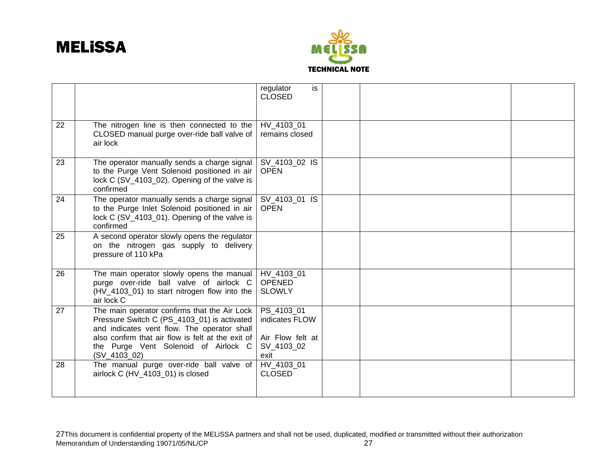



|    |                                                                                                                                                                                                                                                           | is<br>regulator<br><b>CLOSED</b>                                       |  |  |
|----|-----------------------------------------------------------------------------------------------------------------------------------------------------------------------------------------------------------------------------------------------------------|------------------------------------------------------------------------|--|--|
| 22 | The nitrogen line is then connected to the<br>CLOSED manual purge over-ride ball valve of<br>air lock                                                                                                                                                     | HV_4103_01<br>remains closed                                           |  |  |
| 23 | The operator manually sends a charge signal<br>to the Purge Vent Solenoid positioned in air<br>lock C (SV_4103_02). Opening of the valve is<br>confirmed                                                                                                  | SV 4103 02 IS<br><b>OPEN</b>                                           |  |  |
| 24 | The operator manually sends a charge signal<br>to the Purge Inlet Solenoid positioned in air<br>lock C (SV_4103_01). Opening of the valve is<br>confirmed                                                                                                 | SV 4103 01 IS<br><b>OPEN</b>                                           |  |  |
| 25 | A second operator slowly opens the regulator<br>on the nitrogen gas supply to delivery<br>pressure of 110 kPa                                                                                                                                             |                                                                        |  |  |
| 26 | The main operator slowly opens the manual<br>purge over-ride ball valve of airlock C<br>(HV_4103_01) to start nitrogen flow into the<br>air lock C                                                                                                        | HV_4103_01<br><b>OPENED</b><br><b>SLOWLY</b>                           |  |  |
| 27 | The main operator confirms that the Air Lock<br>Pressure Switch C (PS_4103_01) is activated<br>and indicates vent flow. The operator shall<br>also confirm that air flow is felt at the exit of<br>the Purge Vent Solenoid of Airlock C<br>$(SV_4103_02)$ | PS 4103 01<br>indicates FLOW<br>Air Flow felt at<br>SV_4103_02<br>exit |  |  |
| 28 | The manual purge over-ride ball valve of<br>airlock C (HV_4103_01) is closed                                                                                                                                                                              | HV 4103 01<br><b>CLOSED</b>                                            |  |  |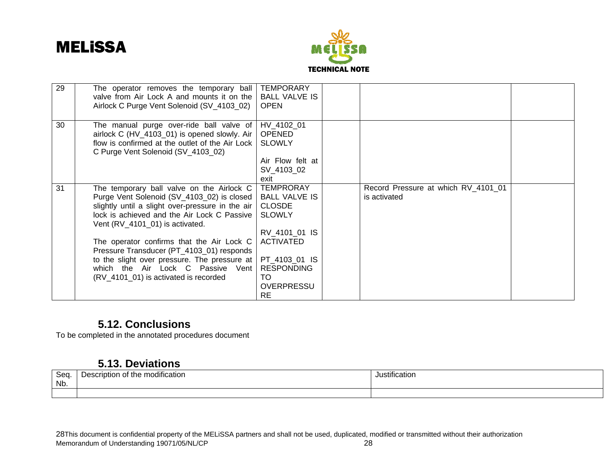



| 29 | The operator removes the temporary ball<br>valve from Air Lock A and mounts it on the<br>Airlock C Purge Vent Solenoid (SV_4103_02)                                                                                                                                                                                                                                                                                                                   | <b>TEMPORARY</b><br><b>BALL VALVE IS</b><br><b>OPEN</b>                                                                                                                                       |                                                     |  |
|----|-------------------------------------------------------------------------------------------------------------------------------------------------------------------------------------------------------------------------------------------------------------------------------------------------------------------------------------------------------------------------------------------------------------------------------------------------------|-----------------------------------------------------------------------------------------------------------------------------------------------------------------------------------------------|-----------------------------------------------------|--|
| 30 | The manual purge over-ride ball valve of<br>airlock C (HV_4103_01) is opened slowly. Air<br>flow is confirmed at the outlet of the Air Lock<br>C Purge Vent Solenoid (SV_4103_02)                                                                                                                                                                                                                                                                     | HV_4102_01<br><b>OPENED</b><br><b>SLOWLY</b><br>Air Flow felt at<br>SV 4103 02<br>exit                                                                                                        |                                                     |  |
| 31 | The temporary ball valve on the Airlock C<br>Purge Vent Solenoid (SV_4103_02) is closed<br>slightly until a slight over-pressure in the air<br>lock is achieved and the Air Lock C Passive<br>Vent (RV_4101_01) is activated.<br>The operator confirms that the Air Lock C<br>Pressure Transducer (PT_4103_01) responds<br>to the slight over pressure. The pressure at<br>which the Air Lock C Passive Vent<br>(RV_4101_01) is activated is recorded | <b>TEMPRORAY</b><br><b>BALL VALVE IS</b><br><b>CLOSDE</b><br><b>SLOWLY</b><br>RV_4101_01 IS<br><b>ACTIVATED</b><br>PT 4103 01 IS<br><b>RESPONDING</b><br>TO<br><b>OVERPRESSU</b><br><b>RE</b> | Record Pressure at which RV_4101_01<br>is activated |  |

#### **5.12. Conclusions**

To be completed in the annotated procedures document

#### **5.13. Deviations**

| $S_{\Omega}$<br><b>UGY</b> | $\cdots$<br>nodification !<br>the<br>Ωt<br>٦Δ<br>ישוט | .<br>stification |
|----------------------------|-------------------------------------------------------|------------------|
| Nb.                        |                                                       |                  |
|                            |                                                       |                  |

28This document is confidential property of the MELiSSA partners and shall not be used, duplicated, modified or transmitted without their authorization<br>Memorandum of Understanding 19071/05/NL/CP<br>28 Memorandum of Understanding 19071/05/NL/CP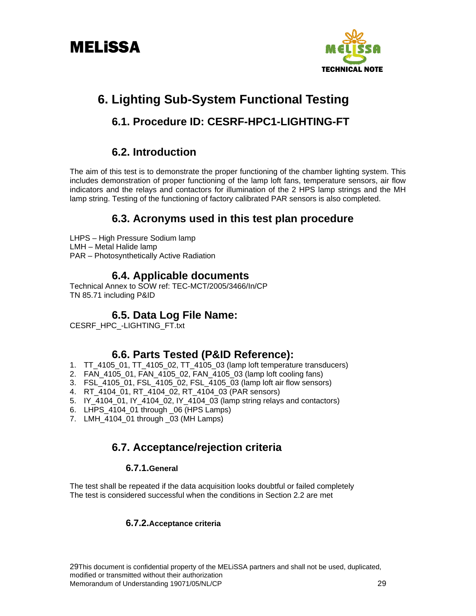<span id="page-31-0"></span>



## **6. Lighting Sub-System Functional Testing**

## **6.1. Procedure ID: CESRF-HPC1-LIGHTING-FT**

#### **6.2. Introduction**

The aim of this test is to demonstrate the proper functioning of the chamber lighting system. This includes demonstration of proper functioning of the lamp loft fans, temperature sensors, air flow indicators and the relays and contactors for illumination of the 2 HPS lamp strings and the MH lamp string. Testing of the functioning of factory calibrated PAR sensors is also completed.

### **6.3. Acronyms used in this test plan procedure**

LHPS – High Pressure Sodium lamp LMH – Metal Halide lamp PAR – Photosynthetically Active Radiation

#### **6.4. Applicable documents**

Technical Annex to SOW ref: TEC-MCT/2005/3466/In/CP TN 85.71 including P&ID

#### **6.5. Data Log File Name:**

CESRF\_HPC\_-LIGHTING\_FT.txt

### **6.6. Parts Tested (P&ID Reference):**

- 1. TT\_4105\_01, TT\_4105\_02, TT\_4105\_03 (lamp loft temperature transducers)
- 2. FAN\_4105\_01, FAN\_4105\_02, FAN\_4105\_03 (lamp loft cooling fans)
- 3. FSL\_4105\_01, FSL\_4105\_02, FSL\_4105\_03 (lamp loft air flow sensors)
- 4. RT\_4104\_01, RT\_4104\_02, RT\_4104\_03 (PAR sensors)
- 5. IY\_4104\_01, IY\_4104\_02, IY\_4104\_03 (lamp string relays and contactors)
- 6. LHPS\_4104\_01 through \_06 (HPS Lamps)
- 7. LMH\_4104\_01 through \_03 (MH Lamps)

### **6.7. Acceptance/rejection criteria**

#### **6.7.1.General**

The test shall be repeated if the data acquisition looks doubtful or failed completely The test is considered successful when the conditions in Section 2.2 are met

#### **6.7.2.Acceptance criteria**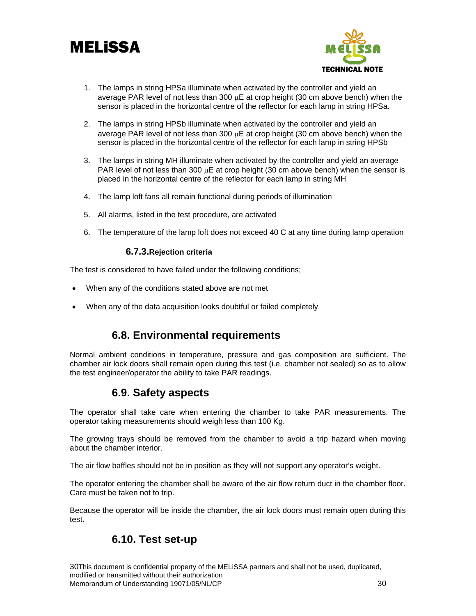



- 1. The lamps in string HPSa illuminate when activated by the controller and yield an average PAR level of not less than  $300 \mu E$  at crop height (30 cm above bench) when the sensor is placed in the horizontal centre of the reflector for each lamp in string HPSa.
- 2. The lamps in string HPSb illuminate when activated by the controller and yield an average PAR level of not less than 300 μE at crop height (30 cm above bench) when the sensor is placed in the horizontal centre of the reflector for each lamp in string HPSb
- 3. The lamps in string MH illuminate when activated by the controller and yield an average PAR level of not less than 300  $\mu$ E at crop height (30 cm above bench) when the sensor is placed in the horizontal centre of the reflector for each lamp in string MH
- 4. The lamp loft fans all remain functional during periods of illumination
- 5. All alarms, listed in the test procedure, are activated
- 6. The temperature of the lamp loft does not exceed 40 C at any time during lamp operation

#### **6.7.3.Rejection criteria**

The test is considered to have failed under the following conditions;

- When any of the conditions stated above are not met
- When any of the data acquisition looks doubtful or failed completely

#### **6.8. Environmental requirements**

Normal ambient conditions in temperature, pressure and gas composition are sufficient. The chamber air lock doors shall remain open during this test (i.e. chamber not sealed) so as to allow the test engineer/operator the ability to take PAR readings.

#### **6.9. Safety aspects**

The operator shall take care when entering the chamber to take PAR measurements. The operator taking measurements should weigh less than 100 Kg.

The growing trays should be removed from the chamber to avoid a trip hazard when moving about the chamber interior.

The air flow baffles should not be in position as they will not support any operator's weight.

The operator entering the chamber shall be aware of the air flow return duct in the chamber floor. Care must be taken not to trip.

Because the operator will be inside the chamber, the air lock doors must remain open during this test.

### **6.10. Test set-up**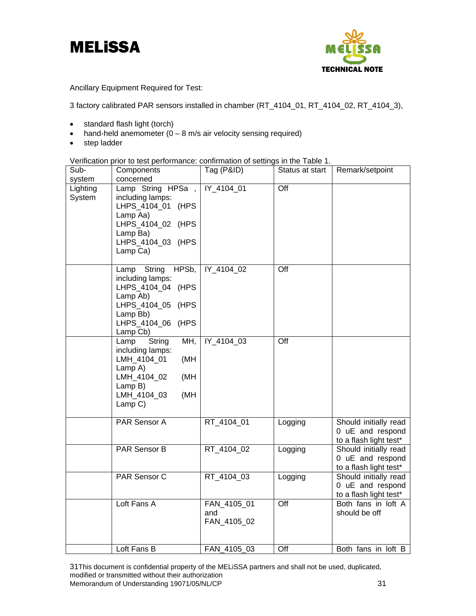



Ancillary Equipment Required for Test:

3 factory calibrated PAR sensors installed in chamber (RT\_4104\_01, RT\_4104\_02, RT\_4104\_3),

- standard flash light (torch)
- hand-held anemometer  $(0 8 \text{ m/s}$  air velocity sensing required)
- step ladder

Verification prior to test performance: confirmation of settings in the Table 1.

| Sub-               | Components                                                                                                  | Tag (P&ID)                        | Status at start  | Remark/setpoint                                                     |
|--------------------|-------------------------------------------------------------------------------------------------------------|-----------------------------------|------------------|---------------------------------------------------------------------|
| system             | concerned                                                                                                   |                                   |                  |                                                                     |
| Lighting<br>System | Lamp String HPSa,<br>including lamps:<br>LHPS_4104_01 (HPS                                                  | IY_4104_01                        | Off              |                                                                     |
|                    | Lamp Aa)<br>LHPS_4104_02 (HPS<br>Lamp Ba)                                                                   |                                   |                  |                                                                     |
|                    | LHPS_4104_03 (HPS<br>Lamp Ca)                                                                               |                                   |                  |                                                                     |
|                    | Lamp String HPSb,<br>including lamps:<br>LHPS_4104_04 (HPS<br>Lamp Ab)<br>LHPS_4104_05 (HPS                 | IY 4104 02                        | Off              |                                                                     |
|                    | Lamp Bb)<br>LHPS 4104 06 (HPS<br>Lamp Cb)                                                                   |                                   |                  |                                                                     |
|                    | MH,<br>String<br>Lamp<br>including lamps:<br>LMH_4104_01<br>(MH<br>Lamp A)<br>LMH_4104_02<br>(MH<br>Lamp B) | IY_4104_03                        | $\overline{Off}$ |                                                                     |
|                    | LMH_4104_03<br>(MH<br>Lamp $C$ )                                                                            |                                   |                  |                                                                     |
|                    | PAR Sensor A                                                                                                | RT 4104 01                        | Logging          | Should initially read<br>0 uE and respond<br>to a flash light test* |
|                    | PAR Sensor B                                                                                                | RT 4104 02                        | Logging          | Should initially read<br>0 uE and respond<br>to a flash light test* |
|                    | <b>PAR Sensor C</b>                                                                                         | RT_4104_03                        | Logging          | Should initially read<br>0 uE and respond<br>to a flash light test* |
|                    | Loft Fans A                                                                                                 | FAN_4105_01<br>and<br>FAN_4105_02 | Off              | Both fans in loft A<br>should be off                                |
|                    | Loft Fans B                                                                                                 | FAN 4105 03                       | Off              | Both fans in loft B                                                 |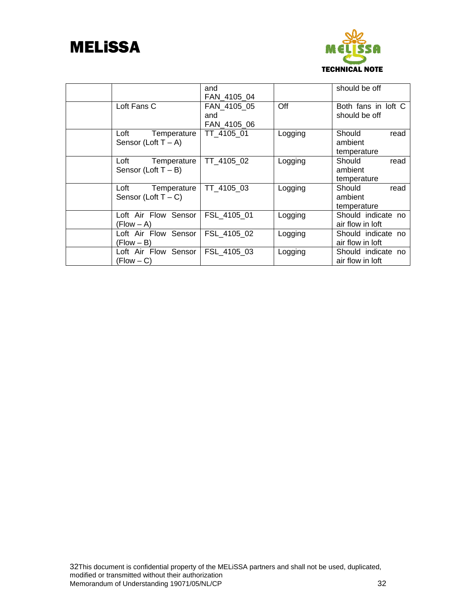



|                                               | and<br>FAN_4105_04                |         | should be off                            |
|-----------------------------------------------|-----------------------------------|---------|------------------------------------------|
| Loft Fans C                                   | FAN 4105 05<br>and<br>FAN 4105 06 | Off     | Both fans in loft C<br>should be off     |
| Loft<br>Temperature<br>Sensor (Loft $T - A$ ) | TT 4105 01                        | Logging | Should<br>read<br>ambient<br>temperature |
| Loft<br>Temperature<br>Sensor (Loft $T - B$ ) | TT_4105_02                        | Logging | Should<br>read<br>ambient<br>temperature |
| Loft<br>Temperature<br>Sensor (Loft $T - C$ ) | TT 4105 03                        | Logging | Should<br>read<br>ambient<br>temperature |
| Loft Air Flow Sensor<br>(Flow – A)            | FSL 4105 01                       | Logging | Should indicate no<br>air flow in Joft   |
| Loft Air Flow Sensor<br>(Flow – B)            | FSL_4105_02                       | Logging | Should indicate no<br>air flow in loft   |
| Loft Air Flow Sensor<br>(Flow – C)            | FSL_4105_03                       | Logging | Should indicate no<br>air flow in loft   |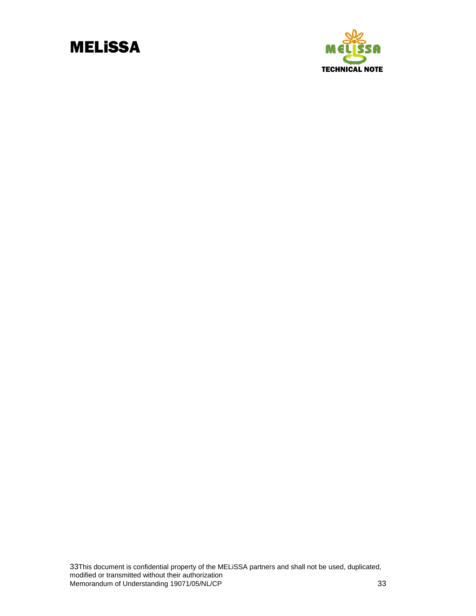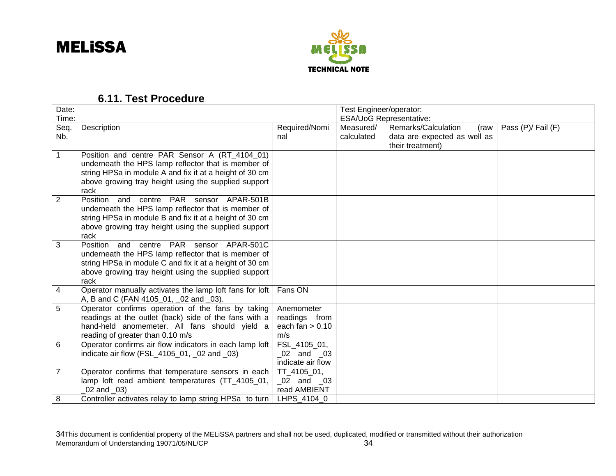



| Date: |                                                         |                   | Test Engineer/operator: |                                |                    |
|-------|---------------------------------------------------------|-------------------|-------------------------|--------------------------------|--------------------|
| Time: |                                                         |                   |                         | <b>ESA/UoG Representative:</b> |                    |
| Seq.  | Description                                             | Required/Nomi     | Measured/               | Remarks/Calculation<br>(raw    | Pass (P)/ Fail (F) |
| Nb.   |                                                         | nal               | calculated              | data are expected as well as   |                    |
|       |                                                         |                   |                         | their treatment)               |                    |
|       | Position and centre PAR Sensor A (RT_4104_01)           |                   |                         |                                |                    |
|       | underneath the HPS lamp reflector that is member of     |                   |                         |                                |                    |
|       | string HPSa in module A and fix it at a height of 30 cm |                   |                         |                                |                    |
|       | above growing tray height using the supplied support    |                   |                         |                                |                    |
|       | rack                                                    |                   |                         |                                |                    |
| 2     | Position and centre PAR sensor APAR-501B                |                   |                         |                                |                    |
|       | underneath the HPS lamp reflector that is member of     |                   |                         |                                |                    |
|       | string HPSa in module B and fix it at a height of 30 cm |                   |                         |                                |                    |
|       | above growing tray height using the supplied support    |                   |                         |                                |                    |
|       | rack                                                    |                   |                         |                                |                    |
| 3     | Position and centre PAR sensor APAR-501C                |                   |                         |                                |                    |
|       | underneath the HPS lamp reflector that is member of     |                   |                         |                                |                    |
|       | string HPSa in module C and fix it at a height of 30 cm |                   |                         |                                |                    |
|       | above growing tray height using the supplied support    |                   |                         |                                |                    |
|       | rack                                                    |                   |                         |                                |                    |
| 4     | Operator manually activates the lamp loft fans for loft | Fans ON           |                         |                                |                    |
|       | A, B and C (FAN 4105 01, 02 and 03).                    |                   |                         |                                |                    |
| 5     | Operator confirms operation of the fans by taking       | Anemometer        |                         |                                |                    |
|       | readings at the outlet (back) side of the fans with a   | readings from     |                         |                                |                    |
|       | hand-held anomemeter. All fans should yield a           | each fan $> 0.10$ |                         |                                |                    |
|       | reading of greater than 0.10 m/s                        | m/s               |                         |                                |                    |
| 6     | Operator confirms air flow indicators in each lamp loft | FSL_4105_01,      |                         |                                |                    |
|       | indicate air flow (FSL_4105_01, _02 and _03)            | 02 and _03        |                         |                                |                    |
|       |                                                         | indicate air flow |                         |                                |                    |
| 7     | Operator confirms that temperature sensors in each      | TT 4105 01,       |                         |                                |                    |
|       | lamp loft read ambient temperatures (TT_4105_01,        | 02 and 03         |                         |                                |                    |
|       | $02$ and $03$ )                                         | read AMBIENT      |                         |                                |                    |
| 8     | Controller activates relay to lamp string HPSa to turn  | LHPS 4104 0       |                         |                                |                    |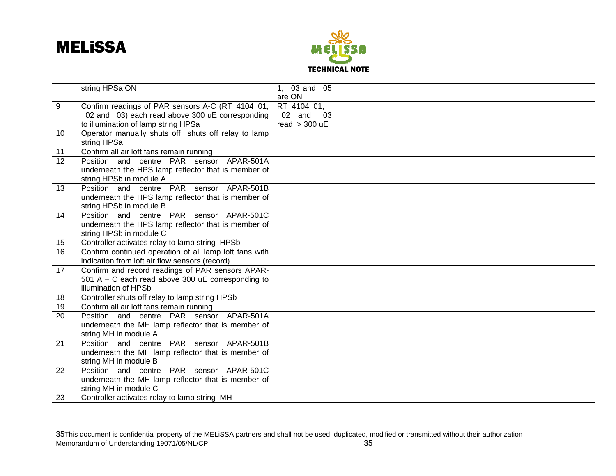



|    | string HPSa ON                                         | 1, $\sqrt{03}$ and $\sqrt{05}$ |  |  |
|----|--------------------------------------------------------|--------------------------------|--|--|
|    |                                                        | are ON                         |  |  |
| 9  | Confirm readings of PAR sensors A-C (RT_4104_01,       | RT_4104_01,                    |  |  |
|    | _02 and _03) each read above 300 uE corresponding      | $\sqrt{02}$ and $\sqrt{03}$    |  |  |
|    | to illumination of lamp string HPSa                    | read $>$ 300 uE                |  |  |
| 10 | Operator manually shuts off shuts off relay to lamp    |                                |  |  |
|    | string HPSa                                            |                                |  |  |
| 11 | Confirm all air loft fans remain running               |                                |  |  |
| 12 | Position and centre PAR sensor APAR-501A               |                                |  |  |
|    | underneath the HPS lamp reflector that is member of    |                                |  |  |
|    | string HPSb in module A                                |                                |  |  |
| 13 | Position and centre PAR sensor APAR-501B               |                                |  |  |
|    | underneath the HPS lamp reflector that is member of    |                                |  |  |
|    | string HPSb in module B                                |                                |  |  |
| 14 | Position and centre PAR sensor APAR-501C               |                                |  |  |
|    | underneath the HPS lamp reflector that is member of    |                                |  |  |
|    | string HPSb in module C                                |                                |  |  |
| 15 | Controller activates relay to lamp string HPSb         |                                |  |  |
| 16 | Confirm continued operation of all lamp loft fans with |                                |  |  |
|    | indication from loft air flow sensors (record)         |                                |  |  |
| 17 | Confirm and record readings of PAR sensors APAR-       |                                |  |  |
|    | 501 A $-$ C each read above 300 uE corresponding to    |                                |  |  |
|    | illumination of HPSb                                   |                                |  |  |
| 18 | Controller shuts off relay to lamp string HPSb         |                                |  |  |
| 19 | Confirm all air loft fans remain running               |                                |  |  |
| 20 | Position and centre PAR sensor APAR-501A               |                                |  |  |
|    | underneath the MH lamp reflector that is member of     |                                |  |  |
|    | string MH in module A                                  |                                |  |  |
| 21 | Position and centre PAR sensor APAR-501B               |                                |  |  |
|    | underneath the MH lamp reflector that is member of     |                                |  |  |
|    | string MH in module B                                  |                                |  |  |
| 22 | Position and centre PAR sensor APAR-501C               |                                |  |  |
|    | underneath the MH lamp reflector that is member of     |                                |  |  |
|    | string MH in module C                                  |                                |  |  |
| 23 | Controller activates relay to lamp string MH           |                                |  |  |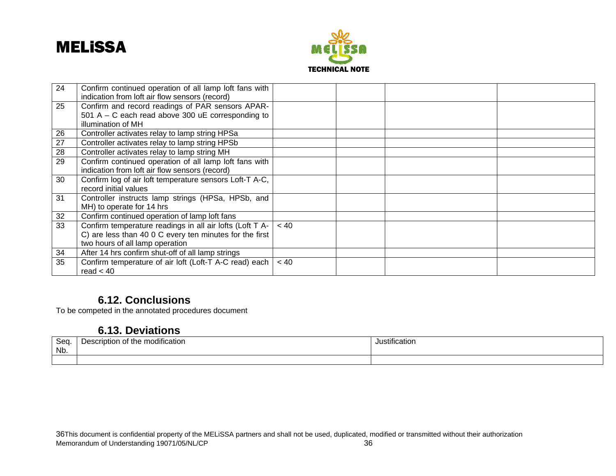



| 24 | Confirm continued operation of all lamp loft fans with<br>indication from loft air flow sensors (record) |       |  |  |
|----|----------------------------------------------------------------------------------------------------------|-------|--|--|
| 25 | Confirm and record readings of PAR sensors APAR-                                                         |       |  |  |
|    | 501 A – C each read above 300 $\mu$ E corresponding to<br>illumination of MH                             |       |  |  |
|    |                                                                                                          |       |  |  |
| 26 | Controller activates relay to lamp string HPSa                                                           |       |  |  |
| 27 | Controller activates relay to lamp string HPSb                                                           |       |  |  |
| 28 | Controller activates relay to lamp string MH                                                             |       |  |  |
| 29 | Confirm continued operation of all lamp loft fans with                                                   |       |  |  |
|    | indication from loft air flow sensors (record)                                                           |       |  |  |
| 30 | Confirm log of air loft temperature sensors Loft-T A-C,                                                  |       |  |  |
|    | record initial values                                                                                    |       |  |  |
| 31 | Controller instructs lamp strings (HPSa, HPSb, and                                                       |       |  |  |
|    | MH) to operate for 14 hrs                                                                                |       |  |  |
| 32 | Confirm continued operation of lamp loft fans                                                            |       |  |  |
| 33 | Confirm temperature readings in all air lofts (Loft T A-                                                 | < 40  |  |  |
|    | C) are less than 40 0 C every ten minutes for the first                                                  |       |  |  |
|    | two hours of all lamp operation                                                                          |       |  |  |
| 34 | After 14 hrs confirm shut-off of all lamp strings                                                        |       |  |  |
| 35 | Confirm temperature of air loft (Loft-T A-C read) each                                                   | ~< 40 |  |  |
|    | read $< 40$                                                                                              |       |  |  |

To be competed in the annotated procedures document

| Seq. | of the modification | .             |
|------|---------------------|---------------|
| Nb.  | Description         | Justification |
|      |                     |               |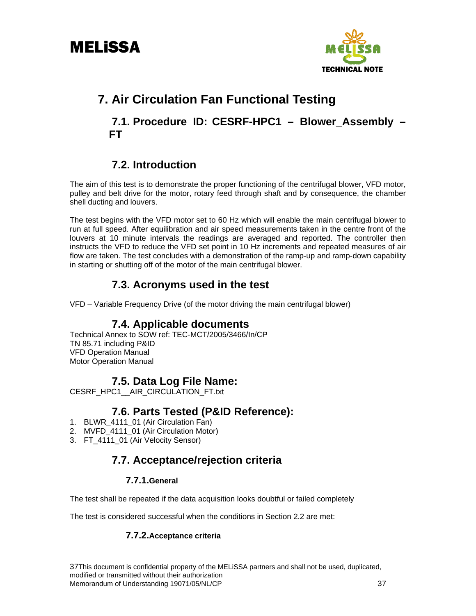



## **7. Air Circulation Fan Functional Testing**

### **7.1. Procedure ID: CESRF-HPC1 – Blower\_Assembly – FT**

### **7.2. Introduction**

The aim of this test is to demonstrate the proper functioning of the centrifugal blower, VFD motor, pulley and belt drive for the motor, rotary feed through shaft and by consequence, the chamber shell ducting and louvers.

The test begins with the VFD motor set to 60 Hz which will enable the main centrifugal blower to run at full speed. After equilibration and air speed measurements taken in the centre front of the louvers at 10 minute intervals the readings are averaged and reported. The controller then instructs the VFD to reduce the VFD set point in 10 Hz increments and repeated measures of air flow are taken. The test concludes with a demonstration of the ramp-up and ramp-down capability in starting or shutting off of the motor of the main centrifugal blower.

### **7.3. Acronyms used in the test**

VFD – Variable Frequency Drive (of the motor driving the main centrifugal blower)

### **7.4. Applicable documents**

Technical Annex to SOW ref: TEC-MCT/2005/3466/In/CP TN 85.71 including P&ID VFD Operation Manual Motor Operation Manual

### **7.5. Data Log File Name:**

CESRF\_HPC1\_\_AIR\_CIRCULATION\_FT.txt

### **7.6. Parts Tested (P&ID Reference):**

- 1. BLWR 4111\_01 (Air Circulation Fan)
- 2. MVFD 4111 01 (Air Circulation Motor)
- 3. FT\_4111\_01 (Air Velocity Sensor)

### **7.7. Acceptance/rejection criteria**

#### **7.7.1.General**

The test shall be repeated if the data acquisition looks doubtful or failed completely

The test is considered successful when the conditions in Section 2.2 are met:

#### **7.7.2.Acceptance criteria**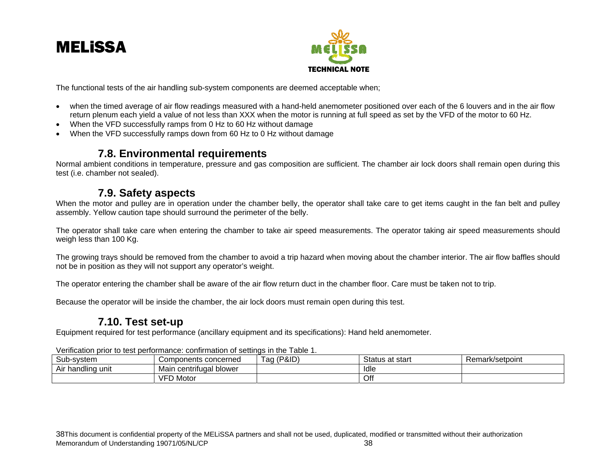



The functional tests of the air handling sub-system components are deemed acceptable when;

- when the timed average of air flow readings measured with a hand-held anemometer positioned over each of the 6 louvers and in the air flow return plenum each yield a value of not less than XXX when the motor is running at full speed as set by the VFD of the motor to 60 Hz.
- When the VFD successfully ramps from 0 Hz to 60 Hz without damage
- When the VFD successfully ramps down from 60 Hz to 0 Hz without damage

### **7.8. Environmental requirements**

Normal ambient conditions in temperature, pressure and gas composition are sufficient. The chamber air lock doors shall remain open during this test (i.e. chamber not sealed).

### **7.9. Safety aspects**

When the motor and pulley are in operation under the chamber belly, the operator shall take care to get items caught in the fan belt and pulley assembly. Yellow caution tape should surround the perimeter of the belly.

The operator shall take care when entering the chamber to take air speed measurements. The operator taking air speed measurements should weigh less than 100 Kg.

The growing trays should be removed from the chamber to avoid a trip hazard when moving about the chamber interior. The air flow baffles should not be in position as they will not support any operator's weight.

The operator entering the chamber shall be aware of the air flow return duct in the chamber floor. Care must be taken not to trip.

Because the operator will be inside the chamber, the air lock doors must remain open during this test.

### **7.10. Test set-up**

Equipment required for test performance (ancillary equipment and its specifications): Hand held anemometer.

|                                   |                             | -------------------------- |                 |                 |
|-----------------------------------|-----------------------------|----------------------------|-----------------|-----------------|
| Sub-system                        | Components concerned        | Tag (P&ID)                 | Status at start | Remark/setpoint |
| . .<br>lina unit<br>∶handi<br>Aır | ⊦centrifuɑal blower<br>Main |                            | Idle            |                 |
|                                   | VFL<br>Motor                |                            | Off             |                 |

Verification prior to test performance: confirmation of settings in the Table 1.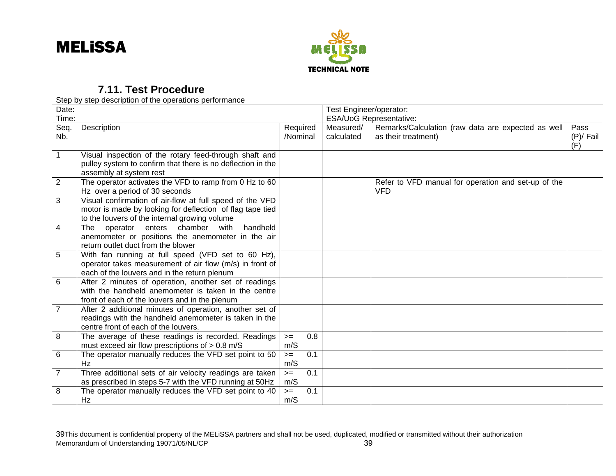



### **7.11. Test Procedure**

Step by step description of the operations performance

| Date:          |                                                                                                                                                                        |                      |                  |                         | Test Engineer/operator:                                                   |                            |  |  |  |
|----------------|------------------------------------------------------------------------------------------------------------------------------------------------------------------------|----------------------|------------------|-------------------------|---------------------------------------------------------------------------|----------------------------|--|--|--|
| Time:          |                                                                                                                                                                        |                      |                  | ESA/UoG Representative: |                                                                           |                            |  |  |  |
| Seq.<br>Nb.    | Description                                                                                                                                                            | Required<br>/Nominal |                  | Measured/<br>calculated | Remarks/Calculation (raw data are expected as well<br>as their treatment) | Pass<br>$(P)/$ Fail<br>(F) |  |  |  |
| $\mathbf 1$    | Visual inspection of the rotary feed-through shaft and<br>pulley system to confirm that there is no deflection in the<br>assembly at system rest                       |                      |                  |                         |                                                                           |                            |  |  |  |
| $\overline{2}$ | The operator activates the VFD to ramp from 0 Hz to 60<br>Hz over a period of 30 seconds                                                                               |                      |                  |                         | Refer to VFD manual for operation and set-up of the<br><b>VFD</b>         |                            |  |  |  |
| 3              | Visual confirmation of air-flow at full speed of the VFD<br>motor is made by looking for deflection of flag tape tied<br>to the louvers of the internal growing volume |                      |                  |                         |                                                                           |                            |  |  |  |
| 4              | handheld<br>operator enters chamber with<br>The<br>anemometer or positions the anemometer in the air<br>return outlet duct from the blower                             |                      |                  |                         |                                                                           |                            |  |  |  |
| 5              | With fan running at full speed (VFD set to 60 Hz),<br>operator takes measurement of air flow (m/s) in front of<br>each of the louvers and in the return plenum         |                      |                  |                         |                                                                           |                            |  |  |  |
| 6              | After 2 minutes of operation, another set of readings<br>with the handheld anemometer is taken in the centre<br>front of each of the louvers and in the plenum         |                      |                  |                         |                                                                           |                            |  |  |  |
| $\overline{7}$ | After 2 additional minutes of operation, another set of<br>readings with the handheld anemometer is taken in the<br>centre front of each of the louvers.               |                      |                  |                         |                                                                           |                            |  |  |  |
| 8              | The average of these readings is recorded. Readings<br>must exceed air flow prescriptions of $> 0.8$ m/S                                                               | $=$<br>m/S           | 0.8              |                         |                                                                           |                            |  |  |  |
| 6              | The operator manually reduces the VFD set point to 50<br>Hz                                                                                                            | $>=$<br>m/S          | 0.1              |                         |                                                                           |                            |  |  |  |
| $\overline{7}$ | Three additional sets of air velocity readings are taken<br>as prescribed in steps 5-7 with the VFD running at 50Hz                                                    | $>=$<br>m/S          | $\overline{0.1}$ |                         |                                                                           |                            |  |  |  |
| 8              | The operator manually reduces the VFD set point to 40<br>Hz                                                                                                            | $>=$<br>m/S          | 0.1              |                         |                                                                           |                            |  |  |  |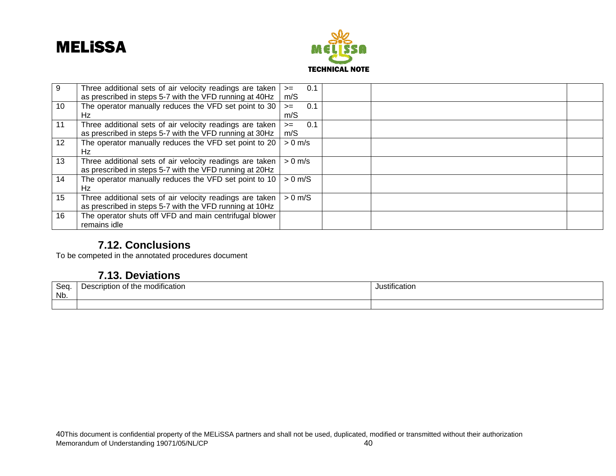



| Three additional sets of air velocity readings are taken | $>=$                                                  | 0.1                                                                                                                                                                                                                                    |                                                  |  |  |  |
|----------------------------------------------------------|-------------------------------------------------------|----------------------------------------------------------------------------------------------------------------------------------------------------------------------------------------------------------------------------------------|--------------------------------------------------|--|--|--|
| as prescribed in steps 5-7 with the VFD running at 40Hz  | m/S                                                   |                                                                                                                                                                                                                                        |                                                  |  |  |  |
|                                                          | $>=$                                                  | 0.1                                                                                                                                                                                                                                    |                                                  |  |  |  |
| Hz                                                       | m/S                                                   |                                                                                                                                                                                                                                        |                                                  |  |  |  |
| Three additional sets of air velocity readings are taken | $>=$                                                  | 0.1                                                                                                                                                                                                                                    |                                                  |  |  |  |
| as prescribed in steps 5-7 with the VFD running at 30Hz  | m/S                                                   |                                                                                                                                                                                                                                        |                                                  |  |  |  |
|                                                          |                                                       |                                                                                                                                                                                                                                        |                                                  |  |  |  |
| Hz                                                       |                                                       |                                                                                                                                                                                                                                        |                                                  |  |  |  |
|                                                          |                                                       |                                                                                                                                                                                                                                        |                                                  |  |  |  |
| as prescribed in steps 5-7 with the VFD running at 20Hz  |                                                       |                                                                                                                                                                                                                                        |                                                  |  |  |  |
|                                                          |                                                       |                                                                                                                                                                                                                                        |                                                  |  |  |  |
| Hz                                                       |                                                       |                                                                                                                                                                                                                                        |                                                  |  |  |  |
|                                                          |                                                       |                                                                                                                                                                                                                                        |                                                  |  |  |  |
| as prescribed in steps 5-7 with the VFD running at 10Hz  |                                                       |                                                                                                                                                                                                                                        |                                                  |  |  |  |
| The operator shuts off VFD and main centrifugal blower   |                                                       |                                                                                                                                                                                                                                        |                                                  |  |  |  |
| remains idle                                             |                                                       |                                                                                                                                                                                                                                        |                                                  |  |  |  |
|                                                          | The operator manually reduces the VFD set point to 30 | The operator manually reduces the VFD set point to 20<br>Three additional sets of air velocity readings are taken<br>The operator manually reduces the VFD set point to 10<br>Three additional sets of air velocity readings are taken | $> 0$ m/s<br>$> 0$ m/s<br>$> 0$ m/S<br>$> 0$ m/S |  |  |  |

To be competed in the annotated procedures document

| $S_{\Omega}$<br>ocy<br>Nb. | .<br>f the modification<br>rintion<br>$\sim$<br>. | .<br>lustificatior |
|----------------------------|---------------------------------------------------|--------------------|
|                            |                                                   |                    |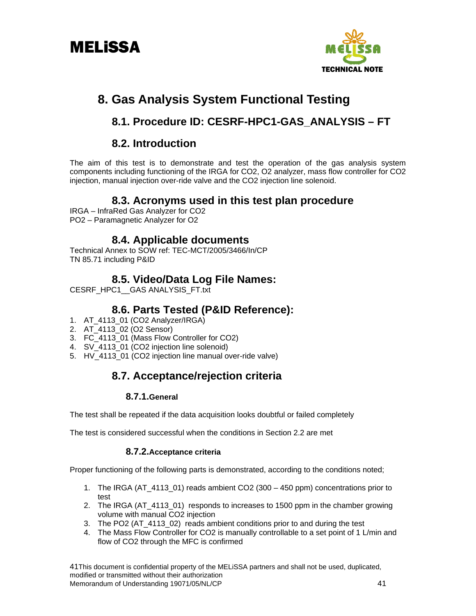



## **8. Gas Analysis System Functional Testing**

### **8.1. Procedure ID: CESRF-HPC1-GAS\_ANALYSIS – FT**

### **8.2. Introduction**

The aim of this test is to demonstrate and test the operation of the gas analysis system components including functioning of the IRGA for CO2, O2 analyzer, mass flow controller for CO2 injection, manual injection over-ride valve and the CO2 injection line solenoid.

### **8.3. Acronyms used in this test plan procedure**

IRGA – InfraRed Gas Analyzer for CO2 PO2 – Paramagnetic Analyzer for O2

### **8.4. Applicable documents**

Technical Annex to SOW ref: TEC-MCT/2005/3466/In/CP TN 85.71 including P&ID

### **8.5. Video/Data Log File Names:**

CESRF\_HPC1\_\_GAS ANALYSIS\_FT.txt

### **8.6. Parts Tested (P&ID Reference):**

- 1. AT\_4113\_01 (CO2 Analyzer/IRGA)
- 2. AT\_4113\_02 (O2 Sensor)
- 3. FC\_4113\_01 (Mass Flow Controller for CO2)
- 4. SV\_4113\_01 (CO2 injection line solenoid)
- 5. HV 4113 01 (CO2 injection line manual over-ride valve)

### **8.7. Acceptance/rejection criteria**

#### **8.7.1.General**

The test shall be repeated if the data acquisition looks doubtful or failed completely

The test is considered successful when the conditions in Section 2.2 are met

#### **8.7.2.Acceptance criteria**

Proper functioning of the following parts is demonstrated, according to the conditions noted;

- 1. The IRGA (AT\_4113\_01) reads ambient CO2 (300 450 ppm) concentrations prior to test
- 2. The IRGA (AT 4113 01) responds to increases to 1500 ppm in the chamber growing volume with manual CO2 injection
- 3. The PO2 (AT\_4113\_02) reads ambient conditions prior to and during the test
- 4. The Mass Flow Controller for CO2 is manually controllable to a set point of 1 L/min and flow of CO2 through the MFC is confirmed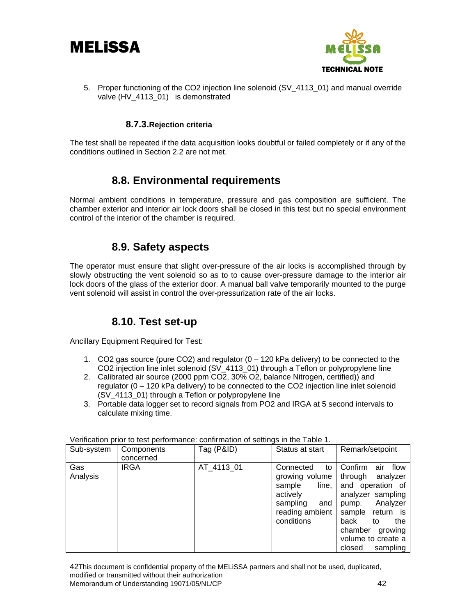



5. Proper functioning of the CO2 injection line solenoid (SV 4113 01) and manual override valve (HV 4113\_01) is demonstrated

#### **8.7.3.Rejection criteria**

The test shall be repeated if the data acquisition looks doubtful or failed completely or if any of the conditions outlined in Section 2.2 are not met.

### **8.8. Environmental requirements**

Normal ambient conditions in temperature, pressure and gas composition are sufficient. The chamber exterior and interior air lock doors shall be closed in this test but no special environment control of the interior of the chamber is required.

### **8.9. Safety aspects**

The operator must ensure that slight over-pressure of the air locks is accomplished through by slowly obstructing the vent solenoid so as to to cause over-pressure damage to the interior air lock doors of the glass of the exterior door. A manual ball valve temporarily mounted to the purge vent solenoid will assist in control the over-pressurization rate of the air locks.

### **8.10. Test set-up**

Ancillary Equipment Required for Test:

- 1. CO2 gas source (pure CO2) and regulator (0 120 kPa delivery) to be connected to the CO2 injection line inlet solenoid (SV\_4113\_01) through a Teflon or polypropylene line
- 2. Calibrated air source (2000 ppm CO2, 30% O2, balance Nitrogen, certified)) and regulator (0 – 120 kPa delivery) to be connected to the CO2 injection line inlet solenoid (SV\_4113\_01) through a Teflon or polypropylene line
- 3. Portable data logger set to record signals from PO2 and IRGA at 5 second intervals to calculate mixing time.

| Sub-system      | Components<br>concerned | Tag (P&ID) | Status at start                                                                                                      | Remark/setpoint                                                                                                                                                                                                           |
|-----------------|-------------------------|------------|----------------------------------------------------------------------------------------------------------------------|---------------------------------------------------------------------------------------------------------------------------------------------------------------------------------------------------------------------------|
| Gas<br>Analysis | <b>IRGA</b>             | AT 4113 01 | Connected<br>to<br>growing volume<br>sample<br>line,<br>actively<br>sampling<br>and<br>reading ambient<br>conditions | Confirm<br>flow<br>air<br>through<br>analyzer<br>and operation of<br>analyzer sampling<br>Analyzer<br>pump.<br>sample<br>return is<br>back<br>the<br>to<br>chamber<br>growing<br>volume to create a<br>sampling<br>closed |

Verification prior to test performance: confirmation of settings in the Table 1.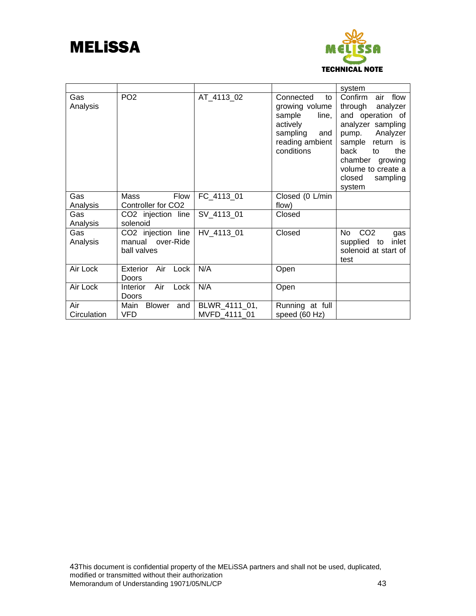

|                    |                                                       |                               |                                                                                                                      | system                                                                                                                                                                                                                           |
|--------------------|-------------------------------------------------------|-------------------------------|----------------------------------------------------------------------------------------------------------------------|----------------------------------------------------------------------------------------------------------------------------------------------------------------------------------------------------------------------------------|
| Gas<br>Analysis    | PO <sub>2</sub>                                       | AT_4113_02                    | Connected<br>to<br>growing volume<br>sample<br>line,<br>actively<br>sampling<br>and<br>reading ambient<br>conditions | Confirm<br>air<br>flow<br>through<br>analyzer<br>and operation of<br>analyzer sampling<br>Analyzer<br>pump.<br>sample<br>return is<br>the<br>back<br>to<br>chamber growing<br>volume to create a<br>closed<br>sampling<br>system |
| Gas                | Flow<br>Mass                                          | FC_4113_01                    | Closed (0 L/min                                                                                                      |                                                                                                                                                                                                                                  |
| Analysis           | Controller for CO2                                    |                               | flow)                                                                                                                |                                                                                                                                                                                                                                  |
| Gas<br>Analysis    | CO2 injection line<br>solenoid                        | SV_4113_01                    | Closed                                                                                                               |                                                                                                                                                                                                                                  |
| Gas<br>Analysis    | CO2 injection line<br>manual over-Ride<br>ball valves | HV_4113_01                    | Closed                                                                                                               | CO <sub>2</sub><br>No.<br>gas<br>inlet<br>supplied to<br>solenoid at start of<br>test                                                                                                                                            |
| Air Lock           | Exterior<br>Air<br>Lock<br>Doors                      | N/A                           | Open                                                                                                                 |                                                                                                                                                                                                                                  |
| Air Lock           | Air<br>Lock<br>Interior<br>Doors                      | N/A                           | Open                                                                                                                 |                                                                                                                                                                                                                                  |
| Air<br>Circulation | <b>Blower</b><br>Main<br>and<br><b>VFD</b>            | BLWR_4111_01,<br>MVFD 4111 01 | Running at full<br>speed (60 Hz)                                                                                     |                                                                                                                                                                                                                                  |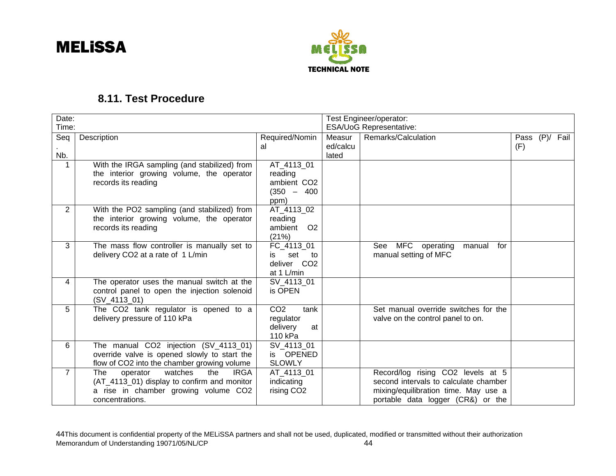

| Date:          |                                                  |                           |          | Test Engineer/operator:                  |                |  |
|----------------|--------------------------------------------------|---------------------------|----------|------------------------------------------|----------------|--|
| Time:          |                                                  |                           |          | <b>ESA/UoG Representative:</b>           |                |  |
| Seq            | Description                                      | Required/Nomin            | Measur   | Remarks/Calculation                      | Pass (P)/ Fail |  |
|                |                                                  | al                        | ed/calcu |                                          | (F)            |  |
| Nb.            |                                                  |                           | lated    |                                          |                |  |
| $\mathbf{1}$   | With the IRGA sampling (and stabilized) from     | AT_4113_01                |          |                                          |                |  |
|                | the interior growing volume, the operator        | reading                   |          |                                          |                |  |
|                | records its reading                              | ambient CO <sub>2</sub>   |          |                                          |                |  |
|                |                                                  | $(350 - 400)$             |          |                                          |                |  |
|                |                                                  | ppm)                      |          |                                          |                |  |
| $\overline{2}$ | With the PO2 sampling (and stabilized) from      | AT_4113_02                |          |                                          |                |  |
|                | the interior growing volume, the operator        | reading                   |          |                                          |                |  |
|                | records its reading                              | O <sub>2</sub><br>ambient |          |                                          |                |  |
|                |                                                  | (21%)                     |          |                                          |                |  |
| 3              | The mass flow controller is manually set to      | FC_4113_01                |          | MFC<br>operating<br>See<br>manual<br>for |                |  |
|                | delivery CO2 at a rate of 1 L/min                | set<br>is<br>to           |          | manual setting of MFC                    |                |  |
|                |                                                  | deliver CO2               |          |                                          |                |  |
|                |                                                  | at 1 L/min                |          |                                          |                |  |
| 4              | The operator uses the manual switch at the       | SV 4113 01                |          |                                          |                |  |
|                | control panel to open the injection solenoid     | is OPEN                   |          |                                          |                |  |
|                | (SV 4113 01)                                     |                           |          |                                          |                |  |
| 5              | The CO2 tank regulator is opened to a            | CO <sub>2</sub><br>tank   |          | Set manual override switches for the     |                |  |
|                | delivery pressure of 110 kPa                     | regulator                 |          | valve on the control panel to on.        |                |  |
|                |                                                  | delivery<br>at            |          |                                          |                |  |
|                |                                                  | 110 kPa                   |          |                                          |                |  |
| 6              | The manual CO2 injection (SV_4113_01)            | SV_4113_01                |          |                                          |                |  |
|                | override valve is opened slowly to start the     | is OPENED                 |          |                                          |                |  |
|                | flow of CO2 into the chamber growing volume      | <b>SLOWLY</b>             |          |                                          |                |  |
| $\overline{7}$ | <b>IRGA</b><br>watches<br>the<br>The<br>operator | AT 4113 01                |          | Record/log rising CO2 levels at 5        |                |  |
|                | (AT_4113_01) display to confirm and monitor      | indicating                |          | second intervals to calculate chamber    |                |  |
|                | a rise in chamber growing volume CO2             | rising CO <sub>2</sub>    |          | mixing/equilibration time. May use a     |                |  |
|                | concentrations.                                  |                           |          | portable data logger (CR&) or the        |                |  |
|                |                                                  |                           |          |                                          |                |  |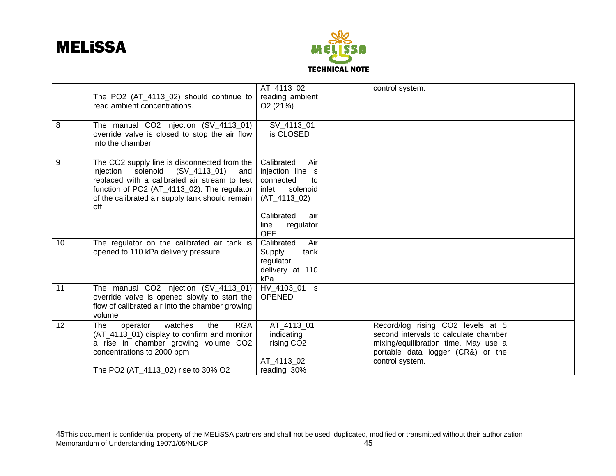



|    |                                                                                        | AT_4113_02               | control system.                       |  |
|----|----------------------------------------------------------------------------------------|--------------------------|---------------------------------------|--|
|    | The PO2 (AT_4113_02) should continue to                                                | reading ambient          |                                       |  |
|    | read ambient concentrations.                                                           | O <sub>2</sub> (21%)     |                                       |  |
|    |                                                                                        |                          |                                       |  |
| 8  | The manual CO2 injection (SV_4113_01)                                                  | SV_4113_01               |                                       |  |
|    | override valve is closed to stop the air flow                                          | is CLOSED                |                                       |  |
|    | into the chamber                                                                       |                          |                                       |  |
| 9  |                                                                                        | Calibrated               |                                       |  |
|    | The CO2 supply line is disconnected from the<br>injection solenoid (SV_4113_01)<br>and | Air<br>injection line is |                                       |  |
|    | replaced with a calibrated air stream to test                                          | connected<br>to          |                                       |  |
|    | function of PO2 (AT_4113_02). The regulator                                            | inlet<br>solenoid        |                                       |  |
|    | of the calibrated air supply tank should remain                                        | $(AT_4113_02)$           |                                       |  |
|    | off                                                                                    |                          |                                       |  |
|    |                                                                                        | Calibrated<br>air        |                                       |  |
|    |                                                                                        | regulator<br>line        |                                       |  |
|    |                                                                                        | <b>OFF</b>               |                                       |  |
| 10 | The regulator on the calibrated air tank is                                            | Calibrated<br>Air        |                                       |  |
|    | opened to 110 kPa delivery pressure                                                    | Supply<br>tank           |                                       |  |
|    |                                                                                        | regulator                |                                       |  |
|    |                                                                                        | delivery at 110<br>kPa   |                                       |  |
| 11 | The manual CO2 injection (SV_4113_01)                                                  | HV_4103_01 is            |                                       |  |
|    | override valve is opened slowly to start the                                           | <b>OPENED</b>            |                                       |  |
|    | flow of calibrated air into the chamber growing                                        |                          |                                       |  |
|    | volume                                                                                 |                          |                                       |  |
| 12 | <b>IRGA</b><br>watches<br>the<br><b>The</b><br>operator                                | AT 4113 01               | Record/log rising CO2 levels at 5     |  |
|    | (AT_4113_01) display to confirm and monitor                                            | indicating               | second intervals to calculate chamber |  |
|    | a rise in chamber growing volume CO2                                                   | rising CO <sub>2</sub>   | mixing/equilibration time. May use a  |  |
|    | concentrations to 2000 ppm                                                             |                          | portable data logger (CR&) or the     |  |
|    |                                                                                        | AT 4113 02               | control system.                       |  |
|    | The PO2 (AT 4113 02) rise to 30% O2                                                    | reading 30%              |                                       |  |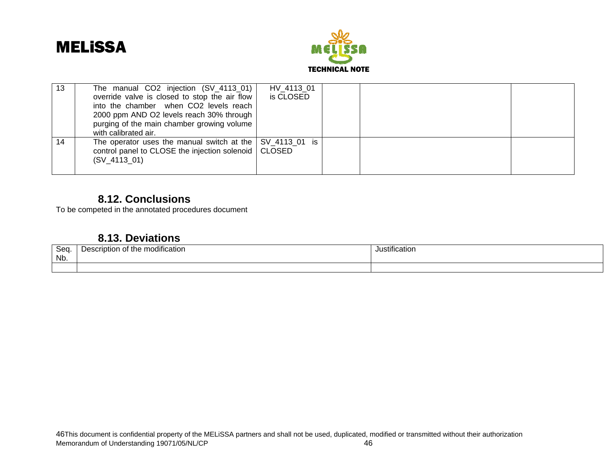



| 13 | The manual CO2 injection (SV_4113_01)<br>override valve is closed to stop the air flow<br>into the chamber when CO2 levels reach<br>2000 ppm AND O2 levels reach 30% through<br>purging of the main chamber growing volume<br>with calibrated air. | HV 4113 01<br>is CLOSED |  |  |
|----|----------------------------------------------------------------------------------------------------------------------------------------------------------------------------------------------------------------------------------------------------|-------------------------|--|--|
| 14 | The operator uses the manual switch at the $\vert$ SV_4113_01 is<br>control panel to CLOSE the injection solenoid   CLOSED<br>(SV 4113 01)                                                                                                         |                         |  |  |

To be competed in the annotated procedures document

| $S_{\Omega}$<br>vou<br>Nb. | <br>f the modification<br>Description<br>.<br>ັບເ | .<br>ustification |
|----------------------------|---------------------------------------------------|-------------------|
|                            |                                                   |                   |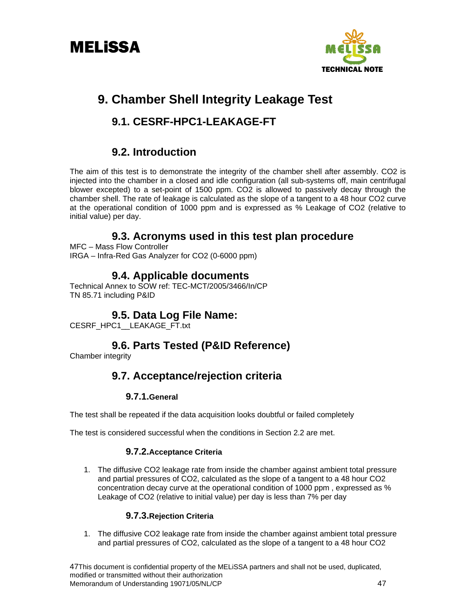



# **9. Chamber Shell Integrity Leakage Test**

### **9.1. CESRE-HPC1-LEAKAGE-FT**

### **9.2. Introduction**

The aim of this test is to demonstrate the integrity of the chamber shell after assembly. CO2 is injected into the chamber in a closed and idle configuration (all sub-systems off, main centrifugal blower excepted) to a set-point of 1500 ppm. CO2 is allowed to passively decay through the chamber shell. The rate of leakage is calculated as the slope of a tangent to a 48 hour CO2 curve at the operational condition of 1000 ppm and is expressed as % Leakage of CO2 (relative to initial value) per day.

### **9.3. Acronyms used in this test plan procedure**

MFC – Mass Flow Controller IRGA – Infra-Red Gas Analyzer for CO2 (0-6000 ppm)

### **9.4. Applicable documents**

Technical Annex to SOW ref: TEC-MCT/2005/3466/In/CP TN 85.71 including P&ID

### **9.5. Data Log File Name:**

CESRF\_HPC1\_LEAKAGE\_FT.txt

### **9.6. Parts Tested (P&ID Reference)**

Chamber integrity

### **9.7. Acceptance/rejection criteria**

#### **9.7.1.General**

The test shall be repeated if the data acquisition looks doubtful or failed completely

The test is considered successful when the conditions in Section 2.2 are met.

#### **9.7.2.Acceptance Criteria**

1. The diffusive CO2 leakage rate from inside the chamber against ambient total pressure and partial pressures of CO2, calculated as the slope of a tangent to a 48 hour CO2 concentration decay curve at the operational condition of 1000 ppm , expressed as % Leakage of CO2 (relative to initial value) per day is less than 7% per day

#### **9.7.3.Rejection Criteria**

1. The diffusive CO2 leakage rate from inside the chamber against ambient total pressure and partial pressures of CO2, calculated as the slope of a tangent to a 48 hour CO2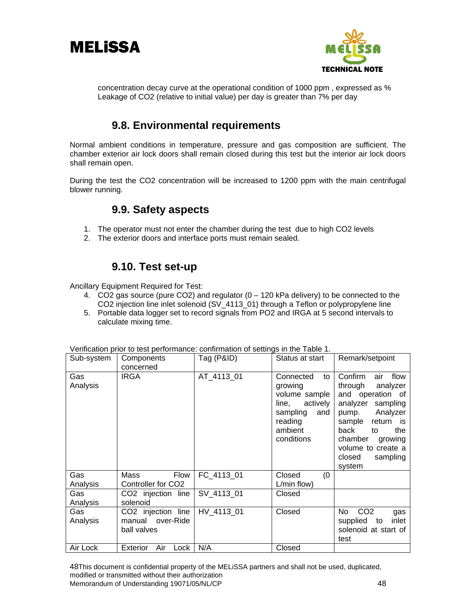



concentration decay curve at the operational condition of 1000 ppm , expressed as % Leakage of CO2 (relative to initial value) per day is greater than 7% per day

### **9.8. Environmental requirements**

Normal ambient conditions in temperature, pressure and gas composition are sufficient. The chamber exterior air lock doors shall remain closed during this test but the interior air lock doors shall remain open.

During the test the CO2 concentration will be increased to 1200 ppm with the main centrifugal blower running.

### **9.9. Safety aspects**

- 1. The operator must not enter the chamber during the test due to high CO2 levels
- 2. The exterior doors and interface ports must remain sealed.

### **9.10. Test set-up**

Ancillary Equipment Required for Test:

- 4. CO2 gas source (pure CO2) and regulator  $(0 120$  kPa delivery) to be connected to the CO2 injection line inlet solenoid (SV\_4113\_01) through a Teflon or polypropylene line
- 5. Portable data logger set to record signals from PO2 and IRGA at 5 second intervals to calculate mixing time.

| Sub-system      | Components<br>concerned                                  | Tag (P&ID) | Status at start                                                                                                         | Remark/setpoint                                                                                                                                                                                                                        |
|-----------------|----------------------------------------------------------|------------|-------------------------------------------------------------------------------------------------------------------------|----------------------------------------------------------------------------------------------------------------------------------------------------------------------------------------------------------------------------------------|
| Gas<br>Analysis | IRGA                                                     | AT_4113_01 | Connected<br>to<br>growing<br>volume sample<br>actively<br>line,<br>sampling<br>and<br>reading<br>ambient<br>conditions | Confirm<br>air<br>flow<br>through<br>analyzer<br>and operation of<br>analyzer<br>sampling<br>Analyzer<br>pump.<br>sample<br>return is<br>back<br>the<br>to<br>chamber<br>growing<br>volume to create a<br>closed<br>sampling<br>system |
| Gas<br>Analysis | Mass<br><b>Flow</b><br>Controller for CO <sub>2</sub>    | FC 4113 01 | (0)<br>Closed<br>$L/min$ flow)                                                                                          |                                                                                                                                                                                                                                        |
| Gas<br>Analysis | CO2 injection line<br>solenoid                           | SV 4113 01 | Closed                                                                                                                  |                                                                                                                                                                                                                                        |
| Gas<br>Analysis | CO2 injection line<br>over-Ride<br>manual<br>ball valves | HV 4113 01 | Closed                                                                                                                  | CO <sub>2</sub><br>No<br>gas<br>inlet<br>supplied<br>to<br>solenoid at start of<br>test                                                                                                                                                |
| Air Lock        | Exterior<br>Air<br>Lock                                  | N/A        | Closed                                                                                                                  |                                                                                                                                                                                                                                        |

Verification prior to test performance: confirmation of settings in the Table 1.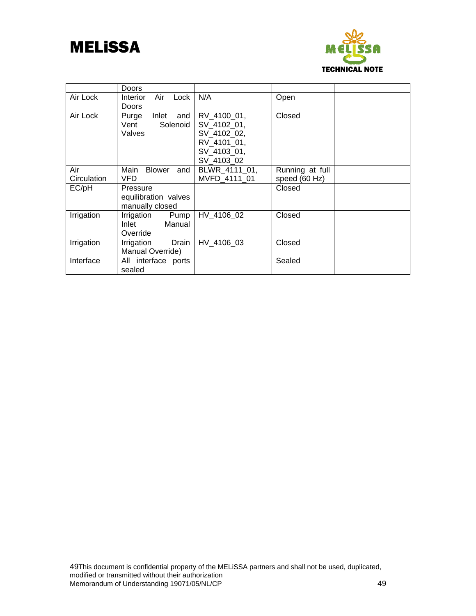

|                    | Doors                                               |                                                                                       |                                  |  |
|--------------------|-----------------------------------------------------|---------------------------------------------------------------------------------------|----------------------------------|--|
| Air Lock           | Lock<br><b>Interior</b><br>Air<br>Doors             | N/A                                                                                   | Open                             |  |
| Air Lock           | Inlet<br>Purge<br>and<br>Vent<br>Solenoid<br>Valves | RV_4100_01,<br>SV 4102 01,<br>SV 4102 02,<br>RV 4101 01,<br>SV 4103 01,<br>SV_4103_02 | Closed                           |  |
| Air<br>Circulation | Main<br>Blower and<br><b>VFD</b>                    | BLWR 4111 01,<br>MVFD 4111 01                                                         | Running at full<br>speed (60 Hz) |  |
| $EC$ /pH           | Pressure<br>equilibration valves<br>manually closed |                                                                                       | Closed                           |  |
| Irrigation         | Irrigation<br>Pump<br>Manual<br>Inlet<br>Override   | HV 4106 02                                                                            | Closed                           |  |
| Irrigation         | Drain<br>Irrigation<br>Manual Override)             | HV 4106 03                                                                            | Closed                           |  |
| Interface          | All interface ports<br>sealed                       |                                                                                       | Sealed                           |  |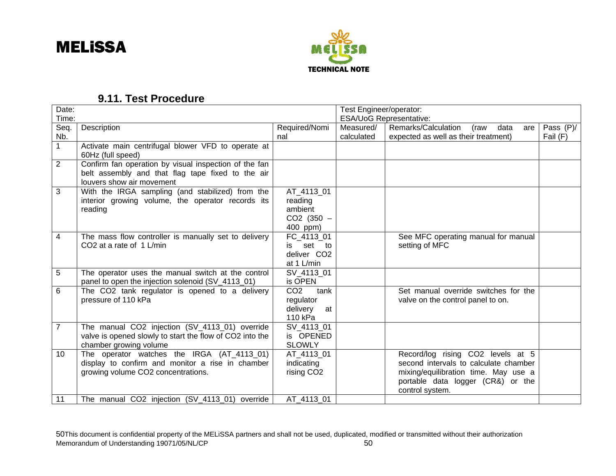



| Date:          |                                                          |                         |            | Test Engineer/operator:                    |           |  |  |
|----------------|----------------------------------------------------------|-------------------------|------------|--------------------------------------------|-----------|--|--|
| Time:          |                                                          |                         |            | <b>ESA/UoG Representative:</b>             |           |  |  |
| Seq.           | Description                                              | Required/Nomi           | Measured/  | Remarks/Calculation<br>(raw<br>data<br>are | Pass (P)/ |  |  |
| Nb.            |                                                          | nal                     | calculated | expected as well as their treatment)       | Fail (F)  |  |  |
| $\mathbf{1}$   | Activate main centrifugal blower VFD to operate at       |                         |            |                                            |           |  |  |
|                | 60Hz (full speed)                                        |                         |            |                                            |           |  |  |
| 2              | Confirm fan operation by visual inspection of the fan    |                         |            |                                            |           |  |  |
|                | belt assembly and that flag tape fixed to the air        |                         |            |                                            |           |  |  |
|                | louvers show air movement                                |                         |            |                                            |           |  |  |
| 3              | With the IRGA sampling (and stabilized) from the         | AT 4113 01              |            |                                            |           |  |  |
|                | interior growing volume, the operator records its        | reading                 |            |                                            |           |  |  |
|                | reading                                                  | ambient                 |            |                                            |           |  |  |
|                |                                                          | $CO2$ (350 $-$          |            |                                            |           |  |  |
|                |                                                          | 400 ppm)                |            |                                            |           |  |  |
| 4              | The mass flow controller is manually set to delivery     | FC 4113 01              |            | See MFC operating manual for manual        |           |  |  |
|                | CO <sub>2</sub> at a rate of 1 L/min                     | set to<br>is            |            | setting of MFC                             |           |  |  |
|                |                                                          | deliver CO <sub>2</sub> |            |                                            |           |  |  |
|                |                                                          | at 1 L/min              |            |                                            |           |  |  |
| 5              | The operator uses the manual switch at the control       | SV_4113_01              |            |                                            |           |  |  |
|                | panel to open the injection solenoid (SV_4113_01)        | is OPEN                 |            |                                            |           |  |  |
| 6              | The CO2 tank regulator is opened to a delivery           | CO <sub>2</sub><br>tank |            | Set manual override switches for the       |           |  |  |
|                | pressure of 110 kPa                                      | regulator               |            | valve on the control panel to on.          |           |  |  |
|                |                                                          | delivery<br>at          |            |                                            |           |  |  |
|                |                                                          | 110 kPa                 |            |                                            |           |  |  |
| $\overline{7}$ | The manual CO2 injection (SV_4113_01) override           | SV 4113 01              |            |                                            |           |  |  |
|                | valve is opened slowly to start the flow of CO2 into the | is OPENED               |            |                                            |           |  |  |
|                | chamber growing volume                                   | <b>SLOWLY</b>           |            |                                            |           |  |  |
| 10             | The operator watches the IRGA (AT_4113_01)               | AT_4113_01              |            | Record/log rising CO2 levels at 5          |           |  |  |
|                | display to confirm and monitor a rise in chamber         | indicating              |            | second intervals to calculate chamber      |           |  |  |
|                | growing volume CO2 concentrations.                       | rising CO <sub>2</sub>  |            | mixing/equilibration time. May use a       |           |  |  |
|                |                                                          |                         |            | portable data logger (CR&) or the          |           |  |  |
|                |                                                          |                         |            | control system.                            |           |  |  |
| 11             | The manual CO2 injection (SV 4113 01) override           | AT 4113 01              |            |                                            |           |  |  |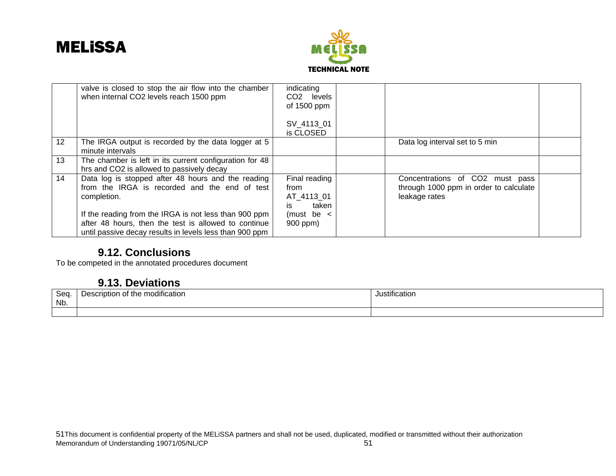



|    | valve is closed to stop the air flow into the chamber<br>when internal CO2 levels reach 1500 ppm                                                                            | indicating<br>CO <sub>2</sub><br>levels<br>of 1500 ppm<br>SV 4113 01<br>is CLOSED |                                                                                            |  |
|----|-----------------------------------------------------------------------------------------------------------------------------------------------------------------------------|-----------------------------------------------------------------------------------|--------------------------------------------------------------------------------------------|--|
| 12 | The IRGA output is recorded by the data logger at 5<br>minute intervals                                                                                                     |                                                                                   | Data log interval set to 5 min                                                             |  |
| 13 | The chamber is left in its current configuration for 48<br>hrs and CO2 is allowed to passively decay                                                                        |                                                                                   |                                                                                            |  |
| 14 | Data log is stopped after 48 hours and the reading<br>from the IRGA is recorded and the end of test<br>completion.<br>If the reading from the IRGA is not less than 900 ppm | Final reading<br>from<br>AT 4113 01<br>taken<br>is<br>(must be $\lt$              | Concentrations of CO2 must pass<br>through 1000 ppm in order to calculate<br>leakage rates |  |
|    | after 48 hours, then the test is allowed to continue<br>until passive decay results in levels less than 900 ppm                                                             | 900 ppm)                                                                          |                                                                                            |  |

To be competed in the annotated procedures document

| <b>San</b><br>oad<br>Nb. | <br>: modification<br>Description<br>∵the<br>I OI | .<br>Justification |
|--------------------------|---------------------------------------------------|--------------------|
|                          |                                                   |                    |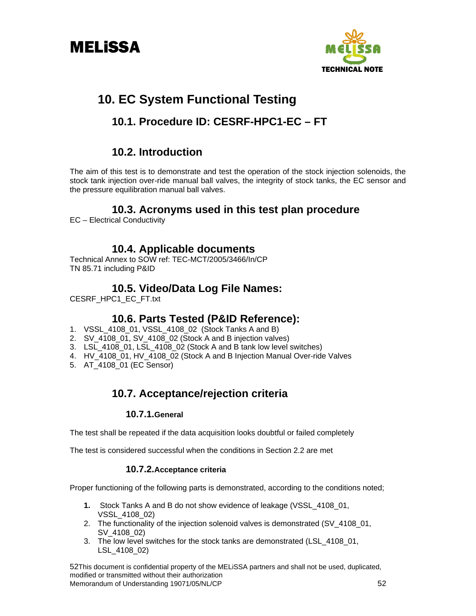



## **10. EC System Functional Testing**

### **10.1. Procedure ID: CESRF-HPC1-EC – FT**

### **10.2. Introduction**

The aim of this test is to demonstrate and test the operation of the stock injection solenoids, the stock tank injection over-ride manual ball valves, the integrity of stock tanks, the EC sensor and the pressure equilibration manual ball valves.

### **10.3. Acronyms used in this test plan procedure**

EC – Electrical Conductivity

### **10.4. Applicable documents**

Technical Annex to SOW ref: TEC-MCT/2005/3466/In/CP TN 85.71 including P&ID

### **10.5. Video/Data Log File Names:**

CESRF\_HPC1\_EC\_FT.txt

### **10.6. Parts Tested (P&ID Reference):**

- 1. VSSL\_4108\_01, VSSL\_4108\_02 (Stock Tanks A and B)
- 2. SV\_4108\_01, SV\_4108\_02 (Stock A and B injection valves)
- 3. LSL\_4108\_01, LSL\_4108\_02 (Stock A and B tank low level switches)
- 4. HV 4108 01, HV 4108 02 (Stock A and B Injection Manual Over-ride Valves
- 5. AT\_4108\_01 (EC Sensor)

### **10.7. Acceptance/rejection criteria**

#### **10.7.1.General**

The test shall be repeated if the data acquisition looks doubtful or failed completely

The test is considered successful when the conditions in Section 2.2 are met

#### **10.7.2.Acceptance criteria**

Proper functioning of the following parts is demonstrated, according to the conditions noted;

- **1.** Stock Tanks A and B do not show evidence of leakage (VSSL\_4108\_01, VSSL\_4108\_02)
- 2. The functionality of the injection solenoid valves is demonstrated (SV\_4108\_01, SV\_4108\_02)
- 3. The low level switches for the stock tanks are demonstrated (LSL\_4108\_01, LSL\_4108\_02)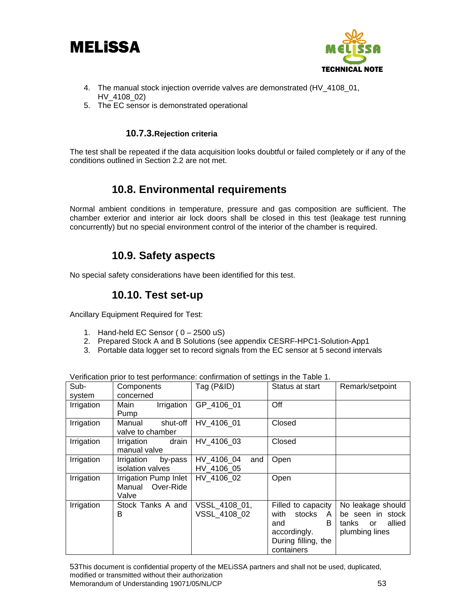



- 4. The manual stock injection override valves are demonstrated (HV\_4108\_01, HV\_4108\_02)
- 5. The EC sensor is demonstrated operational

#### **10.7.3.Rejection criteria**

The test shall be repeated if the data acquisition looks doubtful or failed completely or if any of the conditions outlined in Section 2.2 are not met.

### **10.8. Environmental requirements**

Normal ambient conditions in temperature, pressure and gas composition are sufficient. The chamber exterior and interior air lock doors shall be closed in this test (leakage test running concurrently) but no special environment control of the interior of the chamber is required.

### **10.9. Safety aspects**

No special safety considerations have been identified for this test.

### **10.10. Test set-up**

Ancillary Equipment Required for Test:

- 1. Hand-held EC Sensor ( $0 2500$  uS)
- 2. Prepared Stock A and B Solutions (see appendix CESRF-HPC1-Solution-App1
- 3. Portable data logger set to record signals from the EC sensor at 5 second intervals

| Sub-       | Components                                            | Tag $(P&ID)$                    | Status at start                                                                                             | Remark/setpoint                                                                  |
|------------|-------------------------------------------------------|---------------------------------|-------------------------------------------------------------------------------------------------------------|----------------------------------------------------------------------------------|
| system     | concerned                                             |                                 |                                                                                                             |                                                                                  |
| Irrigation | Irrigation<br>Main<br>Pump                            | GP 4106 01                      | Off                                                                                                         |                                                                                  |
| Irrigation | shut-off<br>Manual<br>valve to chamber                | HV 4106 01                      | Closed                                                                                                      |                                                                                  |
| Irrigation | drain<br>Irrigation<br>manual valve                   | HV 4106 03                      | Closed                                                                                                      |                                                                                  |
| Irrigation | Irrigation<br>by-pass<br>isolation valves             | HV_4106_04<br>and<br>HV_4106_05 | Open                                                                                                        |                                                                                  |
| Irrigation | Irrigation Pump Inlet<br>Over-Ride<br>Manual<br>Valve | HV 4106 02                      | Open                                                                                                        |                                                                                  |
| Irrigation | Stock Tanks A and<br>B                                | VSSL_4108_01,<br>VSSL 4108 02   | Filled to capacity<br>with<br>stocks<br>A<br>and<br>B.<br>accordingly.<br>During filling, the<br>containers | No leakage should<br>be seen in stock<br>allied<br>tanks<br>or<br>plumbing lines |

Verification prior to test performance: confirmation of settings in the Table 1.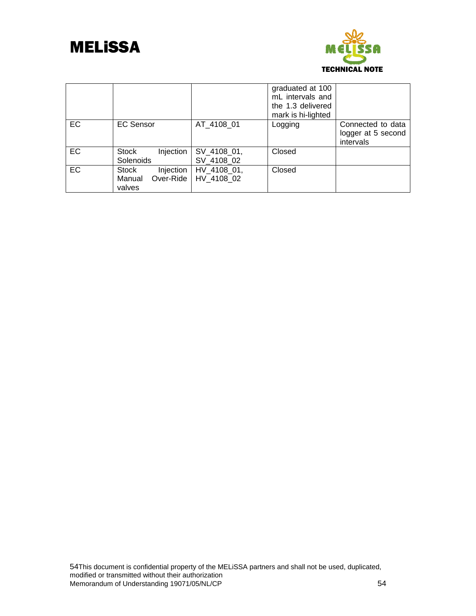



|    |                                                     |                           | graduated at 100<br>mL intervals and<br>the 1.3 delivered<br>mark is hi-lighted |                                                      |
|----|-----------------------------------------------------|---------------------------|---------------------------------------------------------------------------------|------------------------------------------------------|
| EC | <b>EC Sensor</b>                                    | AT 4108 01                | Logging                                                                         | Connected to data<br>logger at 5 second<br>intervals |
| EC | Stock<br>Injection<br>Solenoids                     | SV_4108_01,<br>SV_4108_02 | Closed                                                                          |                                                      |
| EC | Injection<br>Stock<br>Over-Ride<br>Manual<br>valves | HV 4108 01,<br>HV 4108 02 | Closed                                                                          |                                                      |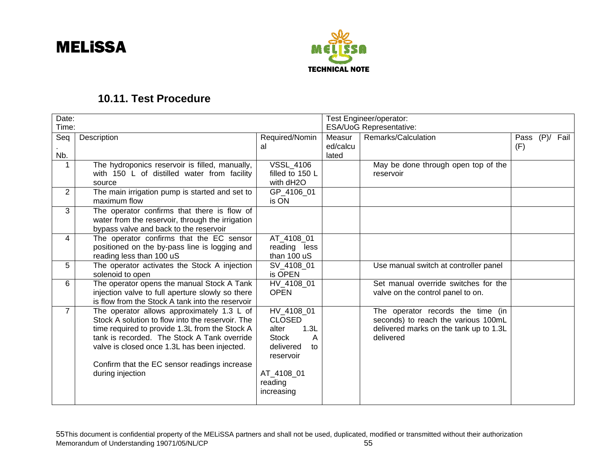

| Pass (P)/<br>Fail |
|-------------------|
|                   |
|                   |
|                   |
|                   |
|                   |
|                   |
|                   |
|                   |
|                   |
|                   |
|                   |
|                   |
|                   |
|                   |
|                   |
|                   |
|                   |
|                   |
|                   |
|                   |
|                   |
|                   |
|                   |
|                   |
|                   |
|                   |
|                   |
|                   |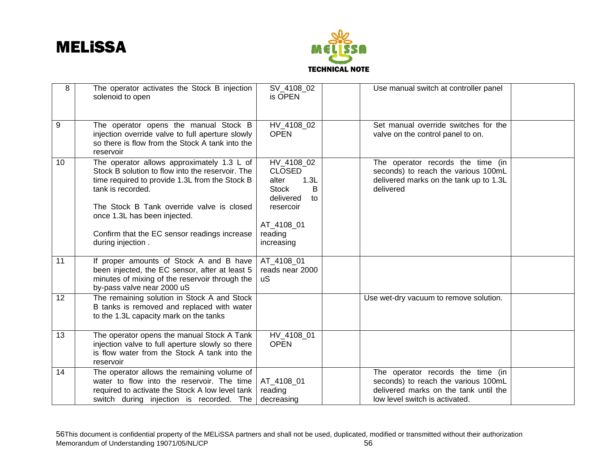



| 8  | The operator activates the Stock B injection<br>solenoid to open                                                                                                                                                                                                                                                        | SV_4108_02<br>is OPEN                                                                                                                    | Use manual switch at controller panel                                                                                                               |
|----|-------------------------------------------------------------------------------------------------------------------------------------------------------------------------------------------------------------------------------------------------------------------------------------------------------------------------|------------------------------------------------------------------------------------------------------------------------------------------|-----------------------------------------------------------------------------------------------------------------------------------------------------|
| 9  | The operator opens the manual Stock B<br>injection override valve to full aperture slowly<br>so there is flow from the Stock A tank into the<br>reservoir                                                                                                                                                               | HV_4108_02<br><b>OPEN</b>                                                                                                                | Set manual override switches for the<br>valve on the control panel to on.                                                                           |
| 10 | The operator allows approximately 1.3 L of<br>Stock B solution to flow into the reservoir. The<br>time required to provide 1.3L from the Stock B<br>tank is recorded.<br>The Stock B Tank override valve is closed<br>once 1.3L has been injected.<br>Confirm that the EC sensor readings increase<br>during injection. | HV_4108_02<br><b>CLOSED</b><br>1.3L<br>alter<br><b>Stock</b><br>B<br>delivered<br>to<br>resercoir<br>AT_4108_01<br>reading<br>increasing | The operator records the time (in<br>seconds) to reach the various 100mL<br>delivered marks on the tank up to 1.3L<br>delivered                     |
| 11 | If proper amounts of Stock A and B have<br>been injected, the EC sensor, after at least 5<br>minutes of mixing of the reservoir through the<br>by-pass valve near 2000 uS                                                                                                                                               | AT 4108 01<br>reads near 2000<br><b>uS</b>                                                                                               |                                                                                                                                                     |
| 12 | The remaining solution in Stock A and Stock<br>B tanks is removed and replaced with water<br>to the 1.3L capacity mark on the tanks                                                                                                                                                                                     |                                                                                                                                          | Use wet-dry vacuum to remove solution.                                                                                                              |
| 13 | The operator opens the manual Stock A Tank<br>injection valve to full aperture slowly so there<br>is flow water from the Stock A tank into the<br>reservoir                                                                                                                                                             | HV_4108_01<br><b>OPEN</b>                                                                                                                |                                                                                                                                                     |
| 14 | The operator allows the remaining volume of<br>water to flow into the reservoir. The time<br>required to activate the Stock A low level tank<br>switch during injection is recorded. The                                                                                                                                | AT_4108_01<br>reading<br>decreasing                                                                                                      | The operator records the time (in<br>seconds) to reach the various 100mL<br>delivered marks on the tank until the<br>low level switch is activated. |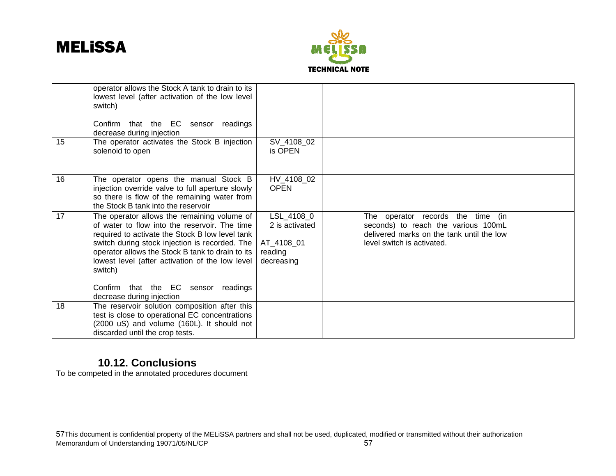



|    | operator allows the Stock A tank to drain to its<br>lowest level (after activation of the low level<br>switch)<br>Confirm that the EC sensor readings<br>decrease during injection                                                                                                                                  |                                                                     |                                                                                                                                                     |  |
|----|---------------------------------------------------------------------------------------------------------------------------------------------------------------------------------------------------------------------------------------------------------------------------------------------------------------------|---------------------------------------------------------------------|-----------------------------------------------------------------------------------------------------------------------------------------------------|--|
| 15 | The operator activates the Stock B injection<br>solenoid to open                                                                                                                                                                                                                                                    | SV_4108_02<br>is OPEN                                               |                                                                                                                                                     |  |
| 16 | The operator opens the manual Stock B<br>injection override valve to full aperture slowly<br>so there is flow of the remaining water from<br>the Stock B tank into the reservoir                                                                                                                                    | HV_4108_02<br><b>OPEN</b>                                           |                                                                                                                                                     |  |
| 17 | The operator allows the remaining volume of<br>of water to flow into the reservoir. The time<br>required to activate the Stock B low level tank<br>switch during stock injection is recorded. The<br>operator allows the Stock B tank to drain to its<br>lowest level (after activation of the low level<br>switch) | LSL_4108_0<br>2 is activated<br>AT_4108_01<br>reading<br>decreasing | The operator records the time (in<br>seconds) to reach the various 100mL<br>delivered marks on the tank until the low<br>level switch is activated. |  |
|    | Confirm that the EC sensor readings<br>decrease during injection                                                                                                                                                                                                                                                    |                                                                     |                                                                                                                                                     |  |
| 18 | The reservoir solution composition after this<br>test is close to operational EC concentrations<br>(2000 uS) and volume (160L). It should not<br>discarded until the crop tests.                                                                                                                                    |                                                                     |                                                                                                                                                     |  |

To be competed in the annotated procedures document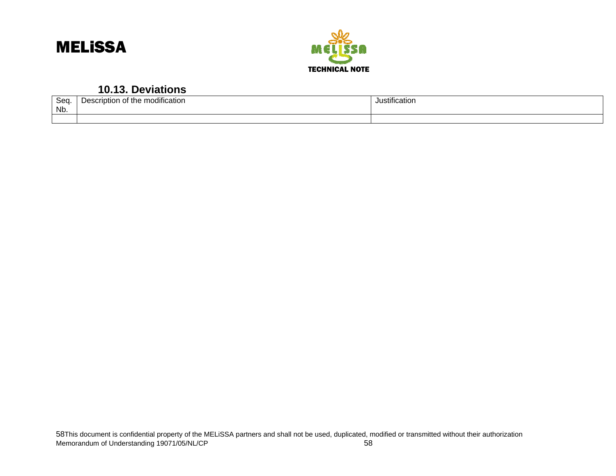



| Seq.<br>Nb. | <br>i of the modification<br>iptior<br>nn/<br>יכסע | .<br>stification. |
|-------------|----------------------------------------------------|-------------------|
|             |                                                    |                   |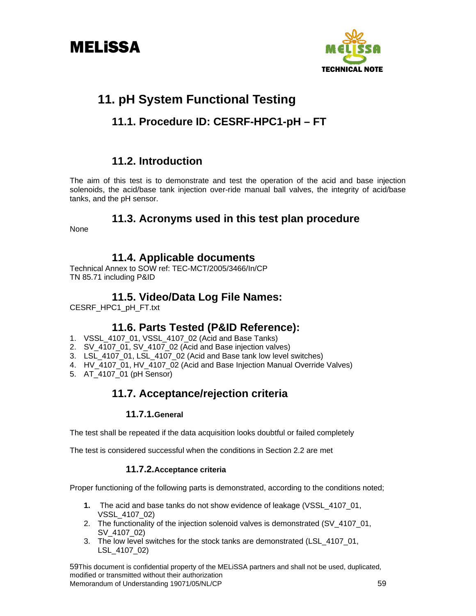



## **11. pH System Functional Testing**

### **11.1. Procedure ID: CESRF-HPC1-pH – FT**

### **11.2. Introduction**

The aim of this test is to demonstrate and test the operation of the acid and base injection solenoids, the acid/base tank injection over-ride manual ball valves, the integrity of acid/base tanks, and the pH sensor.

### **11.3. Acronyms used in this test plan procedure**

None

### **11.4. Applicable documents**

Technical Annex to SOW ref: TEC-MCT/2005/3466/In/CP TN 85.71 including P&ID

### **11.5. Video/Data Log File Names:**

CESRF\_HPC1\_pH\_FT.txt

### **11.6. Parts Tested (P&ID Reference):**

- 1. VSSL\_4107\_01, VSSL\_4107\_02 (Acid and Base Tanks)
- 2. SV\_4107\_01, SV\_4107\_02 (Acid and Base injection valves)
- 3. LSL\_4107\_01, LSL\_4107\_02 (Acid and Base tank low level switches)
- 4. HV 4107 01, HV\_4107\_02 (Acid and Base Injection Manual Override Valves)
- 5. AT\_4107\_01 (pH Sensor)

### **11.7. Acceptance/rejection criteria**

#### **11.7.1.General**

The test shall be repeated if the data acquisition looks doubtful or failed completely

The test is considered successful when the conditions in Section 2.2 are met

#### **11.7.2.Acceptance criteria**

Proper functioning of the following parts is demonstrated, according to the conditions noted;

- **1.** The acid and base tanks do not show evidence of leakage (VSSL\_4107\_01, VSSL\_4107\_02)
- 2. The functionality of the injection solenoid valves is demonstrated (SV\_4107\_01, SV\_4107\_02)
- 3. The low level switches for the stock tanks are demonstrated (LSL\_4107\_01, LSL\_4107\_02)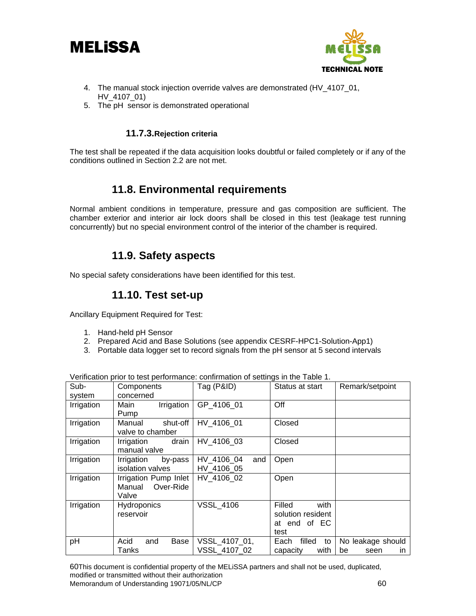



- 4. The manual stock injection override valves are demonstrated (HV\_4107\_01, HV\_4107\_01)
- 5. The pH sensor is demonstrated operational

#### **11.7.3.Rejection criteria**

The test shall be repeated if the data acquisition looks doubtful or failed completely or if any of the conditions outlined in Section 2.2 are not met.

### **11.8. Environmental requirements**

Normal ambient conditions in temperature, pressure and gas composition are sufficient. The chamber exterior and interior air lock doors shall be closed in this test (leakage test running concurrently) but no special environment control of the interior of the chamber is required.

### **11.9. Safety aspects**

No special safety considerations have been identified for this test.

### **11.10. Test set-up**

Ancillary Equipment Required for Test:

- 1. Hand-held pH Sensor
- 2. Prepared Acid and Base Solutions (see appendix CESRF-HPC1-Solution-App1)
- 3. Portable data logger set to record signals from the pH sensor at 5 second intervals

|            | verification prior to test performance. Committation of settings in the Table T. |                   |                      |                   |
|------------|----------------------------------------------------------------------------------|-------------------|----------------------|-------------------|
| Sub-       | Components                                                                       | Tag (P&ID)        | Status at start      | Remark/setpoint   |
| system     | concerned                                                                        |                   |                      |                   |
| Irrigation | Irrigation<br>Main                                                               | GP 4106 01        | Off                  |                   |
|            | Pump                                                                             |                   |                      |                   |
| Irrigation | shut-off<br>Manual                                                               | HV 4106 01        | Closed               |                   |
|            | valve to chamber                                                                 |                   |                      |                   |
| Irrigation | drain<br>Irrigation                                                              | HV 4106 03        | Closed               |                   |
|            | manual valve                                                                     |                   |                      |                   |
| Irrigation | Irrigation<br>by-pass                                                            | HV_4106_04<br>and | Open                 |                   |
|            | isolation valves                                                                 | HV 4106 05        |                      |                   |
| Irrigation | Irrigation Pump Inlet                                                            | HV 4106 02        | Open                 |                   |
|            | Over-Ride<br>Manual                                                              |                   |                      |                   |
|            | Valve                                                                            |                   |                      |                   |
| Irrigation | Hydroponics                                                                      | <b>VSSL 4106</b>  | Filled<br>with       |                   |
|            | reservoir                                                                        |                   | solution resident    |                   |
|            |                                                                                  |                   | at end of EC         |                   |
|            |                                                                                  |                   | test                 |                   |
| pH         | Acid<br>Base<br>and                                                              | VSSL_4107_01,     | filled<br>Each<br>to | No leakage should |
|            | Tanks                                                                            | VSSL_4107_02      | with<br>capacity     | be<br>seen<br>in. |

Verification prior to test performance: confirmation of settings in the Table 1.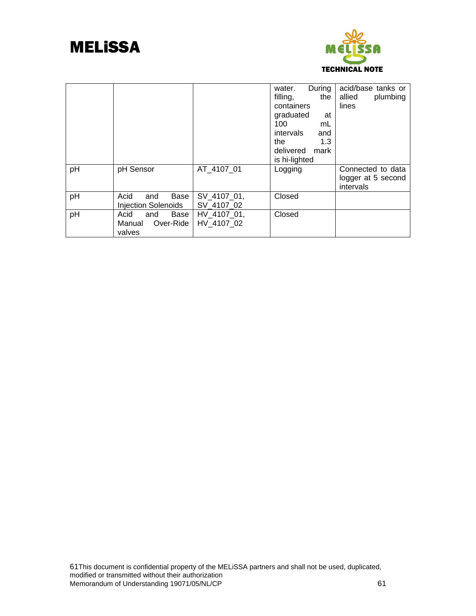

|    |                                                      |                           | During  <br>water.<br>filling,<br>the<br>containers<br>graduated<br>at<br>100<br>mL<br>intervals<br>and<br>1.3<br>the<br>delivered<br>mark<br>is hi-lighted | acid/base tanks or<br>allied<br>plumbing<br>lines    |
|----|------------------------------------------------------|---------------------------|-------------------------------------------------------------------------------------------------------------------------------------------------------------|------------------------------------------------------|
| pH | pH Sensor                                            | AT 4107 01                | Logging                                                                                                                                                     | Connected to data<br>logger at 5 second<br>intervals |
| pH | Acid<br>Base<br>and<br><b>Injection Solenoids</b>    | SV 4107 01,<br>SV_4107_02 | Closed                                                                                                                                                      |                                                      |
| pH | Acid<br>Base<br>and<br>Over-Ride<br>Manual<br>valves | HV 4107 01,<br>HV 4107 02 | Closed                                                                                                                                                      |                                                      |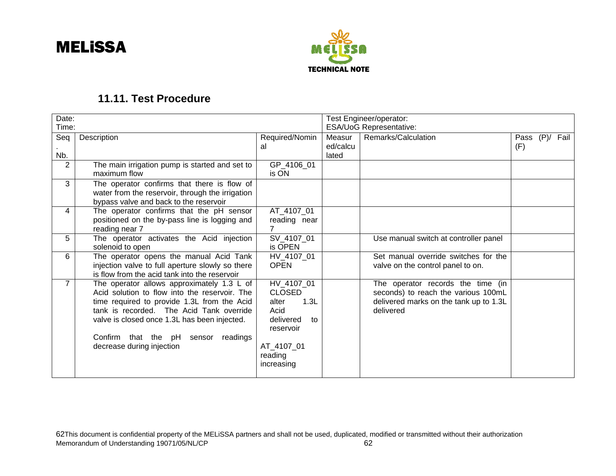

| Date:<br>Time: |                                                                                                   |                           | Test Engineer/operator:<br><b>ESA/UoG Representative:</b> |                                        |                |
|----------------|---------------------------------------------------------------------------------------------------|---------------------------|-----------------------------------------------------------|----------------------------------------|----------------|
| Seq            | Description                                                                                       | Required/Nomin            | Measur                                                    | Remarks/Calculation                    | Pass (P)/ Fail |
|                |                                                                                                   | al                        | ed/calcu                                                  |                                        | (F)            |
| Nb.            |                                                                                                   |                           | lated                                                     |                                        |                |
| $\overline{2}$ | The main irrigation pump is started and set to                                                    | GP 4106 01                |                                                           |                                        |                |
|                | maximum flow                                                                                      | is ON                     |                                                           |                                        |                |
| 3              | The operator confirms that there is flow of                                                       |                           |                                                           |                                        |                |
|                | water from the reservoir, through the irrigation                                                  |                           |                                                           |                                        |                |
|                | bypass valve and back to the reservoir                                                            |                           |                                                           |                                        |                |
| 4              | The operator confirms that the pH sensor                                                          | AT_4107_01                |                                                           |                                        |                |
|                | positioned on the by-pass line is logging and                                                     | reading near              |                                                           |                                        |                |
|                | reading near 7                                                                                    | 7                         |                                                           |                                        |                |
| 5              | The operator activates the Acid injection                                                         | SV_4107_01                |                                                           | Use manual switch at controller panel  |                |
|                | solenoid to open                                                                                  | is OPEN                   |                                                           |                                        |                |
| 6              | The operator opens the manual Acid Tank                                                           | HV_4107_01<br><b>OPEN</b> |                                                           | Set manual override switches for the   |                |
|                | injection valve to full aperture slowly so there<br>is flow from the acid tank into the reservoir |                           |                                                           | valve on the control panel to on.      |                |
| $\overline{7}$ | The operator allows approximately 1.3 L of                                                        | HV_4107_01                |                                                           | The operator records the time (in      |                |
|                | Acid solution to flow into the reservoir. The                                                     | <b>CLOSED</b>             |                                                           | seconds) to reach the various 100mL    |                |
|                | time required to provide 1.3L from the Acid                                                       | 1.3L<br>alter             |                                                           | delivered marks on the tank up to 1.3L |                |
|                | tank is recorded. The Acid Tank override                                                          | Acid                      |                                                           | delivered                              |                |
|                | valve is closed once 1.3L has been injected.                                                      | delivered<br>to           |                                                           |                                        |                |
|                |                                                                                                   | reservoir                 |                                                           |                                        |                |
|                | Confirm that the pH sensor readings                                                               |                           |                                                           |                                        |                |
|                | decrease during injection                                                                         | AT_4107_01                |                                                           |                                        |                |
|                |                                                                                                   | reading                   |                                                           |                                        |                |
|                |                                                                                                   | increasing                |                                                           |                                        |                |
|                |                                                                                                   |                           |                                                           |                                        |                |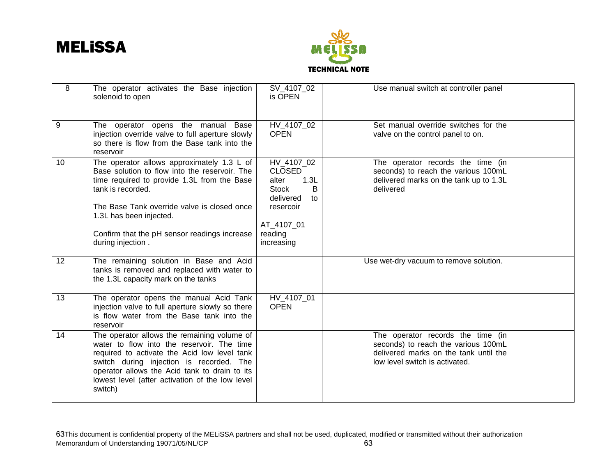



| 8  | The operator activates the Base injection<br>solenoid to open                                                                                                                                                                                                                                                  | SV_4107_02<br>is OPEN                                                                                                                     | Use manual switch at controller panel                                                                                                               |
|----|----------------------------------------------------------------------------------------------------------------------------------------------------------------------------------------------------------------------------------------------------------------------------------------------------------------|-------------------------------------------------------------------------------------------------------------------------------------------|-----------------------------------------------------------------------------------------------------------------------------------------------------|
| 9  | The operator opens the manual Base<br>injection override valve to full aperture slowly<br>so there is flow from the Base tank into the<br>reservoir                                                                                                                                                            | HV_4107_02<br><b>OPEN</b>                                                                                                                 | Set manual override switches for the<br>valve on the control panel to on.                                                                           |
| 10 | The operator allows approximately 1.3 L of<br>Base solution to flow into the reservoir. The<br>time required to provide 1.3L from the Base<br>tank is recorded.<br>The Base Tank override valve is closed once<br>1.3L has been injected.<br>Confirm that the pH sensor readings increase<br>during injection. | HV_4107_02<br><b>CLOSED</b><br>1.3L<br>alter<br><b>Stock</b><br>B.<br>delivered<br>to<br>resercoir<br>AT_4107_01<br>reading<br>increasing | The operator records the time (in<br>seconds) to reach the various 100mL<br>delivered marks on the tank up to 1.3L<br>delivered                     |
| 12 | The remaining solution in Base and Acid<br>tanks is removed and replaced with water to<br>the 1.3L capacity mark on the tanks                                                                                                                                                                                  |                                                                                                                                           | Use wet-dry vacuum to remove solution.                                                                                                              |
| 13 | The operator opens the manual Acid Tank<br>injection valve to full aperture slowly so there<br>is flow water from the Base tank into the<br>reservoir                                                                                                                                                          | HV_4107_01<br><b>OPEN</b>                                                                                                                 |                                                                                                                                                     |
| 14 | The operator allows the remaining volume of<br>water to flow into the reservoir. The time<br>required to activate the Acid low level tank<br>switch during injection is recorded. The<br>operator allows the Acid tank to drain to its<br>lowest level (after activation of the low level<br>switch)           |                                                                                                                                           | The operator records the time (in<br>seconds) to reach the various 100mL<br>delivered marks on the tank until the<br>low level switch is activated. |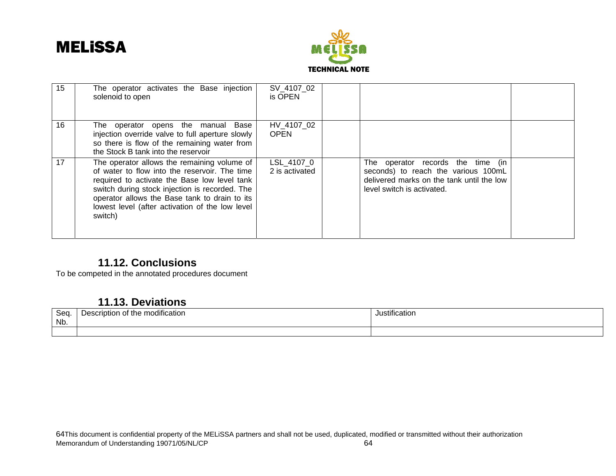



| 15 | The operator activates the Base injection<br>solenoid to open                                                                                                                                                                                                                                                 | SV 4107 02<br>is OPEN        |                                                                                                                                                     |  |
|----|---------------------------------------------------------------------------------------------------------------------------------------------------------------------------------------------------------------------------------------------------------------------------------------------------------------|------------------------------|-----------------------------------------------------------------------------------------------------------------------------------------------------|--|
| 16 | The operator opens the manual Base<br>injection override valve to full aperture slowly<br>so there is flow of the remaining water from<br>the Stock B tank into the reservoir                                                                                                                                 | HV_4107_02<br><b>OPEN</b>    |                                                                                                                                                     |  |
| 17 | The operator allows the remaining volume of<br>of water to flow into the reservoir. The time<br>required to activate the Base low level tank<br>switch during stock injection is recorded. The<br>operator allows the Base tank to drain to its<br>lowest level (after activation of the low level<br>switch) | LSL 4107 0<br>2 is activated | The operator records the time (in<br>seconds) to reach the various 100mL<br>delivered marks on the tank until the low<br>level switch is activated. |  |

To be competed in the annotated procedures document

| Seq<br>Nb. | f the modification<br>$\sim$<br>n.<br>.<br>. <b>DUULIDIUI</b> | Justification |
|------------|---------------------------------------------------------------|---------------|
|            |                                                               |               |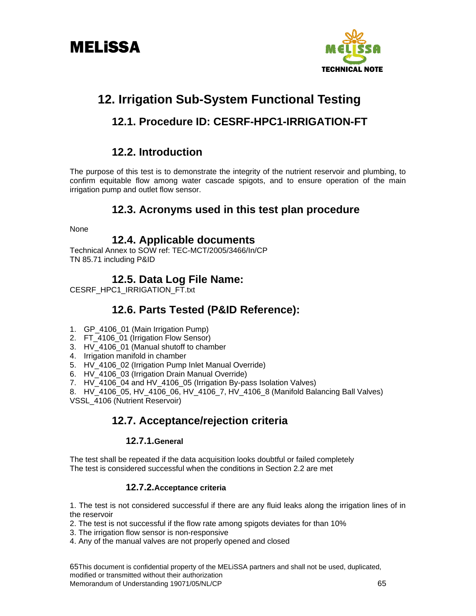



# **12. Irrigation Sub-System Functional Testing**

### **12.1. Procedure ID: CESRF-HPC1-IRRIGATION-FT**

### **12.2. Introduction**

The purpose of this test is to demonstrate the integrity of the nutrient reservoir and plumbing, to confirm equitable flow among water cascade spigots, and to ensure operation of the main irrigation pump and outlet flow sensor.

### **12.3. Acronyms used in this test plan procedure**

None

### **12.4. Applicable documents**

Technical Annex to SOW ref: TEC-MCT/2005/3466/In/CP TN 85.71 including P&ID

### **12.5. Data Log File Name:**

CESRF\_HPC1\_IRRIGATION\_FT.txt

### **12.6. Parts Tested (P&ID Reference):**

- 1. GP\_4106\_01 (Main Irrigation Pump)
- 2. FT\_4106\_01 (Irrigation Flow Sensor)
- 3. HV\_4106\_01 (Manual shutoff to chamber
- 4. Irrigation manifold in chamber
- 5. HV\_4106\_02 (Irrigation Pump Inlet Manual Override)
- 6. HV\_4106\_03 (Irrigation Drain Manual Override)
- 7. HV\_4106\_04 and HV\_4106\_05 (Irrigation By-pass Isolation Valves)

8. HV\_4106\_05, HV\_4106\_06, HV\_4106\_7, HV\_4106\_8 (Manifold Balancing Ball Valves) VSSL\_4106 (Nutrient Reservoir)

### **12.7. Acceptance/rejection criteria**

#### **12.7.1.General**

The test shall be repeated if the data acquisition looks doubtful or failed completely The test is considered successful when the conditions in Section 2.2 are met

#### **12.7.2.Acceptance criteria**

1. The test is not considered successful if there are any fluid leaks along the irrigation lines of in the reservoir

2. The test is not successful if the flow rate among spigots deviates for than 10%

3. The irrigation flow sensor is non-responsive

4. Any of the manual valves are not properly opened and closed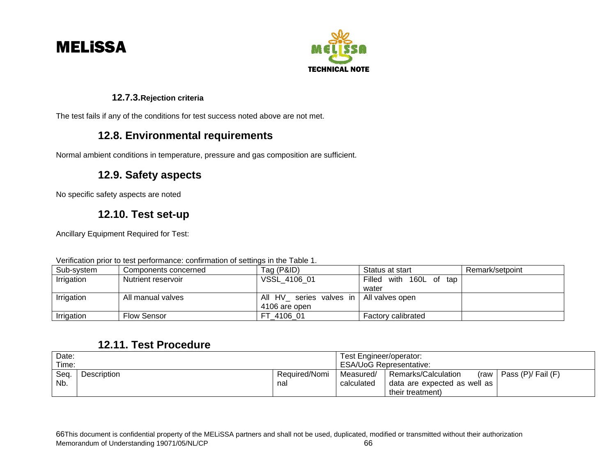



#### **12.7.3.Rejection criteria**

The test fails if any of the conditions for test success noted above are not met.

### **12.8. Environmental requirements**

Normal ambient conditions in temperature, pressure and gas composition are sufficient.

### **12.9. Safety aspects**

No specific safety aspects are noted

### **12.10. Test set-up**

Ancillary Equipment Required for Test:

Verification prior to test performance: confirmation of settings in the Table 1.

| Sub-system | Components concerned | Tag (P&ID)                              | Status at start            | Remark/setpoint |
|------------|----------------------|-----------------------------------------|----------------------------|-----------------|
| Irrigation | Nutrient reservoir   | VSSL 4106 01                            | with 160L of tap<br>Filled |                 |
|            |                      |                                         | water                      |                 |
| Irrigation | All manual valves    | All HV series valves in All valves open |                            |                 |
|            |                      | 4106 are open                           |                            |                 |
| Irrigation | Flow Sensor          | FT 4106 01                              | <b>Factory calibrated</b>  |                 |

| Date:<br>Time: |             |                      | Test Engineer/operator: | <b>ESA/UoG Representative:</b>                                                    |                    |
|----------------|-------------|----------------------|-------------------------|-----------------------------------------------------------------------------------|--------------------|
| Seq<br>Nb.     | Description | Required/Nomi<br>nal | Measured/<br>calculated | Remarks/Calculation<br>(raw I<br>data are expected as well as<br>their treatment) | Pass $(P)/Fail(F)$ |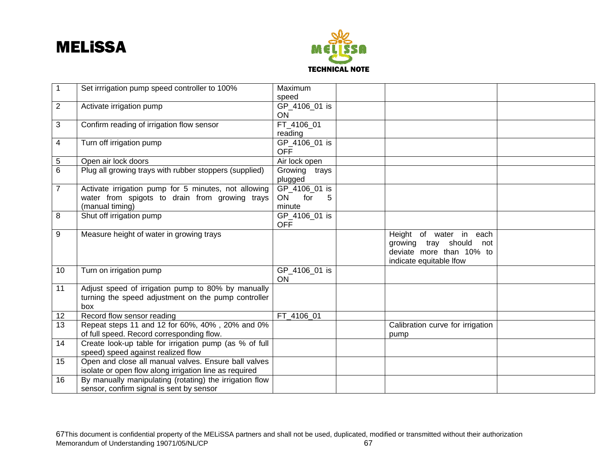



| $\mathbf 1$    | Set irrrigation pump speed controller to 100%           | Maximum          |                                  |  |
|----------------|---------------------------------------------------------|------------------|----------------------------------|--|
|                |                                                         | speed            |                                  |  |
| $\sqrt{2}$     | Activate irrigation pump                                | GP_4106_01 is    |                                  |  |
|                |                                                         | <b>ON</b>        |                                  |  |
| 3              | Confirm reading of irrigation flow sensor               | FT 4106 01       |                                  |  |
|                |                                                         | reading          |                                  |  |
| $\overline{4}$ | Turn off irrigation pump                                | GP_4106_01 is    |                                  |  |
|                |                                                         | <b>OFF</b>       |                                  |  |
| 5              | Open air lock doors                                     | Air lock open    |                                  |  |
| $\overline{6}$ | Plug all growing trays with rubber stoppers (supplied)  | Growing<br>trays |                                  |  |
|                |                                                         | plugged          |                                  |  |
| $\overline{7}$ | Activate irrigation pump for 5 minutes, not allowing    | GP 4106 01 is    |                                  |  |
|                | water from spigots to drain from growing trays          | ON<br>for<br>5   |                                  |  |
|                | (manual timing)                                         | minute           |                                  |  |
| 8              | Shut off irrigation pump                                | GP_4106_01 is    |                                  |  |
|                |                                                         | <b>OFF</b>       |                                  |  |
| 9              | Measure height of water in growing trays                |                  | Height of water in each          |  |
|                |                                                         |                  | growing tray should not          |  |
|                |                                                         |                  | deviate more than 10% to         |  |
|                |                                                         |                  | indicate equitable Ifow          |  |
| 10             | Turn on irrigation pump                                 | GP 4106 01 is    |                                  |  |
|                |                                                         | <b>ON</b>        |                                  |  |
| 11             | Adjust speed of irrigation pump to 80% by manually      |                  |                                  |  |
|                | turning the speed adjustment on the pump controller     |                  |                                  |  |
|                | box                                                     |                  |                                  |  |
| 12             | Record flow sensor reading                              | FT 4106 01       |                                  |  |
| 13             | Repeat steps 11 and 12 for 60%, 40%, 20% and 0%         |                  | Calibration curve for irrigation |  |
|                | of full speed. Record corresponding flow.               |                  | pump                             |  |
| 14             | Create look-up table for irrigation pump (as % of full  |                  |                                  |  |
|                | speed) speed against realized flow                      |                  |                                  |  |
| 15             | Open and close all manual valves. Ensure ball valves    |                  |                                  |  |
|                | isolate or open flow along irrigation line as required  |                  |                                  |  |
| 16             | By manually manipulating (rotating) the irrigation flow |                  |                                  |  |
|                | sensor, confirm signal is sent by sensor                |                  |                                  |  |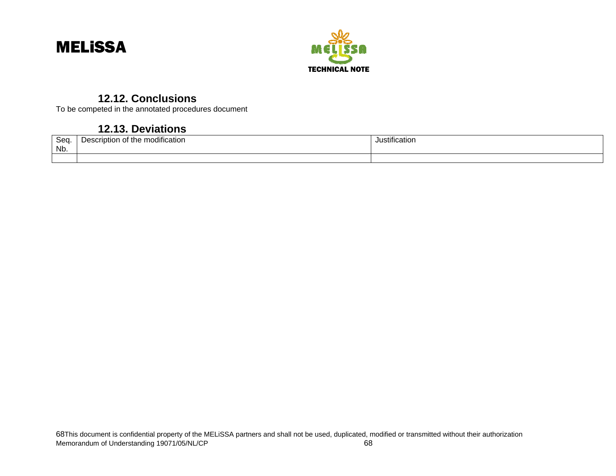



To be competed in the annotated procedures document

| $S_{\Omega}$<br>oca<br>Nb. | <br>modification<br>Description<br>:the | $\cdots$<br>ıtıcatıor<br>ictit |
|----------------------------|-----------------------------------------|--------------------------------|
|                            |                                         |                                |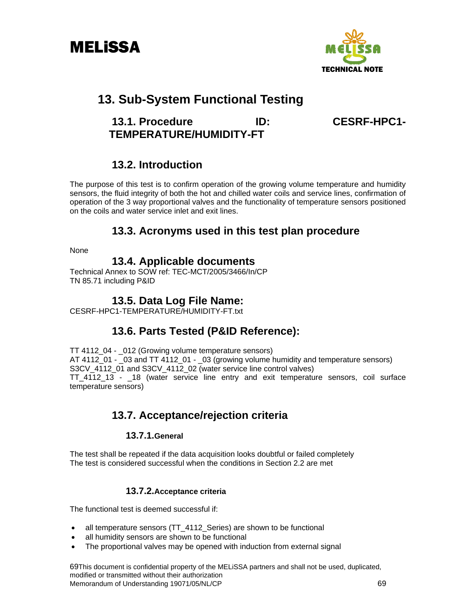



## **13. Sub-System Functional Testing**

**13.1. Procedure ID: CESRF-HPC1- TEMPERATURE/HUMIDITY-FT** 

### **13.2. Introduction**

The purpose of this test is to confirm operation of the growing volume temperature and humidity sensors, the fluid integrity of both the hot and chilled water coils and service lines, confirmation of operation of the 3 way proportional valves and the functionality of temperature sensors positioned on the coils and water service inlet and exit lines.

### **13.3. Acronyms used in this test plan procedure**

None

### **13.4. Applicable documents**

Technical Annex to SOW ref: TEC-MCT/2005/3466/In/CP TN 85.71 including P&ID

### **13.5. Data Log File Name:**

CESRF-HPC1-TEMPERATURE/HUMIDITY-FT.txt

### **13.6. Parts Tested (P&ID Reference):**

TT 4112 04 - 012 (Growing volume temperature sensors) AT 4112  $01 - 03$  and TT 4112  $01 - 03$  (growing volume humidity and temperature sensors) S3CV\_4112\_01 and S3CV\_4112\_02 (water service line control valves) TT\_4112\_13 - \_18 (water service line entry and exit temperature sensors, coil surface temperature sensors)

### **13.7. Acceptance/rejection criteria**

#### **13.7.1.General**

The test shall be repeated if the data acquisition looks doubtful or failed completely The test is considered successful when the conditions in Section 2.2 are met

#### **13.7.2.Acceptance criteria**

The functional test is deemed successful if:

- all temperature sensors (TT\_4112\_Series) are shown to be functional
- all humidity sensors are shown to be functional
- The proportional valves may be opened with induction from external signal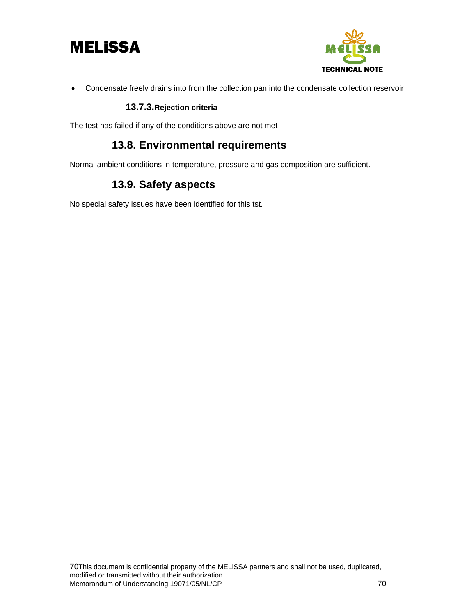



• Condensate freely drains into from the collection pan into the condensate collection reservoir

#### **13.7.3.Rejection criteria**

The test has failed if any of the conditions above are not met

## **13.8. Environmental requirements**

Normal ambient conditions in temperature, pressure and gas composition are sufficient.

## **13.9. Safety aspects**

No special safety issues have been identified for this tst.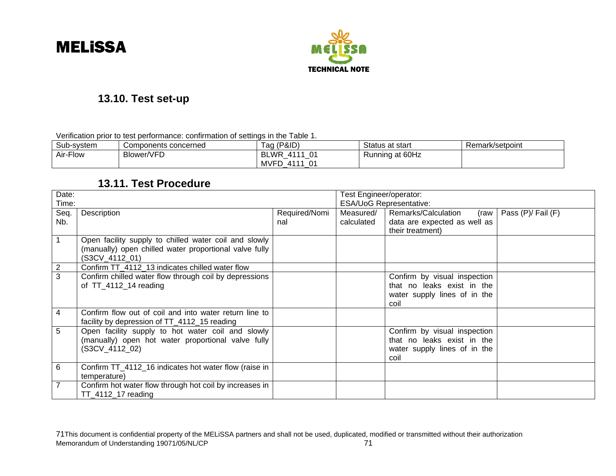



## **13.10. Test set-up**

Verification prior to test performance: confirmation of settings in the Table 1.

| Sub-system | Components concerned | (P&ID)<br>lad                             | Status at start | Remark/setpoint |
|------------|----------------------|-------------------------------------------|-----------------|-----------------|
| Air-Flow   | <b>Blower/VFD</b>    | <b>BLWR</b><br>01<br>111                  | Running at 60Hz |                 |
|            |                      | MVIET<br>01<br>,,,,,<br><b>IVIV</b><br>-- |                 |                 |

## **13.11. Test Procedure**

| Date:          |                                                         | Test Engineer/operator: |                                |                              |                    |
|----------------|---------------------------------------------------------|-------------------------|--------------------------------|------------------------------|--------------------|
| Time:          |                                                         |                         | <b>ESA/UoG Representative:</b> |                              |                    |
| Seq.           | Description                                             | Required/Nomi           | Measured/                      | Remarks/Calculation<br>(raw  | Pass (P)/ Fail (F) |
| Nb.            |                                                         | nal                     | calculated                     | data are expected as well as |                    |
|                |                                                         |                         |                                | their treatment)             |                    |
|                | Open facility supply to chilled water coil and slowly   |                         |                                |                              |                    |
|                | (manually) open chilled water proportional valve fully  |                         |                                |                              |                    |
|                | (S3CV_4112_01)                                          |                         |                                |                              |                    |
| $\overline{2}$ | Confirm TT 4112 13 indicates chilled water flow         |                         |                                |                              |                    |
| 3              | Confirm chilled water flow through coil by depressions  |                         |                                | Confirm by visual inspection |                    |
|                | of $TT_4112_14$ reading                                 |                         |                                | that no leaks exist in the   |                    |
|                |                                                         |                         |                                | water supply lines of in the |                    |
|                |                                                         |                         |                                | coil                         |                    |
| 4              | Confirm flow out of coil and into water return line to  |                         |                                |                              |                    |
|                | facility by depression of TT_4112_15 reading            |                         |                                |                              |                    |
| 5              | Open facility supply to hot water coil and slowly       |                         |                                | Confirm by visual inspection |                    |
|                | (manually) open hot water proportional valve fully      |                         |                                | that no leaks exist in the   |                    |
|                | (S3CV_4112_02)                                          |                         |                                | water supply lines of in the |                    |
|                |                                                         |                         |                                | coil                         |                    |
| 6              | Confirm TT_4112_16 indicates hot water flow (raise in   |                         |                                |                              |                    |
|                | temperature)                                            |                         |                                |                              |                    |
|                | Confirm hot water flow through hot coil by increases in |                         |                                |                              |                    |
|                | TT_4112_17 reading                                      |                         |                                |                              |                    |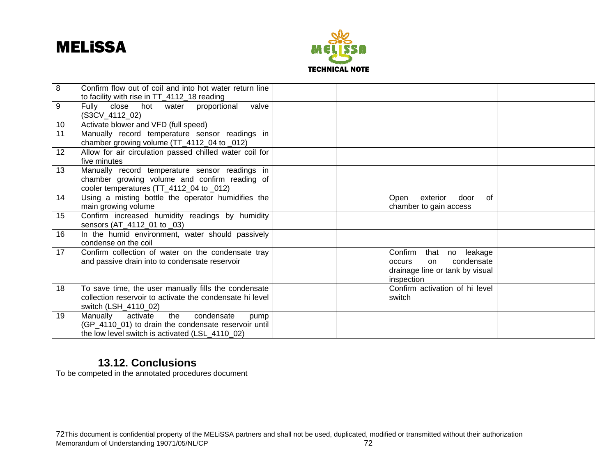



| 8                 | Confirm flow out of coil and into hot water return line  |                                 |  |
|-------------------|----------------------------------------------------------|---------------------------------|--|
|                   | to facility with rise in TT_4112_18 reading              |                                 |  |
| 9                 | Fully<br>close hot water<br>valve<br>proportional        |                                 |  |
|                   | (S3CV_4112_02)                                           |                                 |  |
| 10 <sup>°</sup>   | Activate blower and VFD (full speed)                     |                                 |  |
| 11                | Manually record temperature sensor readings in           |                                 |  |
|                   | chamber growing volume (TT_4112_04 to _012)              |                                 |  |
| $12 \overline{ }$ | Allow for air circulation passed chilled water coil for  |                                 |  |
|                   | five minutes                                             |                                 |  |
| 13                | Manually record temperature sensor readings in           |                                 |  |
|                   | chamber growing volume and confirm reading of            |                                 |  |
|                   | cooler temperatures (TT_4112_04 to _012)                 |                                 |  |
| 14                | Using a misting bottle the operator humidifies the       | 0f<br>Open<br>exterior<br>door  |  |
|                   | main growing volume                                      | chamber to gain access          |  |
| 15                | Confirm increased humidity readings by humidity          |                                 |  |
|                   | sensors (AT_4112_01 to _03)                              |                                 |  |
| 16                | In the humid environment, water should passively         |                                 |  |
|                   | condense on the coil                                     |                                 |  |
| 17                | Confirm collection of water on the condensate tray       | Confirm<br>that no leakage      |  |
|                   | and passive drain into to condensate reservoir           | condensate<br>occurs<br>on      |  |
|                   |                                                          | drainage line or tank by visual |  |
|                   |                                                          | inspection                      |  |
| 18                | To save time, the user manually fills the condensate     | Confirm activation of hi level  |  |
|                   | collection reservoir to activate the condensate hi level | switch                          |  |
|                   | switch (LSH_4110_02)                                     |                                 |  |
| 19                | Manually<br>activate<br>the<br>condensate<br>pump        |                                 |  |
|                   | (GP_4110_01) to drain the condensate reservoir until     |                                 |  |
|                   | the low level switch is activated (LSL_4110_02)          |                                 |  |

### **13.12. Conclusions**

To be competed in the annotated procedures document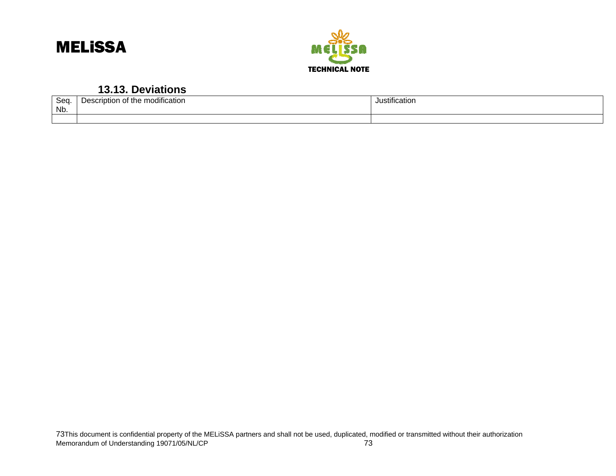



### **13.13. Deviations**

| Seq.<br>Nb. | <br>i of the modification<br>iptior<br>nn/<br>יכסע | .<br>stification. |
|-------------|----------------------------------------------------|-------------------|
|             |                                                    |                   |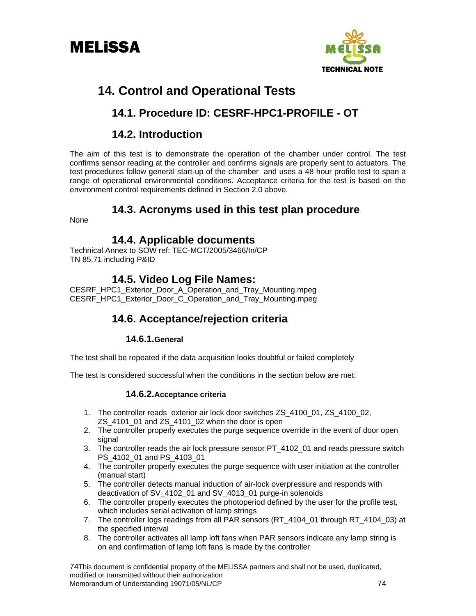



# **14. Control and Operational Tests**

## **14.1. Procedure ID: CESRF-HPC1-PROFILE - OT**

## **14.2. Introduction**

The aim of this test is to demonstrate the operation of the chamber under control. The test confirms sensor reading at the controller and confirms signals are properly sent to actuators. The test procedures follow general start-up of the chamber and uses a 48 hour profile test to span a range of operational environmental conditions. Acceptance criteria for the test is based on the environment control requirements defined in Section 2.0 above.

## **14.3. Acronyms used in this test plan procedure**

None

## **14.4. Applicable documents**

Technical Annex to SOW ref: TEC-MCT/2005/3466/In/CP TN 85.71 including P&ID

## **14.5. Video Log File Names:**

CESRF\_HPC1\_Exterior\_Door\_A\_Operation\_and\_Tray\_Mounting.mpeg CESRF\_HPC1\_Exterior\_Door\_C\_Operation\_and\_Tray\_Mounting.mpeg

## **14.6. Acceptance/rejection criteria**

### **14.6.1.General**

The test shall be repeated if the data acquisition looks doubtful or failed completely

The test is considered successful when the conditions in the section below are met:

### **14.6.2.Acceptance criteria**

- 1. The controller reads exterior air lock door switches ZS\_4100\_01, ZS\_4100\_02, ZS 4101 01 and ZS 4101 02 when the door is open
- 2. The controller properly executes the purge sequence override in the event of door open signal
- 3. The controller reads the air lock pressure sensor PT\_4102\_01 and reads pressure switch PS\_4102\_01 and PS\_4103\_01
- 4. The controller properly executes the purge sequence with user initiation at the controller (manual start)
- 5. The controller detects manual induction of air-lock overpressure and responds with deactivation of SV\_4102\_01 and SV\_4013\_01 purge-in solenoids
- 6. The controller properly executes the photoperiod defined by the user for the profile test, which includes serial activation of lamp strings
- 7. The controller logs readings from all PAR sensors (RT 4104 01 through RT 4104 03) at the specified interval
- 8. The controller activates all lamp loft fans when PAR sensors indicate any lamp string is on and confirmation of lamp loft fans is made by the controller

74This document is confidential property of the MELiSSA partners and shall not be used, duplicated, modified or transmitted without their authorization Memorandum of Understanding 19071/05/NL/CP 74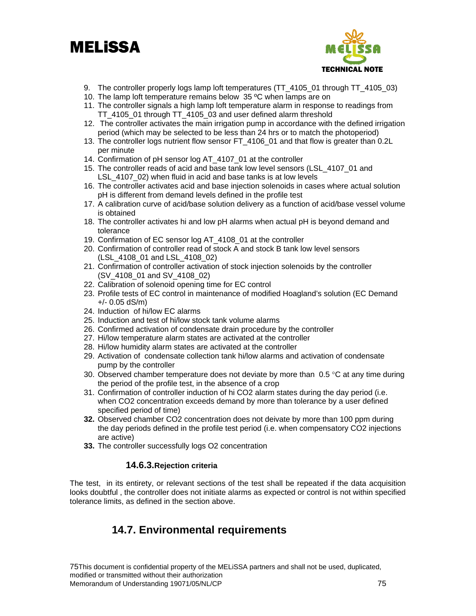

- 9. The controller properly logs lamp loft temperatures (TT\_4105\_01 through TT\_4105\_03)
- 10. The lamp loft temperature remains below 35 ºC when lamps are on
- 11. The controller signals a high lamp loft temperature alarm in response to readings from TT\_4105\_01 through TT\_4105\_03 and user defined alarm threshold
- 12. The controller activates the main irrigation pump in accordance with the defined irrigation period (which may be selected to be less than 24 hrs or to match the photoperiod)
- 13. The controller logs nutrient flow sensor FT\_4106\_01 and that flow is greater than 0.2L per minute
- 14. Confirmation of pH sensor log AT\_4107\_01 at the controller
- 15. The controller reads of acid and base tank low level sensors (LSL\_4107\_01 and LSL 4107, 02) when fluid in acid and base tanks is at low levels
- 16. The controller activates acid and base injection solenoids in cases where actual solution pH is different from demand levels defined in the profile test
- 17. A calibration curve of acid/base solution delivery as a function of acid/base vessel volume is obtained
- 18. The controller activates hi and low pH alarms when actual pH is beyond demand and tolerance
- 19. Confirmation of EC sensor log AT\_4108\_01 at the controller
- 20. Confirmation of controller read of stock A and stock B tank low level sensors (LSL\_4108\_01 and LSL\_4108\_02)
- 21. Confirmation of controller activation of stock injection solenoids by the controller (SV\_4108\_01 and SV\_4108\_02)
- 22. Calibration of solenoid opening time for EC control
- 23. Profile tests of EC control in maintenance of modified Hoagland's solution (EC Demand +/- 0.05 dS/m)
- 24. Induction of hi/low EC alarms
- 25. Induction and test of hi/low stock tank volume alarms
- 26. Confirmed activation of condensate drain procedure by the controller
- 27. Hi/low temperature alarm states are activated at the controller
- 28. Hi/low humidity alarm states are activated at the controller
- 29. Activation of condensate collection tank hi/low alarms and activation of condensate pump by the controller
- 30. Observed chamber temperature does not deviate by more than  $0.5 \degree C$  at any time during the period of the profile test, in the absence of a crop
- 31. Confirmation of controller induction of hi CO2 alarm states during the day period (i.e. when CO2 concentration exceeds demand by more than tolerance by a user defined specified period of time)
- **32.** Observed chamber CO2 concentration does not deivate by more than 100 ppm during the day periods defined in the profile test period (i.e. when compensatory CO2 injections are active)
- **33.** The controller successfully logs O2 concentration

#### **14.6.3.Rejection criteria**

The test, in its entirety, or relevant sections of the test shall be repeated if the data acquisition looks doubtful , the controller does not initiate alarms as expected or control is not within specified tolerance limits, as defined in the section above.

## **14.7. Environmental requirements**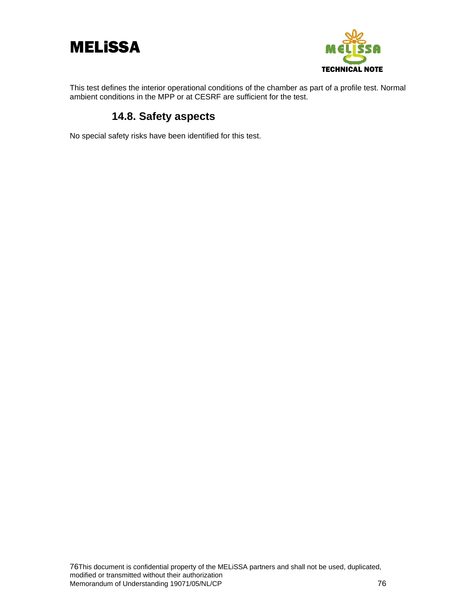

This test defines the interior operational conditions of the chamber as part of a profile test. Normal ambient conditions in the MPP or at CESRF are sufficient for the test.

## **14.8. Safety aspects**

No special safety risks have been identified for this test.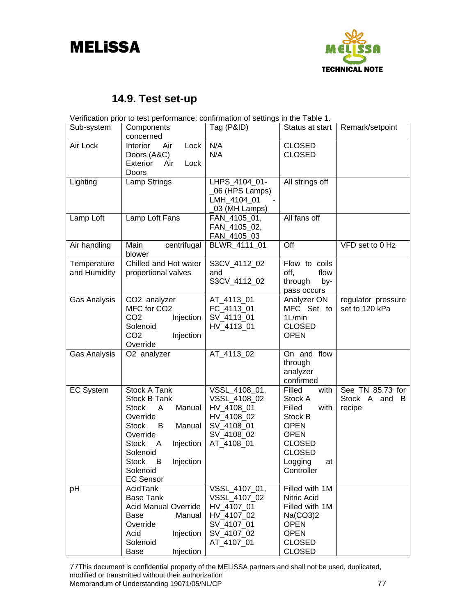



## **14.9. Test set-up**

Verification prior to test performance: confirmation of settings in the Table 1.

| Sub-system       | Components                             | Tag (P&ID)                    | Status at start       | Remark/setpoint    |
|------------------|----------------------------------------|-------------------------------|-----------------------|--------------------|
|                  | concerned                              |                               |                       |                    |
| Air Lock         | Lock<br>Air<br>Interior                | N/A                           | <b>CLOSED</b>         |                    |
|                  | Doors (A&C)                            | N/A                           | <b>CLOSED</b>         |                    |
|                  | Air<br>Exterior<br>Lock                |                               |                       |                    |
|                  | Doors                                  |                               |                       |                    |
| Lighting         | Lamp Strings                           | LHPS 4104 01-                 | All strings off       |                    |
|                  |                                        | 06 (HPS Lamps)<br>LMH_4104_01 |                       |                    |
|                  |                                        | 03 (MH Lamps)                 |                       |                    |
| Lamp Loft        | Lamp Loft Fans                         | FAN_4105_01,                  | All fans off          |                    |
|                  |                                        | FAN_4105_02,                  |                       |                    |
|                  |                                        | FAN_4105_03                   |                       |                    |
| Air handling     | Main<br>centrifugal                    | BLWR 4111 01                  | Off                   | VFD set to 0 Hz    |
|                  | blower                                 |                               |                       |                    |
| Temperature      | Chilled and Hot water                  | S3CV_4112_02                  | Flow to coils         |                    |
| and Humidity     | proportional valves                    | and                           | off,<br>flow          |                    |
|                  |                                        | S3CV 4112 02                  | through<br>by-        |                    |
|                  |                                        |                               | pass occurs           |                    |
| Gas Analysis     | CO2 analyzer                           | AT_4113_01                    | Analyzer ON           | regulator pressure |
|                  | MFC for CO <sub>2</sub>                | FC_4113_01                    | MFC Set to            | set to 120 kPa     |
|                  | CO <sub>2</sub><br>Injection           | SV_4113_01                    | 1 L/min               |                    |
|                  | Solenoid                               | HV 4113 01                    | <b>CLOSED</b>         |                    |
|                  | CO <sub>2</sub><br>Injection           |                               | <b>OPEN</b>           |                    |
|                  | Override                               |                               |                       |                    |
| Gas Analysis     | O <sub>2</sub> analyzer                | AT_4113_02                    | On and flow           |                    |
|                  |                                        |                               | through               |                    |
|                  |                                        |                               | analyzer<br>confirmed |                    |
| <b>EC System</b> | Stock A Tank                           | VSSL_4108_01,                 | Filled<br>with        | See TN 85.73 for   |
|                  | Stock B Tank                           | VSSL_4108_02                  | Stock A               | Stock A and B      |
|                  | <b>Stock</b><br>Manual<br>$\mathsf{A}$ | HV_4108_01                    | Filled<br>with        | recipe             |
|                  | Override                               | HV_4108_02                    | Stock B               |                    |
|                  | Manual<br><b>Stock</b><br>B            | SV_4108_01                    | <b>OPEN</b>           |                    |
|                  | Override                               | SV 4108 02                    | <b>OPEN</b>           |                    |
|                  | Injection<br><b>Stock</b><br>A         | AT 4108 01                    | <b>CLOSED</b>         |                    |
|                  | Solenoid                               |                               | <b>CLOSED</b>         |                    |
|                  | Injection<br>Stock<br>B                |                               | Logging<br>at         |                    |
|                  | Solenoid                               |                               | Controller            |                    |
|                  | <b>EC Sensor</b>                       |                               |                       |                    |
| pH               | AcidTank                               | VSSL 4107 01,                 | Filled with 1M        |                    |
|                  | <b>Base Tank</b>                       | VSSL_4107_02                  | Nitric Acid           |                    |
|                  | <b>Acid Manual Override</b>            | HV_4107_01                    | Filled with 1M        |                    |
|                  | Manual<br><b>Base</b>                  | HV_4107_02                    | Na(CO3)2              |                    |
|                  | Override                               | SV_4107_01                    | <b>OPEN</b>           |                    |
|                  | Acid<br>Injection                      | SV_4107_02                    | <b>OPEN</b>           |                    |
|                  | Solenoid                               | AT_4107_01                    | <b>CLOSED</b>         |                    |
|                  | Injection<br>Base                      |                               | <b>CLOSED</b>         |                    |

77This document is confidential property of the MELiSSA partners and shall not be used, duplicated, modified or transmitted without their authorization Memorandum of Understanding 19071/05/NL/CP 77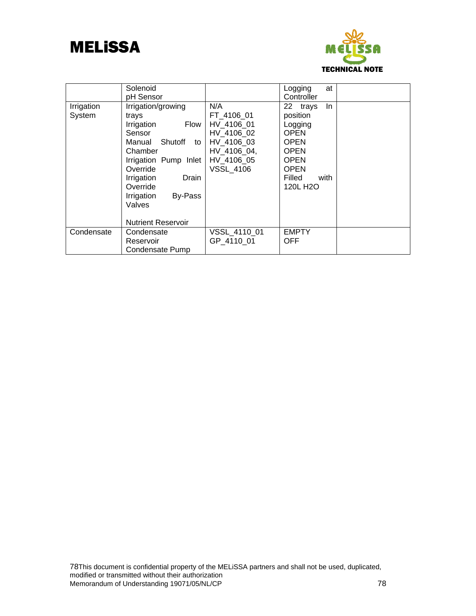

|                      | Solenoid<br>pH Sensor                                                                                                                                                                                                                            |                                                                                                              | at<br>Logging<br>Controller                                                                                                                                  |  |
|----------------------|--------------------------------------------------------------------------------------------------------------------------------------------------------------------------------------------------------------------------------------------------|--------------------------------------------------------------------------------------------------------------|--------------------------------------------------------------------------------------------------------------------------------------------------------------|--|
| Irrigation<br>System | Irrigation/growing<br>trays<br>Irrigation<br><b>Flow</b><br>Sensor<br>Manual<br>Shutoff<br>to<br>Chamber<br>Irrigation Pump Inlet<br>Override<br>Drain<br>Irrigation<br>Override<br>Irrigation<br>By-Pass<br>Valves<br><b>Nutrient Reservoir</b> | N/A<br>FT 4106 01<br>HV 4106 01<br>HV 4106 02<br>HV 4106 03<br>HV 4106 04,<br>HV 4106 05<br><b>VSSL 4106</b> | In.<br>22 trays<br>position<br>Logging<br><b>OPEN</b><br><b>OPEN</b><br><b>OPEN</b><br><b>OPEN</b><br><b>OPEN</b><br>Filled<br>with<br>120L H <sub>2</sub> O |  |
| Condensate           | Condensate<br>Reservoir<br>Condensate Pump                                                                                                                                                                                                       | VSSL 4110 01<br>GP 4110 01                                                                                   | <b>EMPTY</b><br>OFF                                                                                                                                          |  |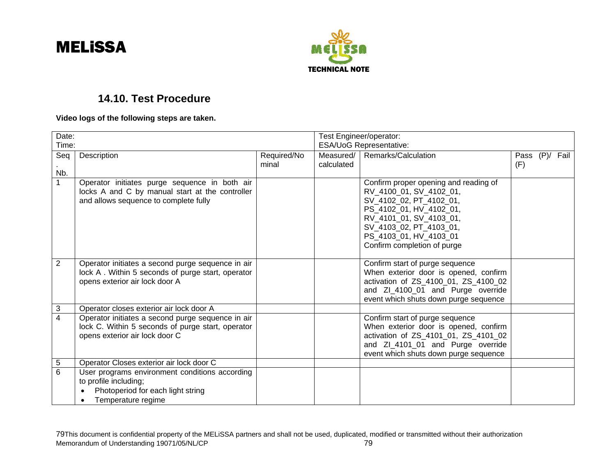

## **14.10. Test Procedure**

#### **Video logs of the following steps are taken.**

|                | Date:                                                                                    |             |            | Test Engineer/operator:                                                  |                |  |  |
|----------------|------------------------------------------------------------------------------------------|-------------|------------|--------------------------------------------------------------------------|----------------|--|--|
| Time:          |                                                                                          |             |            | ESA/UoG Representative:                                                  |                |  |  |
| Seq            | Description                                                                              | Required/No | Measured/  | Remarks/Calculation                                                      | Pass (P)/ Fail |  |  |
|                |                                                                                          | minal       | calculated |                                                                          | (F)            |  |  |
| Nb.            |                                                                                          |             |            |                                                                          |                |  |  |
|                | Operator initiates purge sequence in both air                                            |             |            | Confirm proper opening and reading of                                    |                |  |  |
|                | locks A and C by manual start at the controller<br>and allows sequence to complete fully |             |            | RV_4100_01, SV_4102_01,                                                  |                |  |  |
|                |                                                                                          |             |            | SV_4102_02, PT_4102_01,<br>PS_4102_01, HV_4102_01,                       |                |  |  |
|                |                                                                                          |             |            | RV_4101_01, SV_4103_01,                                                  |                |  |  |
|                |                                                                                          |             |            | SV_4103_02, PT_4103_01,                                                  |                |  |  |
|                |                                                                                          |             |            | PS_4103_01, HV_4103_01                                                   |                |  |  |
|                |                                                                                          |             |            | Confirm completion of purge                                              |                |  |  |
|                |                                                                                          |             |            |                                                                          |                |  |  |
| $\overline{2}$ | Operator initiates a second purge sequence in air                                        |             |            | Confirm start of purge sequence                                          |                |  |  |
|                | lock A. Within 5 seconds of purge start, operator                                        |             |            | When exterior door is opened, confirm                                    |                |  |  |
|                | opens exterior air lock door A                                                           |             |            | activation of ZS_4100_01, ZS_4100_02                                     |                |  |  |
|                |                                                                                          |             |            | and ZI_4100_01 and Purge override                                        |                |  |  |
|                |                                                                                          |             |            | event which shuts down purge sequence                                    |                |  |  |
| 3              | Operator closes exterior air lock door A                                                 |             |            |                                                                          |                |  |  |
| $\overline{4}$ | Operator initiates a second purge sequence in air                                        |             |            | Confirm start of purge sequence<br>When exterior door is opened, confirm |                |  |  |
|                | lock C. Within 5 seconds of purge start, operator<br>opens exterior air lock door C      |             |            | activation of ZS_4101_01, ZS_4101_02                                     |                |  |  |
|                |                                                                                          |             |            | and ZI_4101_01 and Purge override                                        |                |  |  |
|                |                                                                                          |             |            | event which shuts down purge sequence                                    |                |  |  |
| 5              | Operator Closes exterior air lock door C                                                 |             |            |                                                                          |                |  |  |
| 6              | User programs environment conditions according                                           |             |            |                                                                          |                |  |  |
|                | to profile including;                                                                    |             |            |                                                                          |                |  |  |
|                | Photoperiod for each light string                                                        |             |            |                                                                          |                |  |  |
|                | Temperature regime                                                                       |             |            |                                                                          |                |  |  |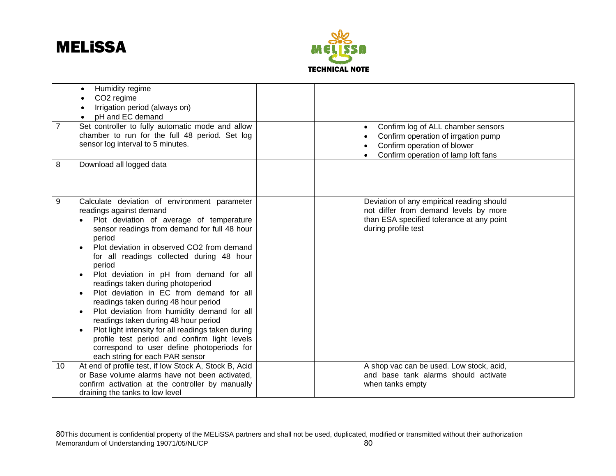



| $\overline{7}$ | Humidity regime<br>$\bullet$<br>CO <sub>2</sub> regime<br>$\bullet$<br>Irrigation period (always on)<br>pH and EC demand<br>Set controller to fully automatic mode and allow<br>chamber to run for the full 48 period. Set log<br>sensor log interval to 5 minutes.                                                                                                                                                                                                                                                                                                                                                                                                                                                                                             | Confirm log of ALL chamber sensors<br>$\bullet$<br>Confirm operation of irrgation pump<br>Confirm operation of blower<br>Confirm operation of lamp loft fans |  |
|----------------|-----------------------------------------------------------------------------------------------------------------------------------------------------------------------------------------------------------------------------------------------------------------------------------------------------------------------------------------------------------------------------------------------------------------------------------------------------------------------------------------------------------------------------------------------------------------------------------------------------------------------------------------------------------------------------------------------------------------------------------------------------------------|--------------------------------------------------------------------------------------------------------------------------------------------------------------|--|
| 8              | Download all logged data                                                                                                                                                                                                                                                                                                                                                                                                                                                                                                                                                                                                                                                                                                                                        |                                                                                                                                                              |  |
| 9              | Calculate deviation of environment parameter<br>readings against demand<br>Plot deviation of average of temperature<br>sensor readings from demand for full 48 hour<br>period<br>Plot deviation in observed CO2 from demand<br>$\bullet$<br>for all readings collected during 48 hour<br>period<br>Plot deviation in pH from demand for all<br>readings taken during photoperiod<br>Plot deviation in EC from demand for all<br>readings taken during 48 hour period<br>Plot deviation from humidity demand for all<br>$\bullet$<br>readings taken during 48 hour period<br>Plot light intensity for all readings taken during<br>profile test period and confirm light levels<br>correspond to user define photoperiods for<br>each string for each PAR sensor | Deviation of any empirical reading should<br>not differ from demand levels by more<br>than ESA specified tolerance at any point<br>during profile test       |  |
| 10             | At end of profile test, if low Stock A, Stock B, Acid<br>or Base volume alarms have not been activated,<br>confirm activation at the controller by manually<br>draining the tanks to low level                                                                                                                                                                                                                                                                                                                                                                                                                                                                                                                                                                  | A shop vac can be used. Low stock, acid,<br>and base tank alarms should activate<br>when tanks empty                                                         |  |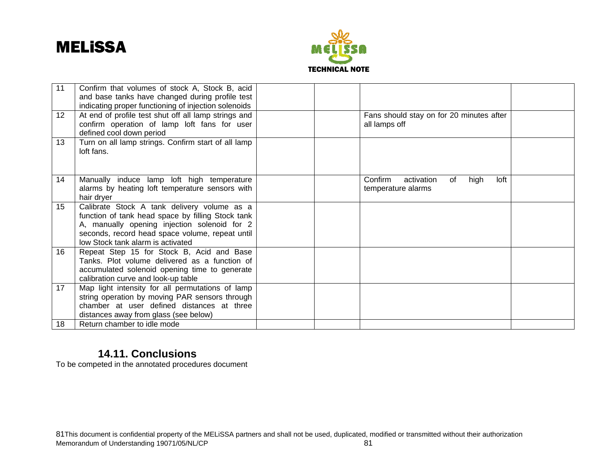



| 11 | Confirm that volumes of stock A, Stock B, acid       |  |                                          |              |  |
|----|------------------------------------------------------|--|------------------------------------------|--------------|--|
|    | and base tanks have changed during profile test      |  |                                          |              |  |
|    | indicating proper functioning of injection solenoids |  |                                          |              |  |
| 12 | At end of profile test shut off all lamp strings and |  | Fans should stay on for 20 minutes after |              |  |
|    | confirm operation of lamp loft fans for user         |  | all lamps off                            |              |  |
|    | defined cool down period                             |  |                                          |              |  |
| 13 | Turn on all lamp strings. Confirm start of all lamp  |  |                                          |              |  |
|    | loft fans.                                           |  |                                          |              |  |
|    |                                                      |  |                                          |              |  |
|    |                                                      |  |                                          |              |  |
| 14 | Manually induce lamp loft high temperature           |  | Confirm<br>activation<br>of              | high<br>loft |  |
|    | alarms by heating loft temperature sensors with      |  | temperature alarms                       |              |  |
|    | hair dryer                                           |  |                                          |              |  |
| 15 | Calibrate Stock A tank delivery volume as a          |  |                                          |              |  |
|    | function of tank head space by filling Stock tank    |  |                                          |              |  |
|    | A, manually opening injection solenoid for 2         |  |                                          |              |  |
|    | seconds, record head space volume, repeat until      |  |                                          |              |  |
|    | low Stock tank alarm is activated                    |  |                                          |              |  |
| 16 | Repeat Step 15 for Stock B, Acid and Base            |  |                                          |              |  |
|    | Tanks. Plot volume delivered as a function of        |  |                                          |              |  |
|    | accumulated solenoid opening time to generate        |  |                                          |              |  |
|    | calibration curve and look-up table                  |  |                                          |              |  |
| 17 | Map light intensity for all permutations of lamp     |  |                                          |              |  |
|    | string operation by moving PAR sensors through       |  |                                          |              |  |
|    | chamber at user defined distances at three           |  |                                          |              |  |
|    | distances away from glass (see below)                |  |                                          |              |  |
| 18 | Return chamber to idle mode                          |  |                                          |              |  |
|    |                                                      |  |                                          |              |  |

## **14.11. Conclusions**

To be competed in the annotated procedures document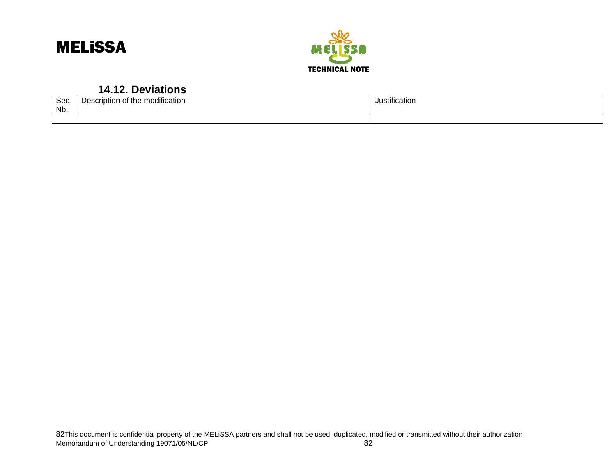



## **14.12. Deviations**

| Seq.<br>Nb. | <br>i of the modification<br>iptior<br>nn/<br>יכסע | .<br>stification. |
|-------------|----------------------------------------------------|-------------------|
|             |                                                    |                   |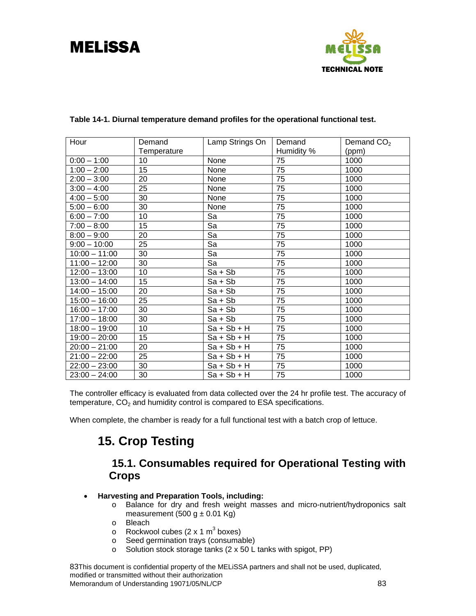

| Hour            | Demand      | Lamp Strings On | Demand          | Demand $CO2$ |
|-----------------|-------------|-----------------|-----------------|--------------|
|                 | Temperature |                 | Humidity %      | (ppm)        |
| $0:00 - 1:00$   | 10          | None            | 75              | 1000         |
| $1:00 - 2:00$   | 15          | None            | 75              | 1000         |
| $2:00 - 3:00$   | 20          | None            | $\overline{75}$ | 1000         |
| $3:00 - 4:00$   | 25          | None            | 75              | 1000         |
| $4:00 - 5:00$   | 30          | None            | 75              | 1000         |
| $5:00 - 6:00$   | 30          | None            | 75              | 1000         |
| $6:00 - 7:00$   | 10          | Sa              | 75              | 1000         |
| $7:00 - 8:00$   | 15          | Sa              | 75              | 1000         |
| $8:00 - 9:00$   | 20          | Sa              | 75              | 1000         |
| $9:00 - 10:00$  | 25          | Sa              | 75              | 1000         |
| $10:00 - 11:00$ | 30          | Sa              | 75              | 1000         |
| $11:00 - 12:00$ | 30          | Sa              | 75              | 1000         |
| $12:00 - 13:00$ | 10          | $Sa + Sb$       | 75              | 1000         |
| $13:00 - 14:00$ | 15          | $Sa + Sb$       | 75              | 1000         |
| $14:00 - 15:00$ | 20          | $Sa + Sb$       | 75              | 1000         |
| $15:00 - 16:00$ | 25          | $Sa + Sb$       | 75              | 1000         |
| $16:00 - 17:00$ | 30          | $Sa + Sb$       | 75              | 1000         |
| $17:00 - 18:00$ | 30          | $Sa + Sb$       | $\overline{75}$ | 1000         |
| $18:00 - 19:00$ | 10          | $Sa + Sb + H$   | 75              | 1000         |
| $19:00 - 20:00$ | 15          | $Sa + Sb + H$   | 75              | 1000         |
| $20:00 - 21:00$ | 20          | $Sa + Sb + H$   | 75              | 1000         |
| $21:00 - 22:00$ | 25          | $Sa + Sb + H$   | 75              | 1000         |
| $22:00 - 23:00$ | 30          | $Sa + Sb + H$   | 75              | 1000         |
| $23:00 - 24:00$ | 30          | $Sa + Sb + H$   | 75              | 1000         |

#### **Table 14-1. Diurnal temperature demand profiles for the operational functional test.**

The controller efficacy is evaluated from data collected over the 24 hr profile test. The accuracy of temperature,  $CO<sub>2</sub>$  and humidity control is compared to ESA specifications.

When complete, the chamber is ready for a full functional test with a batch crop of lettuce.

# **15. Crop Testing**

## **15.1. Consumables required for Operational Testing with Crops**

- **Harvesting and Preparation Tools, including:**
	- o Balance for dry and fresh weight masses and micro-nutrient/hydroponics salt measurement (500 g  $\pm$  0.01 Kg)
	- o Bleach
	- o Rockwool cubes  $(2 \times 1 \text{ m}^3 \text{ boxes})$
	- o Seed germination trays (consumable)
	- o Solution stock storage tanks (2 x 50 L tanks with spigot, PP)

83This document is confidential property of the MELiSSA partners and shall not be used, duplicated, modified or transmitted without their authorization Memorandum of Understanding 19071/05/NL/CP 83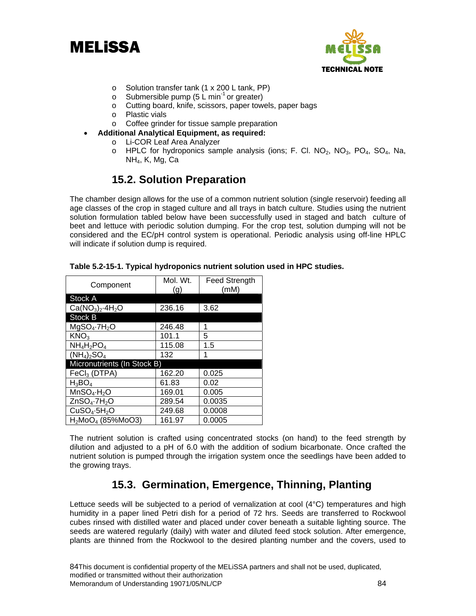



- o Solution transfer tank (1 x 200 L tank, PP)
- $\circ$  Submersible pump (5 L min<sup>-1</sup> or greater)
- o Cutting board, knife, scissors, paper towels, paper bags
- o Plastic vials
- o Coffee grinder for tissue sample preparation
- **Additional Analytical Equipment, as required:**
	- o Li-COR Leaf Area Analyzer
	- $\circ$  HPLC for hydroponics sample analysis (ions; F. Cl. NO<sub>2</sub>, NO<sub>3</sub>, PO<sub>4</sub>, SO<sub>4</sub>, Na,  $NH<sub>4</sub>$ , K, Mg, Ca

## **15.2. Solution Preparation**

The chamber design allows for the use of a common nutrient solution (single reservoir) feeding all age classes of the crop in staged culture and all trays in batch culture. Studies using the nutrient solution formulation tabled below have been successfully used in staged and batch culture of beet and lettuce with periodic solution dumping. For the crop test, solution dumping will not be considered and the EC/pH control system is operational. Periodic analysis using off-line HPLC will indicate if solution dump is required.

| Component                            | Mol. Wt.<br>(g) | <b>Feed Strength</b><br>(mM) |
|--------------------------------------|-----------------|------------------------------|
| Stock A                              |                 |                              |
| $Ca(NO3)2·4H2O$                      | 236.16          | 3.62                         |
| Stock B                              |                 |                              |
| $MqSO_4 \cdot 7H_2O$                 | 246.48          | 1                            |
| KNO <sub>3</sub>                     | 101.1           | 5                            |
| $NH_4H_2PO_4$                        | 115.08          | 1.5                          |
| $(NH_4)_2SO_4$                       | 132             | 1                            |
| Micronutrients (In Stock B)          |                 |                              |
| $FeCl3$ (DTPA)                       | 162.20          | 0.025                        |
| $H_3BO_4$                            | 61.83           | 0.02                         |
| $MnSO_4 \cdot H_2O$                  | 169.01          | 0.005                        |
| $ZnSO_4$ -7 $H_2O$                   | 289.54          | 0.0035                       |
| CuSO <sub>4</sub> ·5H <sub>2</sub> O | 249.68          | 0.0008                       |
| $H_2MOQ_4$ (85%MoO3)                 | 161.97          | 0.0005                       |

**Table 5.2-15-1. Typical hydroponics nutrient solution used in HPC studies.** 

The nutrient solution is crafted using concentrated stocks (on hand) to the feed strength by dilution and adjusted to a pH of 6.0 with the addition of sodium bicarbonate. Once crafted the nutrient solution is pumped through the irrigation system once the seedlings have been added to the growing trays.

## **15.3. Germination, Emergence, Thinning, Planting**

Lettuce seeds will be subjected to a period of vernalization at cool (4°C) temperatures and high humidity in a paper lined Petri dish for a period of 72 hrs. Seeds are transferred to Rockwool cubes rinsed with distilled water and placed under cover beneath a suitable lighting source. The seeds are watered regularly (daily) with water and diluted feed stock solution. After emergence, plants are thinned from the Rockwool to the desired planting number and the covers, used to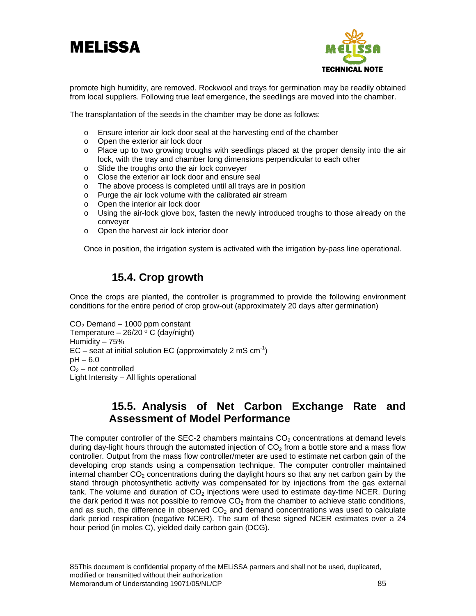



promote high humidity, are removed. Rockwool and trays for germination may be readily obtained from local suppliers. Following true leaf emergence, the seedlings are moved into the chamber.

The transplantation of the seeds in the chamber may be done as follows:

- o Ensure interior air lock door seal at the harvesting end of the chamber
- o Open the exterior air lock door
- o Place up to two growing troughs with seedlings placed at the proper density into the air lock, with the tray and chamber long dimensions perpendicular to each other
- o Slide the troughs onto the air lock conveyer
- o Close the exterior air lock door and ensure seal
- o The above process is completed until all trays are in position
- o Purge the air lock volume with the calibrated air stream
- o Open the interior air lock door
- o Using the air-lock glove box, fasten the newly introduced troughs to those already on the conveyer
- o Open the harvest air lock interior door

Once in position, the irrigation system is activated with the irrigation by-pass line operational.

## **15.4. Crop growth**

Once the crops are planted, the controller is programmed to provide the following environment conditions for the entire period of crop grow-out (approximately 20 days after germination)

 $CO<sub>2</sub>$  Demand – 1000 ppm constant Temperature  $-26/20$  ° C (day/night) Humidity – 75% EC – seat at initial solution EC (approximately 2 mS  $cm^{-1}$ ) pH – 6.0  $O<sub>2</sub>$  – not controlled Light Intensity – All lights operational

## **15.5. Analysis of Net Carbon Exchange Rate and Assessment of Model Performance**

The computer controller of the SEC-2 chambers maintains  $CO<sub>2</sub>$  concentrations at demand levels during day-light hours through the automated injection of  $CO<sub>2</sub>$  from a bottle store and a mass flow controller. Output from the mass flow controller/meter are used to estimate net carbon gain of the developing crop stands using a compensation technique. The computer controller maintained internal chamber  $CO<sub>2</sub>$  concentrations during the daylight hours so that any net carbon gain by the stand through photosynthetic activity was compensated for by injections from the gas external tank. The volume and duration of  $CO<sub>2</sub>$  injections were used to estimate day-time NCER. During the dark period it was not possible to remove  $CO<sub>2</sub>$  from the chamber to achieve static conditions, and as such, the difference in observed  $CO<sub>2</sub>$  and demand concentrations was used to calculate dark period respiration (negative NCER). The sum of these signed NCER estimates over a 24 hour period (in moles C), yielded daily carbon gain (DCG).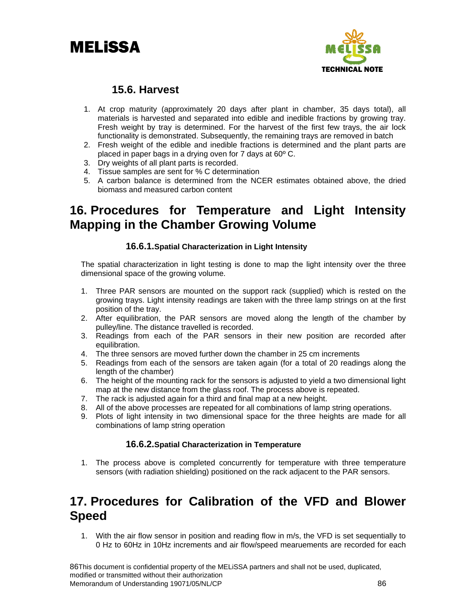



## **15.6. Harvest**

- 1. At crop maturity (approximately 20 days after plant in chamber, 35 days total), all materials is harvested and separated into edible and inedible fractions by growing tray. Fresh weight by tray is determined. For the harvest of the first few trays, the air lock functionality is demonstrated. Subsequently, the remaining trays are removed in batch
- 2. Fresh weight of the edible and inedible fractions is determined and the plant parts are placed in paper bags in a drying oven for 7 days at 60º C.
- 3. Dry weights of all plant parts is recorded.
- 4. Tissue samples are sent for % C determination
- 5. A carbon balance is determined from the NCER estimates obtained above, the dried biomass and measured carbon content

# **16. Procedures for Temperature and Light Intensity Mapping in the Chamber Growing Volume**

### **16.6.1.Spatial Characterization in Light Intensity**

The spatial characterization in light testing is done to map the light intensity over the three dimensional space of the growing volume.

- 1. Three PAR sensors are mounted on the support rack (supplied) which is rested on the growing trays. Light intensity readings are taken with the three lamp strings on at the first position of the tray.
- 2. After equilibration, the PAR sensors are moved along the length of the chamber by pulley/line. The distance travelled is recorded.
- 3. Readings from each of the PAR sensors in their new position are recorded after equilibration.
- 4. The three sensors are moved further down the chamber in 25 cm increments
- 5. Readings from each of the sensors are taken again (for a total of 20 readings along the length of the chamber)
- 6. The height of the mounting rack for the sensors is adjusted to yield a two dimensional light map at the new distance from the glass roof. The process above is repeated.
- 7. The rack is adjusted again for a third and final map at a new height.
- 8. All of the above processes are repeated for all combinations of lamp string operations.
- 9. Plots of light intensity in two dimensional space for the three heights are made for all combinations of lamp string operation

### **16.6.2.Spatial Characterization in Temperature**

1. The process above is completed concurrently for temperature with three temperature sensors (with radiation shielding) positioned on the rack adjacent to the PAR sensors.

# **17. Procedures for Calibration of the VFD and Blower Speed**

1. With the air flow sensor in position and reading flow in m/s, the VFD is set sequentially to 0 Hz to 60Hz in 10Hz increments and air flow/speed mearuements are recorded for each